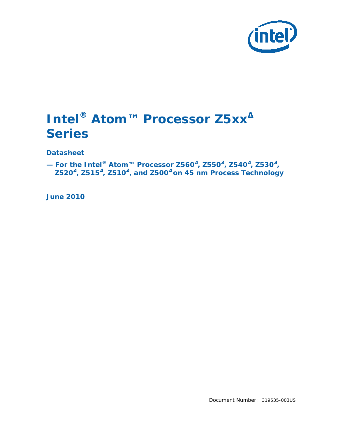

# **Intel® Atom™ Processor Z5xx<sup>∆</sup> Series**

**Datasheet**

*— For the Intel® Atom™ Processor Z560***<sup>∆</sup>** *, Z550***<sup>∆</sup>** *, Z540***<sup>∆</sup>** *, Z530***<sup>∆</sup>** *, Z520***<sup>∆</sup>** *, Z515***<sup>∆</sup>** *, Z510***<sup>∆</sup>** *, and Z500***<sup>∆</sup>** *on 45 nm Process Technology*

*June 2010*

Document Number: 319535-003US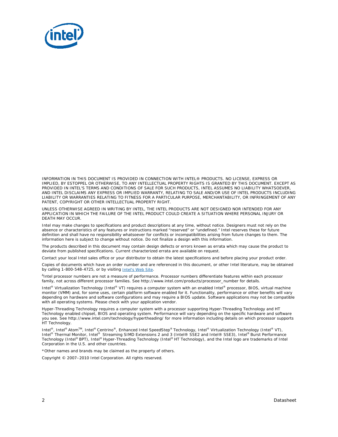

INFORMATION IN THIS DOCUMENT IS PROVIDED IN CONNECTION WITH INTEL® PRODUCTS. NO LICENSE, EXPRESS OR IMPLIED, BY ESTOPPEL OR OTHERWISE, TO ANY INTELLECTUAL PROPERTY RIGHTS IS GRANTED BY THIS DOCUMENT. EXCEPT AS PROVIDED IN INTEL'S TERMS AND CONDITIONS OF SALE FOR SUCH PRODUCTS, INTEL ASSUMES NO LIABILITY WHATSOEVER, AND INTEL DISCLAIMS ANY EXPRESS OR IMPLIED WARRANTY, RELATING TO SALE AND/OR USE OF INTEL PRODUCTS INCLUDING LIABILITY OR WARRANTIES RELATING TO FITNESS FOR A PARTICULAR PURPOSE, MERCHANTABILITY, OR INFRINGEMENT OF ANY PATENT, COPYRIGHT OR OTHER INTELLECTUAL PROPERTY RIGHT.

UNLESS OTHERWISE AGREED IN WRITING BY INTEL, THE INTEL PRODUCTS ARE NOT DESIGNED NOR INTENDED FOR ANY APPLICATION IN WHICH THE FAILURE OF THE INTEL PRODUCT COULD CREATE A SITUATION WHERE PERSONAL INJURY OR DEATH MAY OCCUR.

Intel may make changes to specifications and product descriptions at any time, without notice. Designers must not rely on the absence or characteristics of any features or instructions marked "reserved" or "undefined." Intel reserves these for future definition and shall have no responsibility whatsoever for conflicts or incompatibilities arising from future changes to them. The information here is subject to change without notice. Do not finalize a design with this information.

The products described in this document may contain design defects or errors known as errata which may cause the product to deviate from published specifications. Current characterized errata are available on request.

Contact your local Intel sales office or your distributor to obtain the latest specifications and before placing your product order.

Copies of documents which have an order number and are referenced in this document, or other Intel literature, may be obtained by calling 1-800-548-4725, or by visitin[g Intel's Web Site.](http://www.intel.com/)

∆ Intel processor numbers are not a measure of performance. Processor numbers differentiate features within each processor family, not across different processor families. See http://www.intel.com/products/processor\_number for details.

Intel® Virtualization Technology (Intel® VT) requires a computer system with an enabled Intel® processor, BIOS, virtual machine monitor (VMM) and, for some uses, certain platform software enabled for it. Functionality, performance or other benefits will vary depending on hardware and software configurations and may require a BIOS update. Software applications may not be compatible with all operating systems. Please check with your application vendor.

Hyper-Threading Technology requires a computer system with a processor supporting Hyper-Threading Technology and HT Technology enabled chipset, BIOS and operating system. Performance will vary depending on the specific hardware and software you see. See http://www.intel.com/technology/hypertheading/ for more information including details on which processor supports HT Technology.

Intel®, Intel® AtomTM, Intel® Centrino®, Enhanced Intel SpeedStep® Technology, Intel® Virtualization Technology (Intel® VT), Intel® Thermal Monitor, Intel® Streaming SIMD Extensions 2 and 3 (Intel® SSE2 and Intel® SSE3), Intel® Burst Performance Technology (Intel® BPT), Intel® Hyper-Threading Technology (Intel® HT Technology), and the Intel logo are trademarks of Intel Corporation in the U.S. and other countries.

\*Other names and brands may be claimed as the property of others.

Copyright © 2007–2010 Intel Corporation. All rights reserved.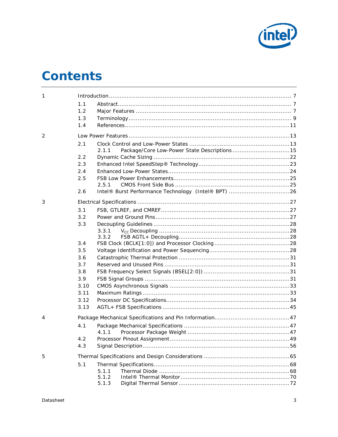

# **Contents**

| $\mathbf{1}$ |      |                                                     |  |
|--------------|------|-----------------------------------------------------|--|
|              | 1.1  |                                                     |  |
|              | 1.2  |                                                     |  |
|              | 1.3  |                                                     |  |
|              | 1.4  |                                                     |  |
|              |      |                                                     |  |
| 2            |      |                                                     |  |
|              | 2.1  |                                                     |  |
|              |      | 2.1.1                                               |  |
|              | 2.2  |                                                     |  |
|              | 2.3  |                                                     |  |
|              | 2.4  |                                                     |  |
|              | 2.5  |                                                     |  |
|              |      | 2.5.1                                               |  |
|              | 2.6  | Intel® Burst Performance Technology (Intel® BPT) 26 |  |
| 3            |      |                                                     |  |
|              | 3.1  |                                                     |  |
|              | 3.2  |                                                     |  |
|              | 3.3  |                                                     |  |
|              |      | 3.3.1                                               |  |
|              |      | 3.3.2                                               |  |
|              | 3.4  |                                                     |  |
|              | 3.5  |                                                     |  |
|              | 3.6  |                                                     |  |
|              | 3.7  |                                                     |  |
|              | 3.8  |                                                     |  |
|              | 3.9  |                                                     |  |
|              | 3.10 |                                                     |  |
|              | 3.11 |                                                     |  |
|              | 3.12 |                                                     |  |
|              | 3.13 |                                                     |  |
| 4            |      |                                                     |  |
|              | 4.1  |                                                     |  |
|              |      | 4.1.1                                               |  |
|              | 4.2  |                                                     |  |
|              | 4.3  |                                                     |  |
| 5            |      |                                                     |  |
|              | 5.1  |                                                     |  |
|              |      | 5.1.1                                               |  |
|              |      | 5.1.2                                               |  |
|              |      | 5.1.3                                               |  |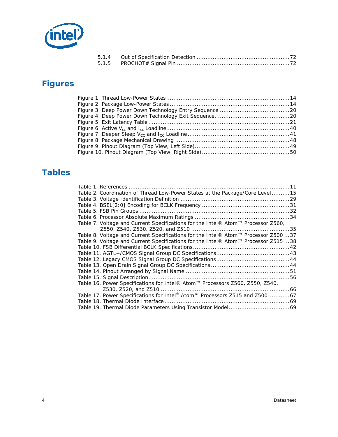

# **Figures**

# **Tables**

| Table 2. Coordination of Thread Low-Power States at the Package/Core Level15       |  |
|------------------------------------------------------------------------------------|--|
|                                                                                    |  |
|                                                                                    |  |
|                                                                                    |  |
|                                                                                    |  |
| Table 7. Voltage and Current Specifications for the Intel® Atom™ Processor Z560,   |  |
|                                                                                    |  |
| Table 8. Voltage and Current Specifications for the Intel® Atom™ Processor Z500 37 |  |
| Table 9. Voltage and Current Specifications for the Intel® Atom™ Processor Z515 38 |  |
|                                                                                    |  |
|                                                                                    |  |
|                                                                                    |  |
|                                                                                    |  |
|                                                                                    |  |
|                                                                                    |  |
| Table 16. Power Specifications for Intel® Atom™ Processors Z560, Z550, Z540,       |  |
|                                                                                    |  |
| Table 17. Power Specifications for Intel® Atom™ Processors Z515 and Z50067         |  |
|                                                                                    |  |
|                                                                                    |  |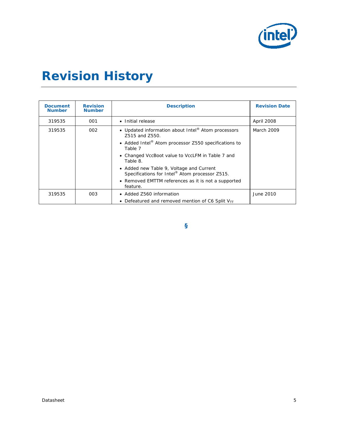

# *Revision History*

| <b>Document</b><br><b>Number</b> | <b>Revision</b><br><b>Number</b> | <b>Description</b>                                                                         | <b>Revision Date</b> |
|----------------------------------|----------------------------------|--------------------------------------------------------------------------------------------|----------------------|
| 319535                           | 001                              | • Initial release                                                                          | April 2008           |
| 319535                           | 002                              | • Updated information about Intel <sup>®</sup> Atom processors<br>Z515 and Z550.           | March 2009           |
|                                  |                                  | • Added Intel <sup>®</sup> Atom processor Z550 specifications to<br>Table 7                |                      |
|                                  |                                  | • Changed VccBoot value to VccLFM in Table 7 and<br>Table 8.                               |                      |
|                                  |                                  | • Added new Table 9, Voltage and Current<br>Specifications for Intel® Atom processor Z515. |                      |
|                                  |                                  | • Removed EMTTM references as it is not a supported<br>feature.                            |                      |
| 319535                           | 003                              | • Added Z560 information                                                                   | June 2010            |
|                                  |                                  | • Defeatured and removed mention of C6 Split $V_{TT}$                                      |                      |

**§**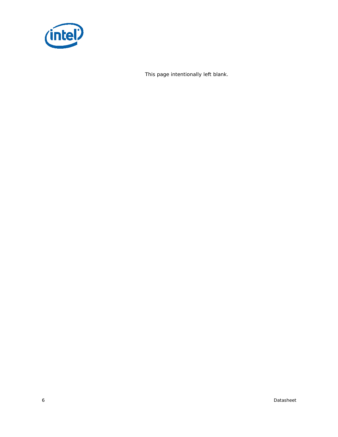

This page intentionally left blank.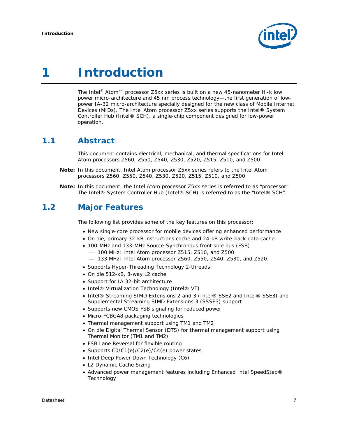

# *1 Introduction*

<span id="page-6-0"></span>The Intel® Atom™ processor Z5xx series is built on a new 45-nanometer Hi-k low power micro-architecture and 45 nm process technology—the first generation of lowpower IA-32 micro-architecture specially designed for the new class of Mobile Internet Devices (MIDs). The Intel Atom processor Z5xx series supports the Intel® System Controller Hub (Intel® SCH), a single-chip component designed for low-power operation.

### **1.1 Abstract**

<span id="page-6-1"></span>This document contains electrical, mechanical, and thermal specifications for Intel Atom processors Z560, Z550, Z540, Z530, Z520, Z515, Z510, and Z500.

- *Note:* In this document, Intel Atom processor Z5xx series refers to the Intel Atom processors Z560, Z550, Z540, Z530, Z520, Z515, Z510, and Z500.
- <span id="page-6-2"></span>**Note:** In this document, the Intel Atom processor Z5xx series is referred to as "processor". The Intel® System Controller Hub (Intel® SCH) is referred to as the "Intel® SCH".

### **1.2 Major Features**

The following list provides some of the key features on this processor:

- New single-core processor for mobile devices offering enhanced performance
- On die, primary 32-kB instructions cache and 24-kB write-back data cache
- 100-MHz and 133-MHz Source-Synchronous front side bus (FSB)
	- $-$  100 MHz: Intel Atom processor Z515, Z510, and Z500 133 MHz: Intel Atom processor Z560, Z550, Z540, Z530, and Z520.
- Supports Hyper-Threading Technology 2-threads
- On die 512-kB, 8-way L2 cache
- Support for IA 32-bit architecture
- Intel® Virtualization Technology (Intel® VT)
- Intel® Streaming SIMD Extensions 2 and 3 (Intel® SSE2 and Intel® SSE3) and Supplemental Streaming SIMD Extensions 3 (SSSE3) support
- Supports new CMOS FSB signaling for reduced power
- Micro-FCBGA8 packaging technologies
- Thermal management support using TM1 and TM2
- On die Digital Thermal Sensor (DTS) for thermal management support using Thermal Monitor (TM1 and TM2)
- FSB Lane Reversal for flexible routing
- Supports C0/C1(e)/C2(e)/C4(e) power states
- Intel Deep Power Down Technology (C6)
- L2 Dynamic Cache Sizing
- Advanced power management features including Enhanced Intel SpeedStep® Technology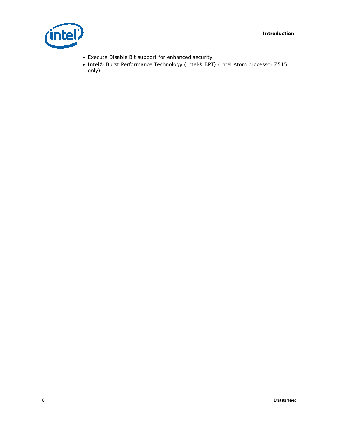

- Execute Disable Bit support for enhanced security
- Intel® Burst Performance Technology (Intel® BPT) (Intel Atom processor Z515 only)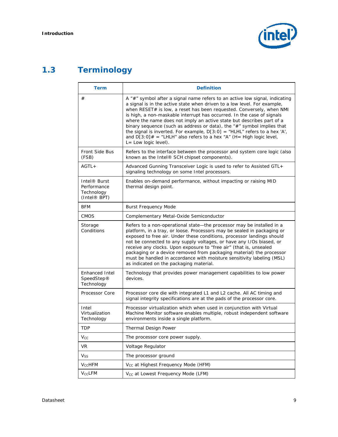

# **1.3 Terminology**

<span id="page-8-0"></span>

| <b>Term</b>                                                                       | <b>Definition</b>                                                                                                                                                                                                                                                                                                                                                                                                                                                                                                                                                                                                                                |
|-----------------------------------------------------------------------------------|--------------------------------------------------------------------------------------------------------------------------------------------------------------------------------------------------------------------------------------------------------------------------------------------------------------------------------------------------------------------------------------------------------------------------------------------------------------------------------------------------------------------------------------------------------------------------------------------------------------------------------------------------|
| #                                                                                 | A "#" symbol after a signal name refers to an active low signal, indicating<br>a signal is in the active state when driven to a low level. For example,<br>when RESET# is low, a reset has been requested. Conversely, when NMI<br>is high, a non-maskable interrupt has occurred. In the case of signals<br>where the name does not imply an active state but describes part of a<br>binary sequence (such as address or data), the "#" symbol implies that<br>the signal is inverted. For example, $D[3:0] =$ "HLHL" refers to a hex 'A',<br>and $D[3:0]$ # = "LHLH" also refers to a hex "A" (H= High logic level,<br>$L = Low logic level$ . |
| Front Side Bus<br>(FSB)                                                           | Refers to the interface between the processor and system core logic (also<br>known as the Intel® SCH chipset components).                                                                                                                                                                                                                                                                                                                                                                                                                                                                                                                        |
| $AGTL+$                                                                           | Advanced Gunning Transceiver Logic is used to refer to Assisted GTL+<br>signaling technology on some Intel processors.                                                                                                                                                                                                                                                                                                                                                                                                                                                                                                                           |
| Intel <sup>®</sup> Burst<br>Performance<br>Technology<br>(Intel <sup>®</sup> BPT) | Enables on-demand performance, without impacting or raising MID<br>thermal design point.                                                                                                                                                                                                                                                                                                                                                                                                                                                                                                                                                         |
| <b>BFM</b>                                                                        | <b>Burst Frequency Mode</b>                                                                                                                                                                                                                                                                                                                                                                                                                                                                                                                                                                                                                      |
| <b>CMOS</b>                                                                       | Complementary Metal-Oxide Semiconductor                                                                                                                                                                                                                                                                                                                                                                                                                                                                                                                                                                                                          |
| Storage<br>Conditions                                                             | Refers to a non-operational state—the processor may be installed in a<br>platform, in a tray, or loose. Processors may be sealed in packaging or<br>exposed to free air. Under these conditions, processor landings should<br>not be connected to any supply voltages, or have any I/Os biased, or<br>receive any clocks. Upon exposure to "free air" (that is, unsealed<br>packaging or a device removed from packaging material) the processor<br>must be handled in accordance with moisture sensitivity labeling (MSL)<br>as indicated on the packaging material.                                                                            |
| Enhanced Intel<br>SpeedStep®<br>Technology                                        | Technology that provides power management capabilities to low power<br>devices.                                                                                                                                                                                                                                                                                                                                                                                                                                                                                                                                                                  |
| Processor Core                                                                    | Processor core die with integrated L1 and L2 cache. All AC timing and<br>signal integrity specifications are at the pads of the processor core.                                                                                                                                                                                                                                                                                                                                                                                                                                                                                                  |
| Intel<br>Virtualization<br>Technology                                             | Processor virtualization which when used in conjunction with Virtual<br>Machine Monitor software enables multiple, robust independent software<br>environments inside a single platform.                                                                                                                                                                                                                                                                                                                                                                                                                                                         |
| TDP                                                                               | Thermal Design Power                                                                                                                                                                                                                                                                                                                                                                                                                                                                                                                                                                                                                             |
| $V_{CC}$                                                                          | The processor core power supply.                                                                                                                                                                                                                                                                                                                                                                                                                                                                                                                                                                                                                 |
| <b>VR</b>                                                                         | Voltage Regulator                                                                                                                                                                                                                                                                                                                                                                                                                                                                                                                                                                                                                                |
| $V_{SS}$                                                                          | The processor ground                                                                                                                                                                                                                                                                                                                                                                                                                                                                                                                                                                                                                             |
| V <sub>CC</sub> HFM                                                               | V <sub>CC</sub> at Highest Frequency Mode (HFM)                                                                                                                                                                                                                                                                                                                                                                                                                                                                                                                                                                                                  |
| VccLFM                                                                            | V <sub>cc</sub> at Lowest Frequency Mode (LFM)                                                                                                                                                                                                                                                                                                                                                                                                                                                                                                                                                                                                   |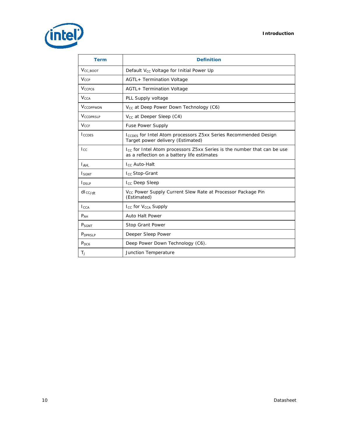

| <b>Term</b>           | <b>Definition</b>                                                                                                                  |
|-----------------------|------------------------------------------------------------------------------------------------------------------------------------|
| $V_{\text{CC, BOOT}}$ | Default V <sub>cc</sub> Voltage for Initial Power Up                                                                               |
| $V_{CCP}$             | AGTL+ Termination Voltage                                                                                                          |
| <b>VCCPC6</b>         | AGTL+ Termination Voltage                                                                                                          |
| $V_{\text{CCA}}$      | PLL Supply voltage                                                                                                                 |
| <b>VCCDPPWDN</b>      | V <sub>CC</sub> at Deep Power Down Technology (C6)                                                                                 |
| V <sub>CCDPRSLP</sub> | V <sub>cc</sub> at Deeper Sleep (C4)                                                                                               |
| $V_{CCF}$             | <b>Fuse Power Supply</b>                                                                                                           |
| <b>I</b> CCDES        | I <sub>CCDES</sub> for Intel Atom processors Z5xx Series Recommended Design<br>Target power delivery (Estimated)                   |
| $I_{\rm CC}$          | I <sub>cc</sub> for Intel Atom processors Z5xx Series is the number that can be use<br>as a reflection on a battery life estimates |
| I <sub>АН,</sub>      | <b>Icc Auto-Halt</b>                                                                                                               |
| <b>I</b> SGNT         | I <sub>CC</sub> Stop-Grant                                                                                                         |
| <b>I</b> DSLP         | I <sub>CC</sub> Deep Sleep                                                                                                         |
| $dI_{CC/dt}$          | V <sub>CC</sub> Power Supply Current Slew Rate at Processor Package Pin<br>(Estimated)                                             |
| $I_{\text{CCA}}$      | $I_{CC}$ for $V_{CCA}$ Supply                                                                                                      |
| P <sub>AH</sub>       | Auto Halt Power                                                                                                                    |
| P <sub>SGNT</sub>     | Stop Grant Power                                                                                                                   |
| P <sub>DPRSI P</sub>  | Deeper Sleep Power                                                                                                                 |
| $P_{DC6}$             | Deep Power Down Technology (C6).                                                                                                   |
| $T_{\perp}$           | Junction Temperature                                                                                                               |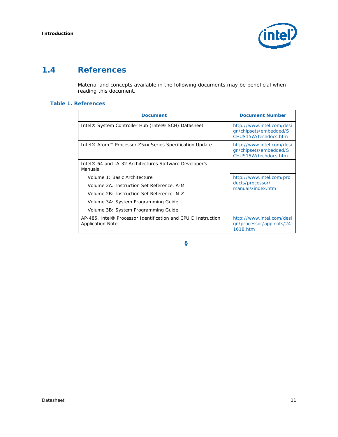

# **1.4 References**

<span id="page-10-0"></span>Material and concepts available in the following documents may be beneficial when reading this document.

### **Table 1. References**

| <b>Document</b>                                                                                                                                                                                      | <b>Document Number</b>                                                      |
|------------------------------------------------------------------------------------------------------------------------------------------------------------------------------------------------------|-----------------------------------------------------------------------------|
| Intel® System Controller Hub (Intel® SCH) Datasheet                                                                                                                                                  | http://www.intel.com/desi<br>gn/chipsets/embedded/S<br>CHUS15W/techdocs.htm |
| Intel® Atom™ Processor Z5xx Series Specification Update                                                                                                                                              | http://www.intel.com/desi<br>gn/chipsets/embedded/S<br>CHUS15W/techdocs.htm |
| Intel® 64 and IA-32 Architectures Software Developer's<br>Manuals                                                                                                                                    |                                                                             |
| Volume 1: Basic Architecture<br>Volume 2A: Instruction Set Reference, A-M<br>Volume 2B: Instruction Set Reference, N-Z<br>Volume 3A: System Programming Guide<br>Volume 3B: System Programming Guide | http://www.intel.com/pro<br>ducts/processor/<br>manuals/index.htm           |
| AP-485, Intel® Processor Identification and CPUID Instruction<br><b>Application Note</b>                                                                                                             | http://www.intel.com/desi<br>qn/processor/applnots/24<br>1618.htm           |

**§**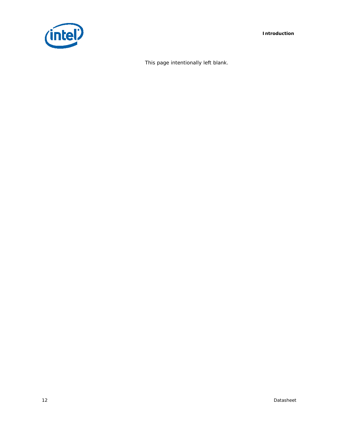*Introduction*



This page intentionally left blank.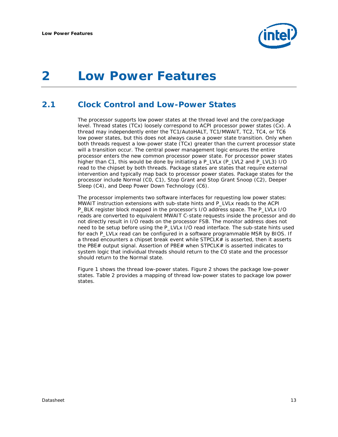

# <span id="page-12-0"></span>*2 Low Power Features*

# **2.1 Clock Control and Low-Power States**

<span id="page-12-1"></span>The processor supports low power states at the thread level and the core/package level. Thread states (TCx) loosely correspond to ACPI processor power states (Cx). A thread may independently enter the TC1/AutoHALT, TC1/MWAIT, TC2, TC4, or TC6 low power states, but this does not always cause a power state transition. Only when both threads request a low-power state (TCx) greater than the current processor state will a transition occur. The central power management logic ensures the entire processor enters the new common processor power state. For processor power states higher than C1, this would be done by initiating a P\_LVLx (P\_LVL2 and P\_LVL3) I/O read to the chipset by both threads. Package states are states that require external intervention and typically map back to processor power states. Package states for the processor include Normal (C0, C1), Stop Grant and Stop Grant Snoop (C2), Deeper Sleep (C4), and Deep Power Down Technology (C6).

The processor implements two software interfaces for requesting low power states: MWAIT instruction extensions with sub-state hints and P\_LVLx reads to the ACPI P\_BLK register block mapped in the processor's I/O address space. The P\_LVLx I/O reads are converted to equivalent MWAIT C-state requests inside the processor and do not directly result in I/O reads on the processor FSB. The monitor address does not need to be setup before using the P\_LVLx I/O read interface. The sub-state hints used for each P\_LVLx read can be configured in a software programmable MSR by BIOS. If a thread encounters a chipset break event while  $STPCLK#$  is asserted, then it asserts the PBE# output signal. Assertion of PBE# when STPCLK# is asserted indicates to system logic that individual threads should return to the C0 state and the processor should return to the Normal state.

[Figure 1](#page-13-0) shows the thread low-power states. [Figure 2](#page-13-1) shows the package low-power states. [Table 2](#page-14-1) provides a mapping of thread low-power states to package low power states.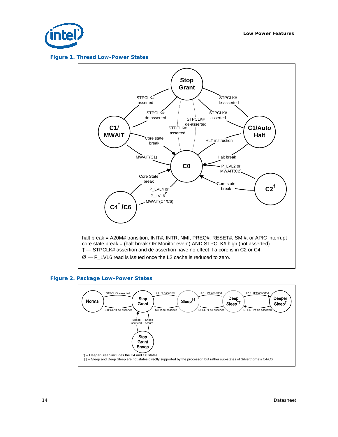



#### <span id="page-13-0"></span>**Figure 1. Thread Low-Power States**



#### <span id="page-13-1"></span>**Figure 2. Package Low-Power States**

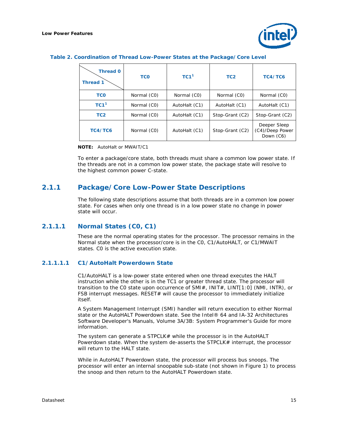

#### <span id="page-14-1"></span>**Table 2. Coordination of Thread Low-Power States at the Package/Core Level**

| <b>Thread 0</b><br><b>Thread 1</b> | <b>TCO</b>  | TC1 <sup>1</sup> | TC <sub>2</sub> | TC4/TC6                                      |
|------------------------------------|-------------|------------------|-----------------|----------------------------------------------|
| <b>TCO</b>                         | Normal (CO) | Normal (CO)      | Normal (CO)     | Normal (CO)                                  |
| TC1 <sup>1</sup>                   | Normal (CO) | AutoHalt (C1)    | AutoHalt (C1)   | AutoHalt (C1)                                |
| TC <sub>2</sub>                    | Normal (CO) | AutoHalt (C1)    | Stop-Grant (C2) | Stop-Grant (C2)                              |
| TC4/TC6                            | Normal (CO) | AutoHalt (C1)    | Stop-Grant (C2) | Deeper Sleep<br>(C4)/Deep Power<br>Down (C6) |

**NOTE:** AutoHalt or MWAIT/C1

<span id="page-14-0"></span>To enter a package/core state, both threads must share a common low power state. If the threads are not in a common low power state, the package state will resolve to the highest common power C-state.

### **2.1.1 Package/Core Low-Power State Descriptions**

The following state descriptions assume that both threads are in a common low power state. For cases when only one thread is in a low power state no change in power state will occur.

### **2.1.1.1 Normal States (C0, C1)**

These are the normal operating states for the processor. The processor remains in the Normal state when the processor/core is in the C0, C1/AutoHALT, or C1/MWAIT states. C0 is the active execution state.

### **2.1.1.1.1 C1/AutoHalt Powerdown State**

C1/AutoHALT is a low-power state entered when one thread executes the HALT instruction while the other is in the TC1 or greater thread state. The processor will transition to the C0 state upon occurrence of SMI#, INIT#, LINT[1:0] (NMI, INTR), or FSB interrupt messages. RESET# will cause the processor to immediately initialize itself.

A System Management Interrupt (SMI) handler will return execution to either Normal state or the AutoHALT Powerdown state. See the *Intel® 64 and IA-32 Architectures Software Developer's Manuals, Volume 3A/3B: System Programmer's Guide* for more information.

The system can generate a STPCLK# while the processor is in the AutoHALT Powerdown state. When the system de-asserts the STPCLK# interrupt, the processor will return to the HALT state.

While in AutoHALT Powerdown state, the processor will process bus snoops. The processor will enter an internal snoopable sub-state (not shown in [Figure 1\)](#page-13-0) to process the snoop and then return to the AutoHALT Powerdown state.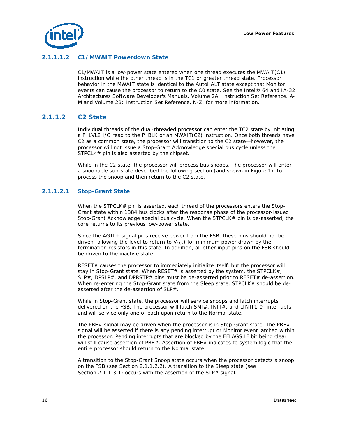

### **2.1.1.1.2 C1/MWAIT Powerdown State**

C1/MWAIT is a low-power state entered when one thread executes the MWAIT(C1) instruction while the other thread is in the TC1 or greater thread state. Processor behavior in the MWAIT state is identical to the AutoHALT state except that Monitor events can cause the processor to return to the C0 state. See the *Intel® 64 and IA-32 Architectures Software Developer's Manuals, Volume 2A: Instruction Set Reference, A-M* and *Volume 2B: Instruction Set Reference, N-Z*, for more information.

### **2.1.1.2 C2 State**

Individual threads of the dual-threaded processor can enter the TC2 state by initiating a P\_LVL2 I/O read to the P\_BLK or an MWAIT(C2) instruction. Once both threads have C2 as a common state, the processor will transition to the C2 state—however, the processor will not issue a Stop-Grant Acknowledge special bus cycle unless the STPCLK# pin is also asserted by the chipset.

While in the C2 state, the processor will process bus snoops. The processor will enter a snoopable sub-state described the following section (and shown in [Figure 1\)](#page-13-0), to process the snoop and then return to the C2 state.

### **2.1.1.2.1 Stop-Grant State**

When the STPCLK# pin is asserted, each thread of the processors enters the Stop-Grant state within 1384 bus clocks after the response phase of the processor-issued Stop-Grant Acknowledge special bus cycle. When the STPCLK# pin is de-asserted, the core returns to its previous low-power state.

Since the AGTL+ signal pins receive power from the FSB, these pins should not be driven (allowing the level to return to  $V_{CCP}$ ) for minimum power drawn by the termination resistors in this state. In addition, all other input pins on the FSB should be driven to the inactive state.

RESET# causes the processor to immediately initialize itself, but the processor will stay in Stop-Grant state. When RESET# is asserted by the system, the STPCLK#, SLP#, DPSLP#, and DPRSTP# pins must be de-asserted prior to RESET# de-assertion. When re-entering the Stop-Grant state from the Sleep state, STPCLK# should be deasserted after the de-assertion of SLP#.

While in Stop-Grant state, the processor will service snoops and latch interrupts delivered on the FSB. The processor will latch SMI#, INIT#, and LINT[1:0] interrupts and will service only one of each upon return to the Normal state.

The PBE $#$  signal may be driven when the processor is in Stop-Grant state. The PBE $#$ signal will be asserted if there is any pending interrupt or Monitor event latched within the processor. Pending interrupts that are blocked by the EFLAGS.IF bit being clear will still cause assertion of PBE#. Assertion of PBE# indicates to system logic that the entire processor should return to the Normal state.

A transition to the Stop-Grant Snoop state occurs when the processor detects a snoop on the FSB (see Section [2.1.1.2.2\)](#page-16-0). A transition to the Sleep state (see Section [2.1.1.3.1\)](#page-16-1) occurs with the assertion of the SLP# signal.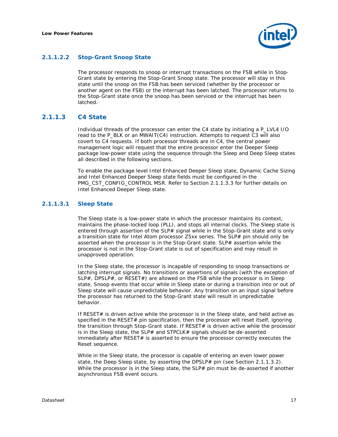

### **2.1.1.2.2 Stop-Grant Snoop State**

<span id="page-16-0"></span>The processor responds to snoop or interrupt transactions on the FSB while in Stop-Grant state by entering the Stop-Grant Snoop state. The processor will stay in this state until the snoop on the FSB has been serviced (whether by the processor or another agent on the FSB) or the interrupt has been latched. The processor returns to the Stop-Grant state once the snoop has been serviced or the interrupt has been latched.

### **2.1.1.3 C4 State**

Individual threads of the processor can enter the C4 state by initiating a P\_LVL4 I/O read to the P\_BLK or an MWAIT(C4) instruction. Attempts to request C3 will also covert to C4 requests. If both processor threads are in C4, the central power management logic will request that the entire processor enter the Deeper Sleep package low-power state using the sequence through the Sleep and Deep Sleep states all described in the following sections.

<span id="page-16-1"></span>To enable the package level Intel Enhanced Deeper Sleep state, Dynamic Cache Sizing and Intel Enhanced Deeper Sleep state fields must be configured in the PMG\_CST\_CONFIG\_CONTROL MSR. Refer to Section [2.1.1.3.3](#page-17-0) for further details on Intel Enhanced Deeper Sleep state.

### **2.1.1.3.1 Sleep State**

The Sleep state is a low-power state in which the processor maintains its context, maintains the phase-locked loop (PLL), and stops all internal clocks. The Sleep state is entered through assertion of the SLP# signal while in the Stop-Grant state and is only a transition state for Intel Atom processor Z5xx series. The SLP# pin should only be asserted when the processor is in the Stop-Grant state. SLP# assertion while the processor is not in the Stop-Grant state is out of specification and may result in unapproved operation.

In the Sleep state, the processor is incapable of responding to snoop transactions or latching interrupt signals. No transitions or assertions of signals (with the exception of SLP#, DPSLP#, or RESET#) are allowed on the FSB while the processor is in Sleep state. Snoop events that occur while in Sleep state or during a transition into or out of Sleep state will cause unpredictable behavior. Any transition on an input signal before the processor has returned to the Stop-Grant state will result in unpredictable behavior.

If RESET# is driven active while the processor is in the Sleep state, and held active as specified in the RESET# pin specification, then the processor will reset itself, ignoring the transition through Stop-Grant state. If RESET $#$  is driven active while the processor is in the Sleep state, the SLP $#$  and STPCLK $#$  signals should be de-asserted immediately after RESET# is asserted to ensure the processor correctly executes the Reset sequence.

While in the Sleep state, the processor is capable of entering an even lower power state, the Deep Sleep state, by asserting the DPSLP# pin (see Section [2.1.1.3.2\)](#page-17-1). While the processor is in the Sleep state, the SLP# pin must be de-asserted if another asynchronous FSB event occurs.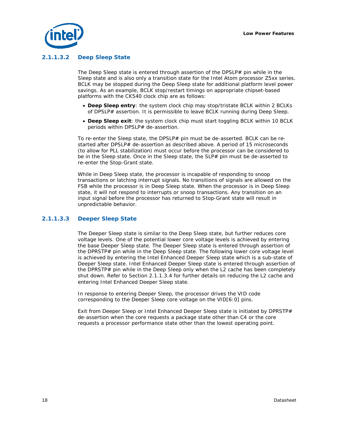

### **2.1.1.3.2 Deep Sleep State**

<span id="page-17-1"></span>The Deep Sleep state is entered through assertion of the DPSLP# pin while in the Sleep state and is also only a transition state for the Intel Atom processor Z5xx series. BCLK may be stopped during the Deep Sleep state for additional platform level power savings. As an example, BCLK stop/restart timings on appropriate chipset-based platforms with the CK540 clock chip are as follows:

- **Deep Sleep entry**: the system clock chip may stop/tristate BCLK within 2 BCLKs of DPSLP# assertion. It is permissible to leave BCLK running during Deep Sleep.
- **Deep Sleep exit**: the system clock chip must start toggling BCLK within 10 BCLK periods within DPSLP# de-assertion.

To re-enter the Sleep state, the DPSLP# pin must be de-asserted. BCLK can be restarted after DPSLP# de-assertion as described above. A period of 15 microseconds (to allow for PLL stabilization) must occur before the processor can be considered to be in the Sleep state. Once in the Sleep state, the SLP# pin must be de-asserted to re-enter the Stop-Grant state.

While in Deep Sleep state, the processor is incapable of responding to snoop transactions or latching interrupt signals. No transitions of signals are allowed on the FSB while the processor is in Deep Sleep state. When the processor is in Deep Sleep state, it will not respond to interrupts or snoop transactions. Any transition on an input signal before the processor has returned to Stop-Grant state will result in unpredictable behavior.

### **2.1.1.3.3 Deeper Sleep State**

<span id="page-17-0"></span>The Deeper Sleep state is similar to the Deep Sleep state, but further reduces core voltage levels. One of the potential lower core voltage levels is achieved by entering the base Deeper Sleep state. The Deeper Sleep state is entered through assertion of the DPRSTP# pin while in the Deep Sleep state. The following lower core voltage level is achieved by entering the Intel Enhanced Deeper Sleep state which is a sub-state of Deeper Sleep state. Intel Enhanced Deeper Sleep state is entered through assertion of the DPRSTP# pin while in the Deep Sleep only when the L2 cache has been completely shut down. Refer to Section [2.1.1.3.4](#page-18-0) for further details on reducing the L2 cache and entering Intel Enhanced Deeper Sleep state.

In response to entering Deeper Sleep, the processor drives the VID code corresponding to the Deeper Sleep core voltage on the VID[6:0] pins.

Exit from Deeper Sleep or Intel Enhanced Deeper Sleep state is initiated by DPRSTP# de-assertion when the core requests a package state other than C4 or the core requests a processor performance state other than the lowest operating point.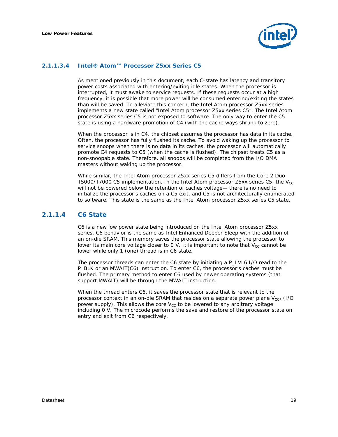

### **2.1.1.3.4 Intel® Atom™ Processor Z5xx Series C5**

<span id="page-18-0"></span>As mentioned previously in this document, each C-state has latency and transitory power costs associated with entering/exiting idle states. When the processor is interrupted, it must awake to service requests. If these requests occur at a high frequency, it is possible that more power will be consumed entering/exiting the states than will be saved. To alleviate this concern, the Intel Atom processor Z5xx series implements a new state called "Intel Atom processor Z5xx series C5". The Intel Atom processor Z5xx series C5 is not exposed to software. The only way to enter the C5 state is using a hardware promotion of C4 (with the cache ways shrunk to zero).

When the processor is in C4, the chipset assumes the processor has data in its cache. Often, the processor has fully flushed its cache. To avoid waking up the processor to service snoops when there is no data in its caches, the processor will automatically promote C4 requests to C5 (when the cache is flushed). The chipset treats C5 as a non-snoopable state. Therefore, all snoops will be completed from the I/O DMA masters without waking up the processor.

While similar, the Intel Atom processor Z5xx series C5 differs from the Core 2 Duo T5000/T7000 C5 implementation. In the Intel Atom processor Z5xx series C5, the  $V_{CC}$ will not be powered below the retention of caches voltage— there is no need to initialize the processor's caches on a C5 exit, and C5 is not architecturally enumerated to software. This state is the same as the Intel Atom processor Z5xx series C5 state.

### **2.1.1.4 C6 State**

C6 is a new low power state being introduced on the Intel Atom processor Z5xx series. C6 behavior is the same as Intel Enhanced Deeper Sleep with the addition of an on-die SRAM. This memory saves the processor state allowing the processor to lower its main core voltage closer to 0 V. It is important to note that  $V_{CC}$  cannot be lower while only 1 (one) thread is in C6 state.

The processor threads can enter the C6 state by initiating a P\_LVL6 I/O read to the P\_BLK or an MWAIT(C6) instruction. To enter C6, the processor's caches must be flushed. The primary method to enter C6 used by newer operating systems (that support MWAIT) will be through the MWAIT instruction.

When the thread enters C6, it saves the processor state that is relevant to the processor context in an on-die SRAM that resides on a separate power plane  $V_{CCP}$  (I/O power supply). This allows the core  $V_{CC}$  to be lowered to any arbitrary voltage including 0 V. The microcode performs the save and restore of the processor state on entry and exit from C6 respectively.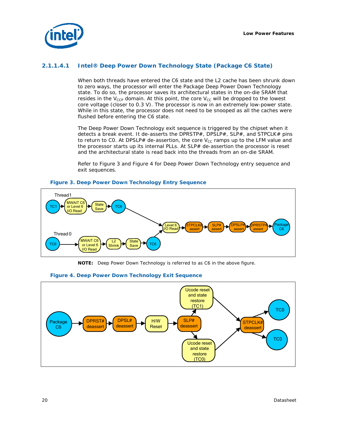

### **2.1.1.4.1 Intel® Deep Power Down Technology State (Package C6 State)**

When both threads have entered the C6 state and the L2 cache has been shrunk down to zero ways, the processor will enter the Package Deep Power Down Technology state. To do so, the processor saves its architectural states in the on-die SRAM that resides in the  $V_{CCP}$  domain. At this point, the core  $V_{CC}$  will be dropped to the lowest core voltage (closer to 0.3 V). The processor is now in an extremely low-power state. While in this state, the processor does not need to be snooped as all the caches were flushed before entering the C6 state.

The Deep Power Down Technology exit sequence is triggered by the chipset when it detects a break event. It de-asserts the DPRSTP#, DPSLP#, SLP#, and STPCLK# pins to return to C0. At DPSLP# de-assertion, the core  $V_{cc}$  ramps up to the LFM value and the processor starts up its internal PLLs. At SLP# de-assertion the processor is reset and the architectural state is read back into the threads from an on-die SRAM.

Refer to [Figure 3](#page-19-0) and [Figure 4](#page-19-1) for Deep Power Down Technology entry sequence and exit sequences.



### <span id="page-19-0"></span>**Figure 3. Deep Power Down Technology Entry Sequence**





#### <span id="page-19-1"></span>**Figure 4. Deep Power Down Technology Exit Sequence**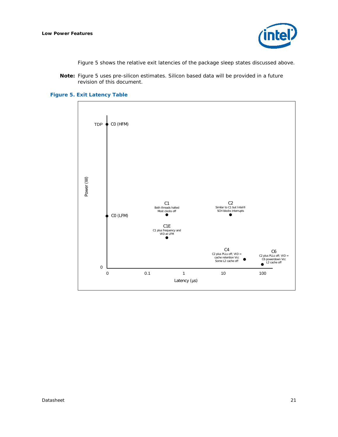

[Figure 5](#page-20-0) shows the relative exit latencies of the package sleep states discussed above.

*Note:* [Figure 5](#page-20-0) uses pre-silicon estimates. Silicon based data will be provided in a future revision of this document.

<span id="page-20-0"></span>

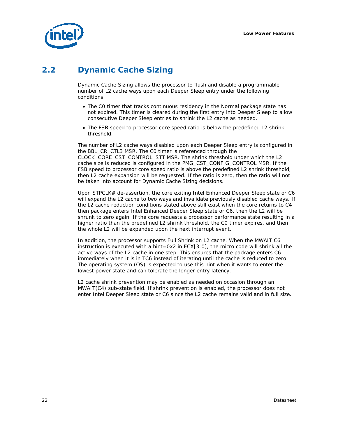

# **2.2 Dynamic Cache Sizing**

<span id="page-21-0"></span>Dynamic Cache Sizing allows the processor to flush and disable a programmable number of L2 cache ways upon each Deeper Sleep entry under the following conditions:

- The C0 timer that tracks continuous residency in the Normal package state has not expired. This timer is cleared during the first entry into Deeper Sleep to allow consecutive Deeper Sleep entries to shrink the L2 cache as needed.
- The FSB speed to processor core speed ratio is below the predefined L2 shrink threshold.

The number of L2 cache ways disabled upon each Deeper Sleep entry is configured in the BBL\_CR\_CTL3 MSR. The C0 timer is referenced through the CLOCK\_CORE\_CST\_CONTROL\_STT MSR. The shrink threshold under which the L2 cache size is reduced is configured in the PMG\_CST\_CONFIG\_CONTROL MSR. If the FSB speed to processor core speed ratio is above the predefined L2 shrink threshold, then L2 cache expansion will be requested. If the ratio is zero, then the ratio will not be taken into account for Dynamic Cache Sizing decisions.

Upon STPCLK# de-assertion, the core exiting Intel Enhanced Deeper Sleep state or C6 will expand the L2 cache to two ways and invalidate previously disabled cache ways. If the L2 cache reduction conditions stated above still exist when the core returns to C4 then package enters Intel Enhanced Deeper Sleep state or C6, then the L2 will be shrunk to zero again. If the core requests a processor performance state resulting in a higher ratio than the predefined L2 shrink threshold, the C0 timer expires, and then the whole L2 will be expanded upon the next interrupt event.

In addition, the processor supports Full Shrink on L2 cache. When the MWAIT C6 instruction is executed with a hint=0x2 in  $ECX[3:0]$ , the micro code will shrink all the active ways of the L2 cache in one step. This ensures that the package enters C6 immediately when it is in TC6 instead of iterating until the cache is reduced to zero. The operating system (OS) is expected to use this hint when it wants to enter the lowest power state and can tolerate the longer entry latency.

L2 cache shrink prevention may be enabled as needed on occasion through an MWAIT(C4) sub-state field. If shrink prevention is enabled, the processor does not enter Intel Deeper Sleep state or C6 since the L2 cache remains valid and in full size.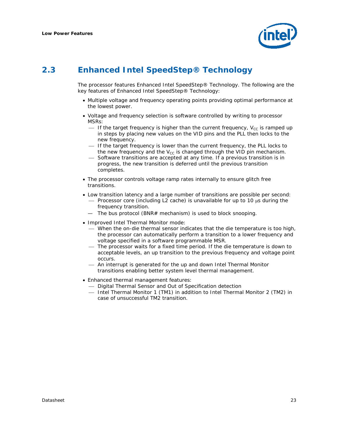

# **2.3 Enhanced Intel SpeedStep® Technology**

<span id="page-22-0"></span>The processor features Enhanced Intel SpeedStep® Technology. The following are the key features of Enhanced Intel SpeedStep® Technology:

- Multiple voltage and frequency operating points providing optimal performance at the lowest power.
- Voltage and frequency selection is software controlled by writing to processor MSRs:
	- $-$  If the target frequency is higher than the current frequency,  $V_{\text{cc}}$  is ramped up in steps by placing new values on the VID pins and the PLL then locks to the new frequency.
	- If the target frequency is lower than the current frequency, the PLL locks to the new frequency and the  $V_{cc}$  is changed through the VID pin mechanism.
	- Software transitions are accepted at any time. If a previous transition is in progress, the new transition is deferred until the previous transition completes.
- The processor controls voltage ramp rates internally to ensure glitch free transitions.
- Low transition latency and a large number of transitions are possible per second:
	- $-$  Processor core (including L2 cache) is unavailable for up to 10  $\mu$ s during the frequency transition.
	- The bus protocol (BNR# mechanism) is used to block snooping.
- Improved Intel Thermal Monitor mode:
	- When the on-die thermal sensor indicates that the die temperature is too high, the processor can automatically perform a transition to a lower frequency and voltage specified in a software programmable MSR.
	- The processor waits for a fixed time period. If the die temperature is down to acceptable levels, an up transition to the previous frequency and voltage point occurs.
	- An interrupt is generated for the up and down Intel Thermal Monitor transitions enabling better system level thermal management.
- Enhanced thermal management features:
	- Digital Thermal Sensor and Out of Specification detection
	- Intel Thermal Monitor 1 (TM1) in addition to Intel Thermal Monitor 2 (TM2) in case of unsuccessful TM2 transition.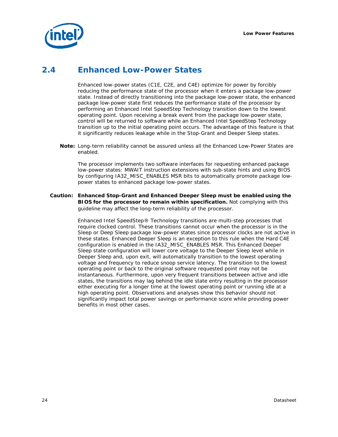

## **2.4 Enhanced Low-Power States**

<span id="page-23-0"></span>Enhanced low-power states (C1E, C2E, and C4E) optimize for power by forcibly reducing the performance state of the processor when it enters a package low-power state. Instead of directly transitioning into the package low-power state, the enhanced package low-power state first reduces the performance state of the processor by performing an Enhanced Intel SpeedStep Technology transition down to the lowest operating point. Upon receiving a break event from the package low-power state, control will be returned to software while an Enhanced Intel SpeedStep Technology transition up to the initial operating point occurs. The advantage of this feature is that it significantly reduces leakage while in the Stop-Grant and Deeper Sleep states.

*Note:* Long-term reliability cannot be assured unless all the Enhanced Low-Power States are enabled.

The processor implements two software interfaces for requesting enhanced package low-power states: MWAIT instruction extensions with sub-state hints and using BIOS by configuring IA32\_MISC\_ENABLES MSR bits to automatically promote package lowpower states to enhanced package low-power states.

*Caution:* **Enhanced Stop-Grant and Enhanced Deeper Sleep must be enabled using the BIOS for the processor to remain within specification.** Not complying with this guideline may affect the long-term reliability of the processor.

> Enhanced Intel SpeedStep® Technology transitions are multi-step processes that require clocked control. These transitions cannot occur when the processor is in the Sleep or Deep Sleep package low-power states since processor clocks are not active in these states. Enhanced Deeper Sleep is an exception to this rule when the Hard C4E configuration is enabled in the IA32\_MISC\_ENABLES MSR. This Enhanced Deeper Sleep state configuration will lower core voltage to the Deeper Sleep level while in Deeper Sleep and, upon exit, will automatically transition to the lowest operating voltage and frequency to reduce snoop service latency. The transition to the lowest operating point or back to the original software requested point may not be instantaneous. Furthermore, upon very frequent transitions between active and idle states, the transitions may lag behind the idle state entry resulting in the processor either executing for a longer time at the lowest operating point or running idle at a high operating point. Observations and analyses show this behavior should not significantly impact total power savings or performance score while providing power benefits in most other cases.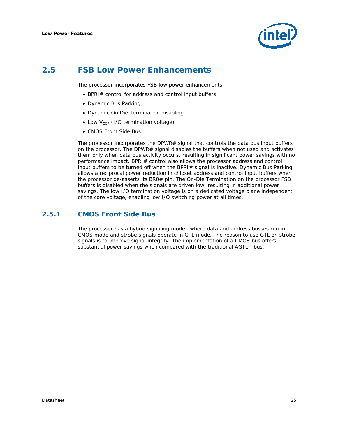

# **2.5 FSB Low Power Enhancements**

<span id="page-24-0"></span>The processor incorporates FSB low power enhancements:

- BPRI# control for address and control input buffers
- Dynamic Bus Parking
- Dynamic On Die Termination disabling
- Low  $V_{CCP}$  (I/O termination voltage)
- CMOS Front Side Bus

The processor incorporates the DPWR# signal that controls the data bus input buffers on the processor. The DPWR# signal disables the buffers when not used and activates them only when data bus activity occurs, resulting in significant power savings with no performance impact. BPRI# control also allows the processor address and control input buffers to be turned off when the BPRI# signal is inactive. Dynamic Bus Parking allows a reciprocal power reduction in chipset address and control input buffers when the processor de-asserts its BR0# pin. The On-Die Termination on the processor FSB buffers is disabled when the signals are driven low, resulting in additional power savings. The low I/O termination voltage is on a dedicated voltage plane independent of the core voltage, enabling low I/O switching power at all times.

### **2.5.1 CMOS Front Side Bus**

<span id="page-24-1"></span>The processor has a hybrid signaling mode—where data and address busses run in CMOS mode and strobe signals operate in GTL mode. The reason to use GTL on strobe signals is to improve signal integrity. The implementation of a CMOS bus offers substantial power savings when compared with the traditional AGTL+ bus.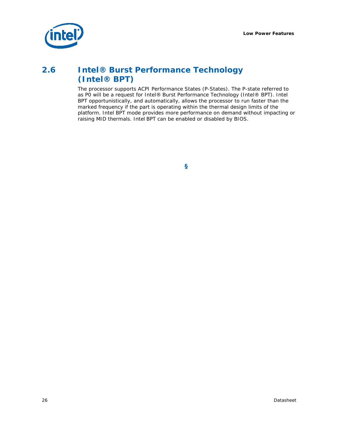

# **2.6 Intel® Burst Performance Technology (Intel® BPT)**

<span id="page-25-0"></span>The processor supports ACPI Performance States (P-States). The P-state referred to as P0 will be a request for Intel® Burst Performance Technology (Intel® BPT). Intel BPT opportunistically, and automatically, allows the processor to run faster than the marked frequency if the part is operating within the thermal design limits of the platform. Intel BPT mode provides more performance on demand without impacting or raising MID thermals. Intel BPT can be enabled or disabled by BIOS*.*

**§**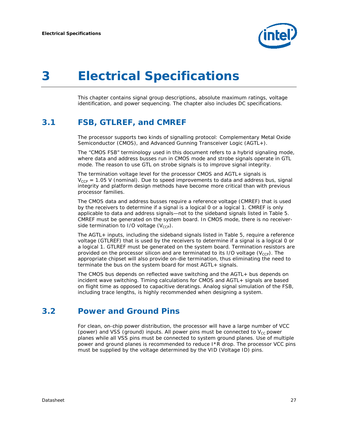

# <span id="page-26-0"></span>*3 Electrical Specifications*

<span id="page-26-1"></span>This chapter contains signal group descriptions, absolute maximum ratings, voltage identification, and power sequencing. The chapter also includes DC specifications.

### **3.1 FSB, GTLREF, and CMREF**

The processor supports two kinds of signalling protocol: Complementary Metal Oxide Semiconductor (CMOS), and Advanced Gunning Transceiver Logic (AGTL+).

The "CMOS FSB" terminology used in this document refers to a hybrid signaling mode, where data and address busses run in CMOS mode and strobe signals operate in GTL mode. The reason to use GTL on strobe signals is to improve signal integrity.

The termination voltage level for the processor CMOS and AGTL+ signals is  $V_{CCP}$  = 1.05 V (nominal). Due to speed improvements to data and address bus, signal integrity and platform design methods have become more critical than with previous processor families.

The CMOS data and address busses require a reference voltage (CMREF) that is used by the receivers to determine if a signal is a logical 0 or a logical 1. CMREF is only applicable to data and address signals—not to the sideband signals listed in [Table 5.](#page-31-0) CMREF must be generated on the system board. In CMOS mode, there is no receiverside termination to I/O voltage  $(V_{CCP})$ .

The AGTL+ inputs, including the sideband signals listed in [Table 5,](#page-31-0) require a reference voltage (GTLREF) that is used by the receivers to determine if a signal is a logical 0 or a logical 1. GTLREF must be generated on the system board. Termination resistors are provided on the processor silicon and are terminated to its I/O voltage  $(V_{CCP})$ . The appropriate chipset will also provide on-die termination, thus eliminating the need to terminate the bus on the system board for most AGTL+ signals.

<span id="page-26-2"></span>The CMOS bus depends on reflected wave switching and the AGTL+ bus depends on incident wave switching. Timing calculations for CMOS and AGTL+ signals are based on flight time as opposed to capacitive deratings. Analog signal simulation of the FSB, including trace lengths, is highly recommended when designing a system.

### **3.2 Power and Ground Pins**

For clean, on-chip power distribution, the processor will have a large number of VCC (power) and VSS (ground) inputs. All power pins must be connected to  $V_{CC}$  power planes while all VSS pins must be connected to system ground planes. Use of multiple power and ground planes is recommended to reduce I\*R drop. The processor VCC pins must be supplied by the voltage determined by the VID (Voltage ID) pins.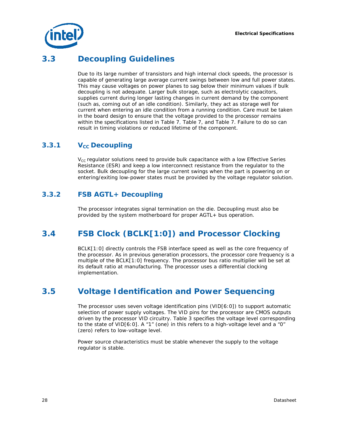

# **3.3 Decoupling Guidelines**

<span id="page-27-0"></span>Due to its large number of transistors and high internal clock speeds, the processor is capable of generating large average current swings between low and full power states. This may cause voltages on power planes to sag below their minimum values if bulk decoupling is not adequate. Larger bulk storage, such as electrolytic capacitors, supplies current during longer lasting changes in current demand by the component (such as, coming out of an idle condition). Similarly, they act as storage well for current when entering an idle condition from a running condition. Care must be taken in the board design to ensure that the voltage provided to the processor remains within the specifications listed in [Table 7, Table 7,](#page-34-0) and [Table 7.](#page-34-0) Failure to do so can result in timing violations or reduced lifetime of the component.

### **3.3.1 V<sub>CC</sub> Decoupling**

<span id="page-27-2"></span><span id="page-27-1"></span> $V_{\text{CC}}$  regulator solutions need to provide bulk capacitance with a low Effective Series Resistance (ESR) and keep a low interconnect resistance from the regulator to the socket. Bulk decoupling for the large current swings when the part is powering on or entering/exiting low-power states must be provided by the voltage regulator solution*.* 

### **3.3.2 FSB AGTL+ Decoupling**

<span id="page-27-3"></span>The processor integrates signal termination on the die. Decoupling must also be provided by the system motherboard for proper AGTL+ bus operation.

# **3.4 FSB Clock (BCLK[1:0]) and Processor Clocking**

BCLK[1:0] directly controls the FSB interface speed as well as the core frequency of the processor. As in previous generation processors, the processor core frequency is a multiple of the BCLK[1:0] frequency. The processor bus ratio multiplier will be set at its default ratio at manufacturing. The processor uses a differential clocking implementation.

# **3.5 Voltage Identification and Power Sequencing**

<span id="page-27-4"></span>The processor uses seven voltage identification pins (VID[6:0]) to support automatic selection of power supply voltages. The VID pins for the processor are CMOS outputs driven by the processor VID circuitry. [Table 3](#page-28-0) specifies the voltage level corresponding to the state of VID[6:0]. A "1" (one) in this refers to a high-voltage level and a "0" (zero) refers to low-voltage level.

Power source characteristics must be stable whenever the supply to the voltage regulator is stable.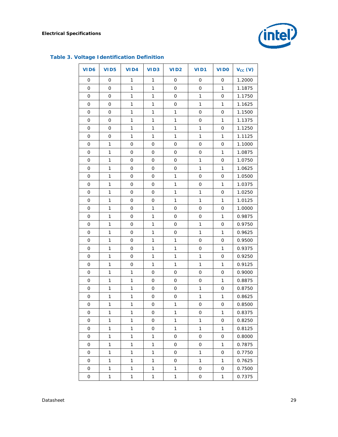

### <span id="page-28-0"></span>**Table 3. Voltage Identification Definition**

| VID <sub>6</sub> | VID5         | VID4         | VID <sub>3</sub> | VID <sub>2</sub>    | VID1                | <b>VIDO</b>  | $V_{CC}$ (V) |
|------------------|--------------|--------------|------------------|---------------------|---------------------|--------------|--------------|
| 0                | 0            | 1            | $\mathbf{1}$     | 0                   | 0                   | 0            | 1.2000       |
| 0                | 0            | 1            | 1                | 0                   | 0                   | 1            | 1.1875       |
| 0                | 0            | 1            | 1                | 0                   | 1                   | 0            | 1.1750       |
| 0                | 0            | 1            | $\mathbf{1}$     | $\mathsf{O}\xspace$ | 1                   | 1            | 1.1625       |
| 0                | 0            | $\mathbf{1}$ | 1                | 1                   | 0                   | 0            | 1.1500       |
| 0                | 0            | 1            | $\mathbf{1}$     | 1                   | 0                   | 1            | 1.1375       |
| 0                | 0            | 1            | 1                | 1                   | 1                   | 0            | 1.1250       |
| 0                | $\mathbf 0$  | 1            | 1                | 1                   | 1                   | 1            | 1.1125       |
| 0                | 1            | 0            | 0                | 0                   | 0                   | 0            | 1.1000       |
| 0                | 1            | 0            | 0                | 0                   | 0                   | 1            | 1.0875       |
| 0                | 1            | 0            | 0                | $\mathsf{O}\xspace$ | 1                   | $\mathsf O$  | 1.0750       |
| 0                | $\mathbf{1}$ | 0            | 0                | $\mathbf 0$         | $\mathbf{1}$        | $\mathbf{1}$ | 1.0625       |
| 0                | $\mathbf{1}$ | 0            | 0                | $\mathbf{1}$        | 0                   | 0            | 1.0500       |
| 0                | 1            | 0            | 0                | 1                   | 0                   | $\mathbf{1}$ | 1.0375       |
| 0                | 1            | 0            | 0                | 1                   | 1                   | 0            | 1.0250       |
| 0                | 1            | 0            | $\mathbf 0$      | $\mathbf{1}$        | 1                   | 1            | 1.0125       |
| 0                | 1            | 0            | 1                | $\mathsf{O}\xspace$ | 0                   | 0            | 1.0000       |
| 0                | $\mathbf{1}$ | 0            | 1                | 0                   | 0                   | 1            | 0.9875       |
| 0                | 1            | 0            | $\mathbf{1}$     | 0                   | $\mathbf{1}$        | 0            | 0.9750       |
| 0                | 1            | 0            | $\mathbf{1}$     | 0                   | 1                   | 1            | 0.9625       |
| 0                | $\mathbf{1}$ | 0            | $\mathbf{1}$     | 1                   | 0                   | 0            | 0.9500       |
| 0                | 1            | 0            | 1                | 1                   | 0                   | 1            | 0.9375       |
| 0                | 1            | 0            | 1                | 1                   | 1                   | 0            | 0.9250       |
| 0                | 1            | 0            | 1                | 1                   | 1                   | $\mathbf{1}$ | 0.9125       |
| 0                | $\mathbf{1}$ | 1            | 0                | $\mathbf 0$         | 0                   | 0            | 0.9000       |
| 0                | 1            | 1            | 0                | 0                   | 0                   | $\mathbf{1}$ | 0.8875       |
| 0                | 1            | 1            | 0                | 0                   | 1                   | 0            | 0.8750       |
| 0                | 1            | 1            | 0                | $\mathsf{O}\xspace$ | 1                   | 1            | 0.8625       |
| 0                | 1            | $\mathbf{1}$ | 0                | $\mathbf{1}$        | $\mathsf{O}\xspace$ | 0            | 0.8500       |
| 0                | $\mathbf{1}$ | 1            | 0                | 1                   | 0                   | 1            | 0.8375       |
| 0                | $\mathbf{1}$ | 1            | 0                | 1                   | 1                   | 0            | 0.8250       |
| 0                | 1            | 1            | 0                | 1                   | 1                   | $\mathbf{1}$ | 0.8125       |
| 0                | 1            | 1            | 1                | 0                   | 0                   | 0            | 0.8000       |
| 0                | 1            | 1            | 1                | 0                   | 0                   | 1            | 0.7875       |
| 0                | 1            | 1            | $\mathbf{1}$     | 0                   | 1                   | 0            | 0.7750       |
| 0                | 1            | 1            | 1                | 0                   | 1                   | 1            | 0.7625       |
| 0                | 1            | 1            | 1                | 1                   | 0                   | 0            | 0.7500       |
| 0                | $\mathbf{1}$ | 1            | $\mathbf{1}$     | 1                   | 0                   | 1            | 0.7375       |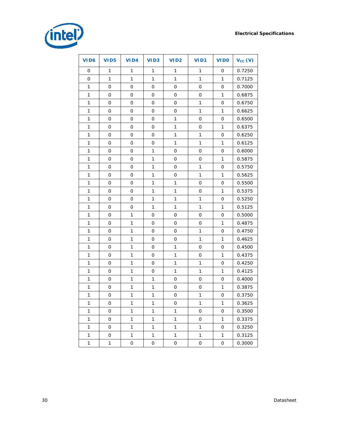

| VID6         | VID <sub>5</sub> | VID4         | VID3         | <b>VID2</b>         | VID1                | <b>VIDO</b>  | $V_{CC}$ (V) |
|--------------|------------------|--------------|--------------|---------------------|---------------------|--------------|--------------|
| 0            | 1                | 1            | 1            | 1                   | 1                   | 0            | 0.7250       |
| 0            | 1                | 1            | 1            | 1                   | $\mathbf{1}$        | 1            | 0.7125       |
| 1            | $\mathbf 0$      | 0            | 0            | $\mathbf 0$         | $\mathbf 0$         | 0            | 0.7000       |
| $\mathbf{1}$ | 0                | 0            | 0            | 0                   | 0                   | $\mathbf{1}$ | 0.6875       |
| $\mathbf{1}$ | 0                | 0            | 0            | 0                   | $\mathbf{1}$        | 0            | 0.6750       |
| 1            | 0                | 0            | 0            | 0                   | 1                   | 1            | 0.6625       |
| 1            | 0                | 0            | 0            | 1                   | 0                   | 0            | 0.6500       |
| $\mathbf{1}$ | 0                | 0            | 0            | 1                   | 0                   | $\mathbf{1}$ | 0.6375       |
| 1            | $\mathbf 0$      | 0            | 0            | 1                   | 1                   | $\mathsf O$  | 0.6250       |
| 1            | 0                | 0            | 0            | 1                   | $\mathbf{1}$        | $\mathbf{1}$ | 0.6125       |
| $\mathbf{1}$ | 0                | 0            | 1            | 0                   | $\mathsf{O}\xspace$ | 0            | 0.6000       |
| $\mathbf 1$  | 0                | 0            | 1            | 0                   | $\mathsf{O}\xspace$ | $\mathbf{1}$ | 0.5875       |
| 1            | 0                | 0            | 1            | 0                   | 1                   | 0            | 0.5750       |
| 1            | 0                | 0            | 1            | $\mathsf{O}\xspace$ | $\mathbf{1}$        | 1            | 0.5625       |
| $\mathbf{1}$ | 0                | 0            | 1            | 1                   | 0                   | 0            | 0.5500       |
| 1            | 0                | 0            | 1            | 1                   | 0                   | $\mathbf{1}$ | 0.5375       |
| $\mathbf{1}$ | 0                | 0            | 1            | 1                   | $\mathbf{1}$        | 0            | 0.5250       |
| 1            | 0                | 0            | 1            | 1                   | 1                   | 1            | 0.5125       |
| 1            | 0                | 1            | 0            | 0                   | 0                   | 0            | 0.5000       |
| 1            | 0                | 1            | 0            | 0                   | 0                   | 1            | 0.4875       |
| $\mathbf{1}$ | 0                | 1            | 0            | 0                   | $\mathbf{1}$        | 0            | 0.4750       |
| 1            | 0                | 1            | 0            | 0                   | $\mathbf{1}$        | $\mathbf{1}$ | 0.4625       |
| 1            | 0                | 1            | 0            | 1                   | 0                   | 0            | 0.4500       |
| $\mathbf{1}$ | 0                | 1            | 0            | 1                   | 0                   | 1            | 0.4375       |
| 1            | 0                | 1            | 0            | 1                   | 1                   | 0            | 0.4250       |
| 1            | 0                | $\mathbf{1}$ | 0            | 1                   | $\mathbf{1}$        | $\mathbf{1}$ | 0.4125       |
| 1            | 0                | 1            | 1            | 0                   | 0                   | 0            | 0.4000       |
| 1            | $\mathbf 0$      | 1            | 1            | $\mathsf{O}\xspace$ | $\mathsf{O}\xspace$ | $\mathbf{1}$ | 0.3875       |
| $\mathbf{1}$ | 0                | $\mathbf 1$  | 1            | 0                   | $\mathbf{1}$        | 0            | 0.3750       |
| 1            | 0                | 1            | 1            | 0                   | $\mathbf{1}$        | 1            | 0.3625       |
| 1            | 0                | 1            | 1            | 1                   | 0                   | 0            | 0.3500       |
| 1            | 0                | 1            | 1            | 1                   | 0                   | 1            | 0.3375       |
| 1            | 0                | 1            | $\mathbf{1}$ | 1                   | 1                   | 0            | 0.3250       |
| 1            | 0                | 1            | 1            | 1                   | 1                   | $\mathbf{1}$ | 0.3125       |
| 1            | 1                | 0            | 0            | 0                   | 0                   | 0            | 0.3000       |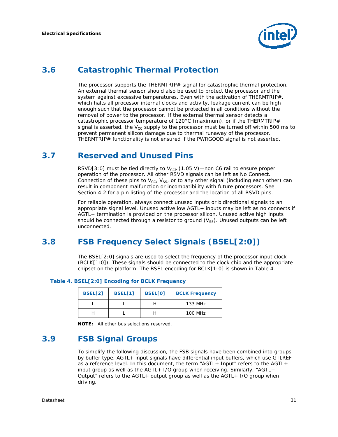

# **3.6 Catastrophic Thermal Protection**

<span id="page-30-0"></span>The processor supports the THERMTRIP# signal for catastrophic thermal protection. An external thermal sensor should also be used to protect the processor and the system against excessive temperatures. Even with the activation of THERMTRIP#, which halts all processor internal clocks and activity, leakage current can be high enough such that the processor cannot be protected in all conditions without the removal of power to the processor. If the external thermal sensor detects a catastrophic processor temperature of 120°C (maximum), or if the THERMTRIP# signal is asserted, the  $V_{CC}$  supply to the processor must be turned off within 500 ms to prevent permanent silicon damage due to thermal runaway of the processor. THERMTRIP# functionality is not ensured if the PWRGOOD signal is not asserted.

### **3.7 Reserved and Unused Pins**

<span id="page-30-1"></span>RSVD[3:0] must be tied directly to  $V_{CCP}$  (1.05 V)—non C6 rail to ensure proper operation of the processor. All other RSVD signals can be left as No Connect. Connection of these pins to  $V_{CC}$ ,  $V_{SS}$ , or to any other signal (including each other) can result in component malfunction or incompatibility with future processors. See Section [4.2](#page-48-0) for a pin listing of the processor and the location of all RSVD pins.

For reliable operation, always connect unused inputs or bidirectional signals to an appropriate signal level. Unused active low AGTL+ inputs may be left as no connects if AGTL+ termination is provided on the processor silicon. Unused active high inputs should be connected through a resistor to ground  $(V_{SS})$ . Unused outputs can be left unconnected.

# **3.8 FSB Frequency Select Signals (BSEL[2:0])**

<span id="page-30-2"></span>The BSEL[2:0] signals are used to select the frequency of the processor input clock (BCLK[1:0]). These signals should be connected to the clock chip and the appropriate chipset on the platform. The BSEL encoding for BCLK[1:0] is shown in [Table 4.](#page-30-4)

| <b>BSEL[2]</b> | BSEL[1] | BSEL[0] | <b>BCLK Frequency</b> |
|----------------|---------|---------|-----------------------|
|                |         |         | 133 MHz               |

H L H 100 MHz

### <span id="page-30-4"></span>**Table 4. BSEL[2:0] Encoding for BCLK Frequency**

<span id="page-30-3"></span>**NOTE:** All other bus selections reserved.

# **3.9 FSB Signal Groups**

To simplify the following discussion, the FSB signals have been combined into groups by buffer type. AGTL+ input signals have differential input buffers, which use GTLREF as a reference level. In this document, the term "AGTL+ Input" refers to the AGTL+ input group as well as the AGTL+ I/O group when receiving. Similarly, "AGTL+ Output" refers to the AGTL+ output group as well as the AGTL+ I/O group when driving.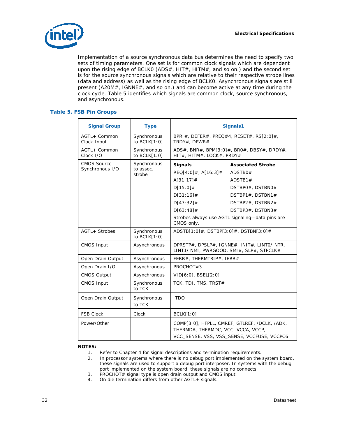

Implementation of a source synchronous data bus determines the need to specify two sets of timing parameters. One set is for common clock signals which are dependent upon the rising edge of BCLK0 (ADS#, HIT#, HITM#, and so on.) and the second set is for the source synchronous signals which are relative to their respective strobe lines (data and address) as well as the rising edge of BCLK0. Asynchronous signals are still present (A20M#, IGNNE#, and so on.) and can become active at any time during the clock cycle. [Table 5](#page-31-0) identifies which signals are common clock, source synchronous, and asynchronous.

### <span id="page-31-0"></span>**Table 5. FSB Pin Groups**

| <b>Signal Group</b>                   | <b>Type</b>                        | Signals1                                                                                                                              |                                                                                                                                                                                   |  |  |
|---------------------------------------|------------------------------------|---------------------------------------------------------------------------------------------------------------------------------------|-----------------------------------------------------------------------------------------------------------------------------------------------------------------------------------|--|--|
| AGTL+ Common<br>Clock Input           | Synchronous<br>to BCLK[1:0]        | BPRI#, DEFER#, PREQ#4, RESET#, RS[2:0]#,<br>TRDY#, DPWR#                                                                              |                                                                                                                                                                                   |  |  |
| AGTL+ Common<br>Clock I/O             | Synchronous<br>to BCLK[1:0]        | ADS#, BNR#, BPM[3:0]#, BR0#, DBSY#, DRDY#,<br>HIT#, HITM#, LOCK#, PRDY#                                                               |                                                                                                                                                                                   |  |  |
| <b>CMOS Source</b><br>Synchronous I/O | Synchronous<br>to assoc.<br>strobe | <b>Signals</b><br>$REQ[4:0]$ #, A[16:3]#<br>$A[31:17]$ #<br>$D[15:0]$ #<br>$D[31:16]$ #<br>$D[47:32]$ #<br>$D[63:48]$ #<br>CMOS only. | <b>Associated Strobe</b><br>ADSTB0#<br>ADSTB1#<br>DSTBP0#, DSTBN0#<br>DSTBP1#, DSTBN1#<br>DSTBP2#, DSTBN2#<br>DSTBP3#, DSTBN3#<br>Strobes always use AGTL signaling-data pins are |  |  |
| AGTL+ Strobes                         | Synchronous<br>to $BCLK[1:0]$      | ADSTB[1:0]#, DSTBP[3:0]#, DSTBN[3:0]#                                                                                                 |                                                                                                                                                                                   |  |  |
| CMOS Input                            | Asynchronous                       | DPRSTP#, DPSLP#, IGNNE#, INIT#, LINTO/INTR,<br>LINT1/ NMI, PWRGOOD, SMI#, SLP#, STPCLK#                                               |                                                                                                                                                                                   |  |  |
| Open Drain Output                     | Asynchronous                       | FERR#, THERMTRIP#, IERR#                                                                                                              |                                                                                                                                                                                   |  |  |
| Open Drain I/O                        | Asynchronous                       | PROCHOT#3                                                                                                                             |                                                                                                                                                                                   |  |  |
| <b>CMOS Output</b>                    | Asynchronous                       | VID[6:0], BSEL[2:0]                                                                                                                   |                                                                                                                                                                                   |  |  |
| <b>CMOS Input</b>                     | Synchronous<br>to TCK              | TCK, TDI, TMS, TRST#                                                                                                                  |                                                                                                                                                                                   |  |  |
| Open Drain Output                     | Synchronous<br>to TCK              | <b>TDO</b>                                                                                                                            |                                                                                                                                                                                   |  |  |
| <b>FSB Clock</b>                      | Clock                              | BCLK[1:0]                                                                                                                             |                                                                                                                                                                                   |  |  |
| Power/Other                           |                                    | THERMDA, THERMDC, VCC, VCCA, VCCP,                                                                                                    | COMP[3:0], HFPLL, CMREF, GTLREF, /DCLK, /ADK,<br>VCC_SENSE, VSS, VSS_SENSE, VCCFUSE, VCCPC6                                                                                       |  |  |

#### **NOTES:**

- 1. Refer to Chapter [4](#page-46-0) for signal descriptions and termination requirements.
- 2. In processor systems where there is no debug port implemented on the system board, these signals are used to support a debug port interposer. In systems with the debug port implemented on the system board, these signals are no connects.
- 3. PROCHOT# signal type is open drain output and CMOS input.
- 4. On die termination differs from other AGTL+ signals.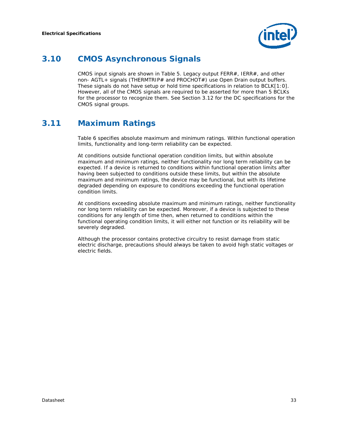

## **3.10 CMOS Asynchronous Signals**

<span id="page-32-0"></span>CMOS input signals are shown in [Table 5.](#page-31-0) Legacy output FERR#, IERR#, and other non- AGTL+ signals (THERMTRIP# and PROCHOT#) use Open Drain output buffers. These signals do not have setup or hold time specifications in relation to BCLK[1:0]. However, all of the CMOS signals are required to be asserted for more than 5 BCLKs for the processor to recognize them. See Section [3.12](#page-33-0) for the DC specifications for the CMOS signal groups.

# **3.11 Maximum Ratings**

<span id="page-32-1"></span>[Table 6](#page-33-1) specifies absolute maximum and minimum ratings. Within functional operation limits, functionality and long-term reliability can be expected.

At conditions outside functional operation condition limits, but within absolute maximum and minimum ratings, neither functionality nor long term reliability can be expected. If a device is returned to conditions within functional operation limits after having been subjected to conditions outside these limits, but within the absolute maximum and minimum ratings, the device may be functional, but with its lifetime degraded depending on exposure to conditions exceeding the functional operation condition limits.

At conditions exceeding absolute maximum and minimum ratings, neither functionality nor long term reliability can be expected. Moreover, if a device is subjected to these conditions for any length of time then, when returned to conditions within the functional operating condition limits, it will either not function or its reliability will be severely degraded.

Although the processor contains protective circuitry to resist damage from static electric discharge, precautions should always be taken to avoid high static voltages or electric fields.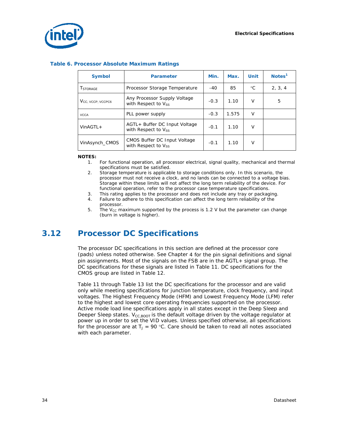

### <span id="page-33-1"></span>**Table 6. Processor Absolute Maximum Ratings**

| <b>Symbol</b>                  | <b>Parameter</b>                                         | Min.   | Max.  | Unit | Notes <sup>1</sup> |
|--------------------------------|----------------------------------------------------------|--------|-------|------|--------------------|
| T <sub>STORAGE</sub>           | Processor Storage Temperature                            | $-40$  | 85    | °€   | 2, 3, 4            |
| V <sub>CC</sub> , VCCP, VCCPC6 | Any Processor Supply Voltage<br>with Respect to $V_{SS}$ | $-0.3$ | 1.10  | V    | 5                  |
| <b>VCCA</b>                    | PLL power supply                                         | $-0.3$ | 1.575 | V    |                    |
| $VinAGTL +$                    | AGTL+ Buffer DC Input Voltage<br>with Respect to Vss     | $-0.1$ | 1.10  | V    |                    |
| VinAsynch_CMOS                 | CMOS Buffer DC Input Voltage<br>with Respect to $V_{SS}$ | $-0.1$ | 1.10  | V    |                    |

#### **NOTES:**

- 1. For functional operation, all processor electrical, signal quality, mechanical and thermal specifications must be satisfied.
- 2. Storage temperature is applicable to storage conditions only. In this scenario, the processor must not receive a clock, and no lands can be connected to a voltage bias. Storage within these limits will not affect the long term reliability of the device. For functional operation, refer to the processor case temperature specifications.
- 3. This rating applies to the processor and does not include any tray or packaging.
- 4. Failure to adhere to this specification can affect the long term reliability of the processor.
- <span id="page-33-0"></span>5. The  $V_{CC}$  maximum supported by the process is 1.2 V but the parameter can change (burn in voltage is higher).

### **3.12 Processor DC Specifications**

The processor DC specifications in this section are defined at the processor core (pads) unless noted otherwise. See Chapter [4](#page-46-0) for the pin signal definitions and signal pin assignments. Most of the signals on the FSB are in the AGTL+ signal group. The DC specifications for these signals are listed in [Table 11.](#page-42-0) DC specifications for the CMOS group are listed in [Table 12.](#page-43-0)

[Table 11](#page-42-0) through [Table 13](#page-43-1) list the DC specifications for the processor and are valid only while meeting specifications for junction temperature, clock frequency, and input voltages. The Highest Frequency Mode (HFM) and Lowest Frequency Mode (LFM) refer to the highest and lowest core operating frequencies supported on the processor. Active mode load line specifications apply in all states except in the Deep Sleep and Deeper Sleep states.  $V_{CC,BOOT}$  is the default voltage driven by the voltage regulator at power up in order to set the VID values. Unless specified otherwise, all specifications for the processor are at  $T_J = 90$  °C. Care should be taken to read all notes associated with each parameter.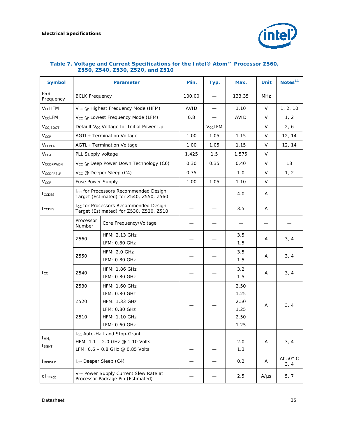

### <span id="page-34-0"></span>**Table 7. Voltage and Current Specifications for the Intel® Atom™ Processor Z560, Z550, Z540, Z530, Z520, and Z510**

| <b>Symbol</b>                     | <b>Parameter</b>                                                                                   |                                                                                                 | Min.        | Typ.              | Max.                                 | Unit       | Notes <sup>11</sup> |
|-----------------------------------|----------------------------------------------------------------------------------------------------|-------------------------------------------------------------------------------------------------|-------------|-------------------|--------------------------------------|------------|---------------------|
| <b>FSB</b><br>Frequency           | <b>BCLK Frequency</b>                                                                              |                                                                                                 | 100.00      |                   | 133.35                               | <b>MHz</b> |                     |
| V <sub>cc</sub> HFM               | V <sub>cc</sub> @ Highest Frequency Mode (HFM)                                                     |                                                                                                 | <b>AVID</b> | $\qquad \qquad -$ | 1.10                                 | $\vee$     | 1, 2, 10            |
| V <sub>CC</sub> LFM               |                                                                                                    | V <sub>CC</sub> @ Lowest Frequency Mode (LFM)                                                   | 0.8         |                   | AVID                                 | V          | 1, 2                |
| $V_{CC,BOOT}$                     |                                                                                                    | Default V <sub>cc</sub> Voltage for Initial Power Up                                            |             | VccLFM            |                                      | V          | 2, 6                |
| $V_{CCP}$                         |                                                                                                    | AGTL+ Termination Voltage                                                                       | 1.00        | 1.05              | 1.15                                 | V          | 12, 14              |
| V <sub>CCPC6</sub>                |                                                                                                    | AGTL+ Termination Voltage                                                                       | 1.00        | 1.05              | 1.15                                 | V          | 12, 14              |
| $\mathsf{V}_{\mathsf{CCA}}$       | PLL Supply voltage                                                                                 |                                                                                                 | 1.425       | 1.5               | 1.575                                | V          |                     |
| <b>VCCDPPWDN</b>                  |                                                                                                    | V <sub>CC</sub> @ Deep Power Down Technology (C6)                                               | 0.30        | 0.35              | 0.40                                 | V          | 13                  |
| <b>VCCDPRSLP</b>                  |                                                                                                    | V <sub>CC</sub> @ Deeper Sleep (C4)                                                             |             |                   | 1.0                                  | V          | 1, 2                |
| $V_{CCF}$                         | <b>Fuse Power Supply</b>                                                                           |                                                                                                 | 1.00        | 1.05              | 1.10                                 | V          |                     |
| <b>I</b> CCDES                    | I <sub>CC</sub> for Processors Recommended Design<br>Target (Estimated) for Z540, Z550, Z560       |                                                                                                 |             |                   | 4.0                                  | Α          |                     |
| <b>I</b> CCDES                    | I <sub>CC</sub> for Processors Recommended Design<br>Target (Estimated) for Z530, Z520, Z510       |                                                                                                 |             |                   | 3.5                                  | Α          |                     |
|                                   | Processor<br>Number                                                                                | Core Frequency/Voltage                                                                          |             |                   |                                      |            |                     |
|                                   | Z560                                                                                               | <b>HFM: 2.13 GHz</b><br>LFM: 0.80 GHz                                                           |             |                   | 3.5<br>1.5                           | Α          | 3, 4                |
|                                   | Z550                                                                                               | <b>HFM: 2.0 GHz</b><br>LFM: 0.80 GHz                                                            |             |                   | 3.5<br>1.5                           | Α          | 3, 4                |
| $I_{\rm CC}$                      | Z540                                                                                               | <b>HFM: 1.86 GHz</b><br>LFM: 0.80 GHz                                                           |             |                   | 3.2<br>1.5                           | Α          | 3, 4                |
|                                   | Z530<br>Z520<br>Z510                                                                               | HFM: 1.60 GHz<br>LFM: 0.80 GHz<br><b>HFM: 1.33 GHz</b><br>LFM: 0.80 GHz<br><b>HFM: 1.10 GHz</b> |             |                   | 2.50<br>1.25<br>2.50<br>1.25<br>2.50 | Α          | 3, 4                |
|                                   |                                                                                                    | LFM: 0.60 GHz                                                                                   |             |                   | 1.25                                 |            |                     |
| I <sub>АН,</sub><br><b>I</b> sgnt | Icc Auto-Halt and Stop-Grant<br>HFM: 1.1 - 2.0 GHz @ 1.10 Volts<br>LFM: 0.6 - 0.8 GHz @ 0.85 Volts |                                                                                                 |             |                   | 2.0<br>1.3                           | Α          | 3, 4                |
| <b>I</b> DPRSLP                   | I <sub>CC</sub> Deeper Sleep (C4)                                                                  |                                                                                                 |             |                   | 0.2                                  | Α          | At 50° C<br>3, 4    |
| $dI_{CC/dt}$                      | V <sub>CC</sub> Power Supply Current Slew Rate at<br>Processor Package Pin (Estimated)             |                                                                                                 |             |                   | 2.5                                  | $A/\mu s$  | 5, 7                |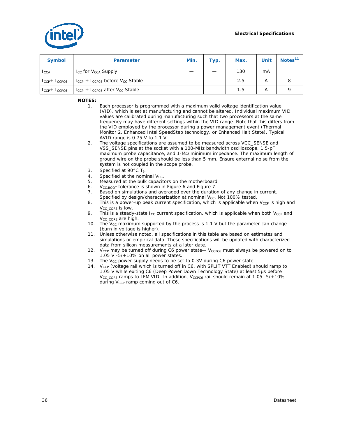

| <b>Symbol</b>         | <b>Parameter</b>                               | Min. | Typ. | Max. | Unit | Notes <sup>11</sup> |
|-----------------------|------------------------------------------------|------|------|------|------|---------------------|
| $I_{\text{CCA}}$      | $I_{CC}$ for $V_{CCA}$ Supply                  |      |      | 130  | mA   |                     |
| $I_{CCP} + I_{CCPC6}$ | $I_{CCP}$ + $I_{CCPC6}$ before $V_{CC}$ Stable |      |      | 2.5  | А    |                     |
| $l_{CCP} + l_{CCPC6}$ | $I_{CCP}$ + $I_{CCPC6}$ after $V_{CC}$ Stable  |      |      | 1.5  | A    |                     |

#### **NOTES:**

- 1. Each processor is programmed with a maximum valid voltage identification value (VID), which is set at manufacturing and cannot be altered. Individual maximum VID values are calibrated during manufacturing such that two processors at the same frequency may have different settings within the VID range. Note that this differs from the VID employed by the processor during a power management event (Thermal Monitor 2, Enhanced Intel SpeedStep technology, or Enhanced Halt State). Typical AVID range is 0.75 V to 1.1 V.
- 2. The voltage specifications are assumed to be measured across VCC\_SENSE and VSS\_SENSE pins at the socket with a 100-MHz bandwidth oscilloscope, 1.5-pF maximum probe capacitance, and 1-MΩ minimum impedance. The maximum length of ground wire on the probe should be less than 5 mm. Ensure external noise from the system is not coupled in the scope probe.
- 
- 3. Specified at  $90^{\circ}$ C T<sub>J</sub>.<br>4. Specified at the nomi
- 4. Specified at the nominal  $V_{CC}$ .<br>5. Measured at the bulk capacite Measured at the bulk capacitors on the motherboard.
- 6. V<sub>CC, BOOT</sub> tolerance is shown in [Figure 6](#page-39-0) and [Figure 7.](#page-40-0)
- 7. Based on simulations and averaged over the duration of any change in current. Specified by design/characterization at nominal  $V_{CC}$ . Not 100% tested.
- 8. This is a power-up peak current specification, which is applicable when  $V_{CCP}$  is high and  $V_{CC\_CORE}$  is low.
- 9. This is a steady-state  $I_{CC}$  current specification, which is applicable when both  $V_{CCP}$  and V<sub>CC</sub> core are high.
- 10. The  $V_{CC}$  maximum supported by the process is 1.1 V but the parameter can change (burn in voltage is higher).
- 11. Unless otherwise noted, all specifications in this table are based on estimates and simulations or empirical data. These specifications will be updated with characterized data from silicon measurements at a later date.
- 12.  $V_{CCP}$  may be turned off during C6 power state—  $V_{CCPC6}$  must always be powered on to 1.05 V -5/+10% on all power states.
- 13. The  $V_{CC}$  power supply needs to be set to 0.3V during C6 power state.
- 14. V<sub>CCP</sub> (voltage rail which is turned off in C6, with SPLIT VTT Enabled) should ramp to 1.05 V while exiting C6 (Deep Power Down Technology State) at least 5µs before  $V_{CC-CORE}$  ramps to LFM VID. In addition,  $V_{CCPC6}$  rail should remain at 1.05 -5/+10% during V<sub>CCP</sub> ramp coming out of C6.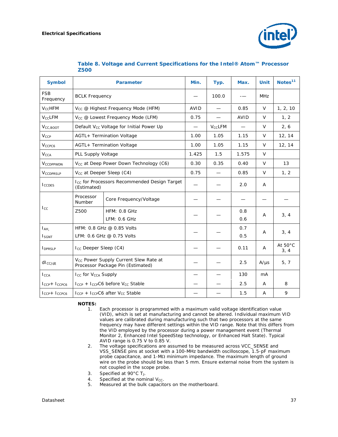

| <b>Symbol</b>                  |                                                                                        | <b>Parameter</b>                                       | Min.  | Typ.                     | Max.        | <b>Unit</b> | Notes <sup>11</sup>       |
|--------------------------------|----------------------------------------------------------------------------------------|--------------------------------------------------------|-------|--------------------------|-------------|-------------|---------------------------|
| <b>FSB</b><br>Frequency        | <b>BCLK Frequency</b>                                                                  |                                                        |       | 100.0                    |             | MHz         |                           |
| <b>V<sub>CC</sub>HFM</b>       |                                                                                        | V <sub>CC</sub> @ Highest Frequency Mode (HFM)         | AVID  | $\overline{\phantom{0}}$ | 0.85        | V           | 1, 2, 10                  |
| VccLFM                         |                                                                                        | V <sub>CC</sub> @ Lowest Frequency Mode (LFM)          | 0.75  |                          | <b>AVID</b> | V           | 1, 2                      |
| $V_{\text{CC,BOOT}}$           |                                                                                        | Default V <sub>cc</sub> Voltage for Initial Power Up   |       | VccLFM                   |             | V           | 2, 6                      |
| $V_{CCP}$                      |                                                                                        | AGTL+ Termination Voltage                              | 1.00  | 1.05                     | 1.15        | V           | 12, 14                    |
| V <sub>CCPC6</sub>             |                                                                                        | AGTL+ Termination Voltage                              | 1.00  | 1.05                     | 1.15        | $\vee$      | 12, 14                    |
| $V_{\text{CCA}}$               | PLL Supply Voltage                                                                     |                                                        | 1.425 | 1.5                      | 1.575       | $\vee$      |                           |
| VCCDPPWDN                      |                                                                                        | V <sub>cc</sub> at Deep Power Down Technology (C6)     | 0.30  | 0.35                     | 0.40        | $\vee$      | 13                        |
| <b>VCCDPRSLP</b>               |                                                                                        | V <sub>CC</sub> at Deeper Sleep (C4)                   | 0.75  |                          | 0.85        | $\vee$      | 1, 2                      |
| <b>I</b> CCDES                 | I <sub>CC</sub> for Processors Recommended Design Target<br>(Estimated)                |                                                        |       |                          | 2.0         | A           |                           |
|                                | Processor<br>Number                                                                    | Core Frequency/Voltage                                 |       |                          |             |             |                           |
| $_{\rm{Lcc}}$                  | Z500                                                                                   | <b>HFM: 0.8 GHz</b><br>LFM: 0.6 GHz                    |       |                          | 0.8<br>0.6  | Α           | 3, 4                      |
| I <sub>АН.</sub><br>$I_{SGNT}$ |                                                                                        | HFM: 0.8 GHz @ 0.85 Volts<br>LFM: 0.6 GHz @ 0.75 Volts |       |                          | 0.7<br>0.5  | A           | 3, 4                      |
| <b>IDPRSLP</b>                 | I <sub>CC</sub> Deeper Sleep (C4)                                                      |                                                        |       |                          | 0.11        | Α           | At $50^{\circ}$ C<br>3, 4 |
| $dlc$ <sub>C/dt</sub>          | V <sub>cc</sub> Power Supply Current Slew Rate at<br>Processor Package Pin (Estimated) |                                                        |       |                          | 2.5         | $A/\mu s$   | 5, 7                      |
| $I_{\text{CCA}}$               | Icc for V <sub>CCA</sub> Supply                                                        |                                                        |       |                          | 130         | mA          |                           |
| $I_{CCP} + I_{CCPC6}$          |                                                                                        | $I_{CCP}$ + $I_{CCP}$ C6 before $V_{CC}$ Stable        |       |                          | 2.5         | A           | 8                         |
| $I_{CCP}$ + $I_{CCPC6}$        |                                                                                        | $I_{CCP}$ + $I_{CCP}C6$ after $V_{CC}$ Stable          |       |                          | 1.5         | Α           | 9                         |

## **Table 8. Voltage and Current Specifications for the Intel® Atom™ Processor Z500**

- 1. Each processor is programmed with a maximum valid voltage identification value (VID), which is set at manufacturing and cannot be altered. Individual maximum VID values are calibrated during manufacturing such that two processors at the same frequency may have different settings within the VID range. Note that this differs from the VID employed by the processor during a power management event (Thermal Monitor 2, Enhanced Intel SpeedStep technology, or Enhanced Halt State). Typical AVID range is 0.75 V to 0.85 V.
- 2. The voltage specifications are assumed to be measured across VCC\_SENSE and VSS\_SENSE pins at socket with a 100-MHz bandwidth oscilloscope, 1.5-pF maximum probe capacitance, and  $1-M\Omega$  minimum impedance. The maximum length of ground wire on the probe should be less than 5 mm. Ensure external noise from the system is not coupled in the scope probe.
- 3. Specified at 90 $^{\circ}$ C T<sub>J</sub>.<br>4. Specified at the nominum 5. Measured at the bulk
- Specified at the nominal  $V_{CC}$ .
- Measured at the bulk capacitors on the motherboard.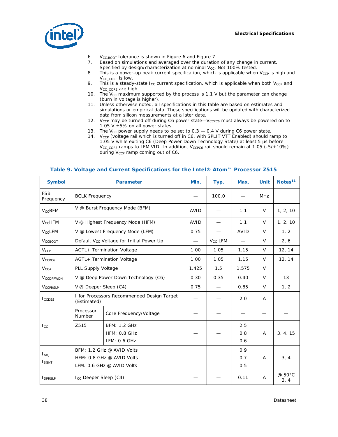

- 6. V<sub>CC,BOOT</sub> tolerance is shown in [Figure 6](#page-39-0) and [Figure 7.](#page-40-0)
- 7. Based on simulations and averaged over the duration of any change in current. Specified by design/characterization at nominal  $V_{\text{CC}}$ . Not 100% tested.
- 8. This is a power-up peak current specification, which is applicable when V<sub>CCP</sub> is high and V<sub>CC\_CORE</sub> is low.
- 9. This is a steady-state  $I_{CC}$  current specification, which is applicable when both V<sub>CCP</sub> and V<sub>CC\_CORE</sub> are high.
- 10. The  $V_{CC}$  maximum supported by the process is 1.1 V but the parameter can change (burn in voltage is higher).
- 11. Unless otherwise noted, all specifications in this table are based on estimates and simulations or empirical data. These specifications will be updated with characterized data from silicon measurements at a later date.
- 12. V<sub>CCP</sub> may be turned off during C6 power state—V<sub>CCPC6</sub> must always be powered on to 1.05 V  $\pm$  5% on all power states.
- 13. The V<sub>CC</sub> power supply needs to be set to  $0.3 0.4$  V during C6 power state.
- 14. V<sub>CCP</sub> (voltage rail which is turned off in C6, with SPLIT VTT Enabled) should ramp to 1.05 V while exiting C6 (Deep Power Down Technology State) at least 5 µs before  $V_{CC\_CORE}$  ramps to LFM VID. In addition,  $V_{CCPC6}$  rail should remain at 1.05 (-5/+10%) during V<sub>CCP</sub> ramp coming out of C6.

| <b>Symbol</b>             |                                   | <b>Parameter</b>                                     | Min.  | Typ.                     | Max.  | <b>Unit</b>    | Notes <sup>11</sup> |
|---------------------------|-----------------------------------|------------------------------------------------------|-------|--------------------------|-------|----------------|---------------------|
| <b>FSB</b><br>Frequency   | <b>BCLK Frequency</b>             |                                                      |       | 100.0                    |       | <b>MHz</b>     |                     |
| $V_{CC}$ BFM              |                                   | V @ Burst Frequency Mode (BFM)                       | AVID  |                          | 1.1   | $\vee$         | 1, 2, 10            |
| <b>V<sub>cc</sub>HFM</b>  |                                   | V @ Highest Frequency Mode (HFM)                     | AVID  | $\overline{\phantom{0}}$ | 1.1   | $\vee$         | 1, 2, 10            |
| VccLFM                    |                                   | V @ Lowest Frequency Mode (LFM)                      | 0.75  |                          | AVID  | $\vee$         | 1, 2                |
| <b>VCCBOOT</b>            |                                   | Default V <sub>cc</sub> Voltage for Initial Power Up |       | V <sub>CC</sub> LFM      |       | $\vee$         | 2, 6                |
| $V_{CCP}$                 |                                   | AGTL+ Termination Voltage                            | 1.00  | 1.05                     | 1.15  | $\vee$         | 12, 14              |
| <b>VCCPC6</b>             |                                   | AGTL+ Termination Voltage                            | 1.00  | 1.05                     | 1.15  | $\vee$         | 12, 14              |
| $V_{\text{CCA}}$          | PLL Supply Voltage                |                                                      | 1.425 | 1.5                      | 1.575 | $\vee$         |                     |
| V <sub>CCDPPWDN</sub>     |                                   | V @ Deep Power Down Technology (C6)                  | 0.30  | 0.35                     | 0.40  | $\vee$         | 13                  |
| <b>VCCPRSLP</b>           | V @ Deeper Sleep (C4)             |                                                      | 0.75  | $\qquad \qquad -$        | 0.85  | $\vee$         | 1, 2                |
| <b>I</b> CCDES            | (Estimated)                       | I for Processors Recommended Design Target           |       |                          | 2.0   | A              |                     |
|                           | Processor<br>Number               | Core Frequency/Voltage                               |       |                          |       |                |                     |
| $I_{\rm CC}$              | Z515                              | <b>BFM: 1.2 GHz</b>                                  |       |                          | 2.5   |                |                     |
|                           |                                   | <b>HFM: 0.8 GHz</b>                                  |       |                          | 0.8   | $\overline{A}$ | 3, 4, 15            |
|                           |                                   | LFM: 0.6 GHz                                         |       |                          | 0.6   |                |                     |
| $I_{AH}$                  | BFM: 1.2 GHz @ AVID Volts         |                                                      |       | 0.9                      |       |                |                     |
| <b>I</b> SGNT             | HFM: 0.8 GHz @ AVID Volts         |                                                      |       | 0.7                      | A     | 3, 4           |                     |
| LFM: 0.6 GHz @ AVID Volts |                                   |                                                      |       | 0.5                      |       |                |                     |
| <b>IDPRSLP</b>            | I <sub>CC</sub> Deeper Sleep (C4) |                                                      |       |                          | 0.11  | A              | @ 50°C<br>3, 4      |

#### **Table 9. Voltage and Current Specifications for the Intel® Atom™ Processor Z515**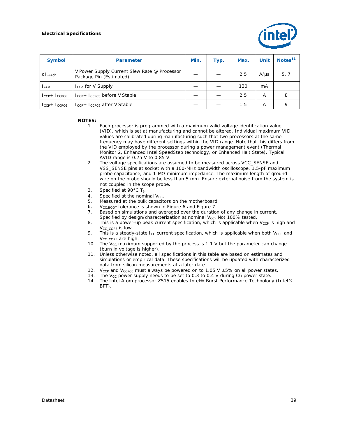#### *Electrical Specifications*



| <b>Symbol</b>           | <b>Parameter</b>                                                        |  | Typ. | Max. | <b>Unit</b> | Notes <sup>11</sup> |
|-------------------------|-------------------------------------------------------------------------|--|------|------|-------------|---------------------|
| $dI_{CC/dt}$            | V Power Supply Current Slew Rate @ Processor<br>Package Pin (Estimated) |  |      | 2.5  | $A/ \mu s$  | 5, 7                |
| ICCA                    | $I_{\text{CCA}}$ for V Supply                                           |  |      | 130  | mA          |                     |
| $I_{CCP} + I_{CCPC6}$   | $I_{CCP}$ + $I_{CCPC6}$ before V Stable                                 |  |      | 2.5  | А           | 8                   |
| $l_{CCP}$ + $l_{CCPCA}$ | $I_{CCP}$ + $I_{CCPC6}$ after V Stable                                  |  |      | 1.5  | Α           |                     |

- 1. Each processor is programmed with a maximum valid voltage identification value (VID), which is set at manufacturing and cannot be altered. Individual maximum VID values are calibrated during manufacturing such that two processors at the same frequency may have different settings within the VID range. Note that this differs from the VID employed by the processor during a power management event (Thermal Monitor 2, Enhanced Intel SpeedStep technology, or Enhanced Halt State). Typical AVID range is 0.75 V to 0.85 V.
- 2. The voltage specifications are assumed to be measured across VCC\_SENSE and VSS\_SENSE pins at socket with a 100-MHz bandwidth oscilloscope, 1.5-pF maximum probe capacitance, and 1-MΩ minimum impedance. The maximum length of ground wire on the probe should be less than 5 mm. Ensure external noise from the system is not coupled in the scope probe.
- 3. Specified at 90°C T<sub>J</sub>.
- 4. Specified at the nominal  $V_{\text{CC}}$ .<br>5. Measured at the bulk capacite
- Measured at the bulk capacitors on the motherboard.
- 6.  $V_{CC,BOOT}$  tolerance is shown in [Figure 6](#page-39-0) and [Figure 7.](#page-40-0)<br>7. Based on simulations and averaged over the duration
- Based on simulations and averaged over the duration of any change in current. Specified by design/characterization at nominal  $V_{CC}$ . Not 100% tested.
- 8. This is a power-up peak current specification, which is applicable when  $V_{CCP}$  is high and V<sub>CC\_CORE</sub> is low.
- 9. This is a steady-state  $I_{CC}$  current specification, which is applicable when both V<sub>CCP</sub> and V<sub>CC\_CORE</sub> are high.
- 10. The  $V_{CC}$  maximum supported by the process is 1.1 V but the parameter can change (burn in voltage is higher).
- 11. Unless otherwise noted, all specifications in this table are based on estimates and simulations or empirical data. These specifications will be updated with characterized data from silicon measurements at a later date.
- 12. V<sub>CCP</sub> and V<sub>CCPC6</sub> must always be powered on to 1.05 V  $\pm$ 5% on all power states.
- 13. The V<sub>CC</sub> power supply needs to be set to 0.3 to 0.4 V during C6 power state.
- 14. The Intel Atom processor Z515 enables Intel® Burst Performance Technology (Intel® BPT).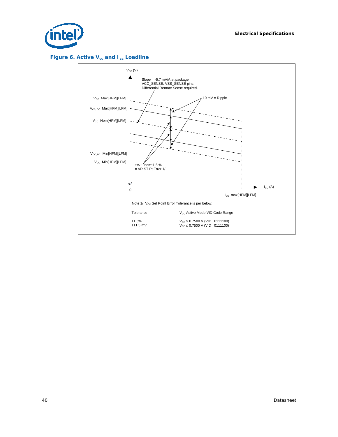

# <span id="page-39-0"></span>**Figure 6. Active V<sub>cc</sub> and I<sub>cc</sub> Loadline**

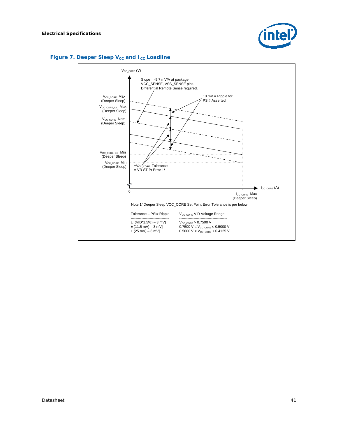

# <span id="page-40-0"></span>**Figure 7. Deeper Sleep V<sub>cc</sub> and I<sub>cc</sub> Loadline**

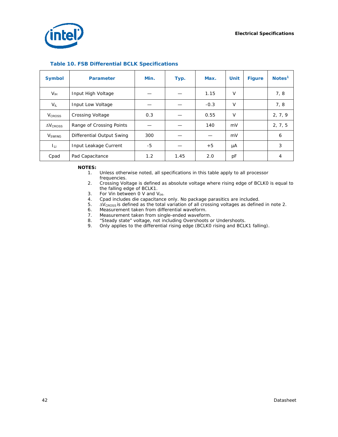

## **Table 10. FSB Differential BCLK Specifications**

| <b>Symbol</b>    | <b>Parameter</b>          | Min. | Typ. | Max.   | Unit   | <b>Figure</b> | Notes <sup>1</sup> |
|------------------|---------------------------|------|------|--------|--------|---------------|--------------------|
| V <sub>IH</sub>  | Input High Voltage        |      |      | 1.15   | $\vee$ |               | 7,8                |
| V <sub>IL</sub>  | Input Low Voltage         |      |      | $-0.3$ | $\vee$ |               | 7,8                |
| <b>V</b> CROSS   | <b>Crossing Voltage</b>   | 0.3  |      | 0.55   | $\vee$ |               | 2, 7, 9            |
| $\Delta V$ CROSS | Range of Crossing Points  |      |      | 140    | mV     |               | 2, 7, 5            |
| <b>V</b> swing   | Differential Output Swing | 300  |      |        | mV     |               | 6                  |
| Īц               | Input Leakage Current     | -5   |      | $+5$   | μA     |               | 3                  |
| Cpad             | Pad Capacitance           | 1.2  | 1.45 | 2.0    | pF     |               | 4                  |

- 1. Unless otherwise noted, all specifications in this table apply to all processor frequencies.
- 2. Crossing Voltage is defined as absolute voltage where rising edge of BCLK0 is equal to the falling edge of BCLK1.
- 3. For Vin between 0 V and  $V_{\text{H}}$ .<br>4. Cpad includes die capacitance
- 
- 4. Cpad includes die capacitance only. No package parasitics are included.<br>5.  $\Delta V_{CROS}$  is defined as the total variation of all crossing voltages as define ∆V<sub>CROSS</sub> is defined as the total variation of all crossing voltages as defined in note 2.
- 6. Measurement taken from differential waveform.
- Measurement taken from single-ended waveform.
- 8. "Steady state" voltage, not including Overshoots or Undershoots.<br>9. Only applies to the differential rising edge (BCLKO rising and BCLK
- Only applies to the differential rising edge (BCLK0 rising and BCLK1 falling).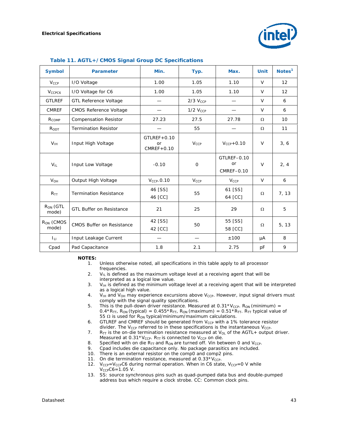

| <b>Symbol</b>                  | <b>Parameter</b>                 | Min.                                | Typ.                   | Max.                            | <b>Unit</b> | Notes <sup>1</sup> |
|--------------------------------|----------------------------------|-------------------------------------|------------------------|---------------------------------|-------------|--------------------|
| $V_{CCP}$                      | I/O Voltage                      | 1.00                                | 1.05                   | 1.10                            | $\vee$      | 12                 |
| V <sub>CCPC6</sub>             | I/O Voltage for C6               | 1.00                                | 1.05                   | 1.10                            | $\vee$      | 12                 |
| <b>GTLREF</b>                  | <b>GTL Reference Voltage</b>     |                                     | $2/3$ $V_{CCP}$        |                                 | $\vee$      | 6                  |
| <b>CMREF</b>                   | <b>CMOS Reference Voltage</b>    |                                     | $1/2$ $V_{CCP}$        |                                 | $\vee$      | 6                  |
| R <sub>COMP</sub>              | <b>Compensation Resistor</b>     | 27.23                               | 27.5                   | 27.78                           | $\Omega$    | 10 <sup>°</sup>    |
| RODT                           | <b>Termination Resistor</b>      |                                     | 55                     |                                 | $\Omega$    | 11                 |
| V <sub>IH</sub>                | Input High Voltage               | $GTLREF+0.10$<br>or<br>$CMREF+0.10$ | <b>V<sub>CCP</sub></b> | $V_{CCP}+0.10$                  | $\vee$      | 3, 6               |
| $V_{IL}$                       | Input Low Voltage                | $-0.10$                             | $\mathbf 0$            | GTLREF-0.10<br>or<br>CMREF-0.10 | $\vee$      | 2, 4               |
| $V_{OH}$                       | Output High Voltage              | $V_{CCP}$ <sub>-0.10</sub>          | $V_{CCP}$              | $V_{CCP}$                       | $\vee$      | 6                  |
| $R_{TT}$                       | <b>Termination Resistance</b>    | 46 [SS]<br>46 [CC]                  | 55                     | 61 [SS]<br>64 [CC]              | $\Omega$    | 7, 13              |
| R <sub>ON</sub> (GTL<br>mode)  | <b>GTL Buffer on Resistance</b>  | 21                                  | 25                     | 29                              | $\Omega$    | 5                  |
| R <sub>ON</sub> (CMOS<br>mode) | <b>CMOS Buffer on Resistance</b> | 42 [SS]<br>42 [CC]                  | 50                     | 55 [SS]<br>58 [CC]              | $\Omega$    | 5, 13              |
| Īц                             | Input Leakage Current            |                                     |                        | ±100                            | μA          | 8                  |
| Cpad                           | Pad Capacitance                  | 1.8                                 | 2.1                    | 2.75                            | pF          | 9                  |

### <span id="page-42-0"></span>**Table 11. AGTL+/CMOS Signal Group DC Specifications**

- 1. Unless otherwise noted, all specifications in this table apply to all processor frequencies.
- 2.  $V_{II}$  is defined as the maximum voltage level at a receiving agent that will be interpreted as a logical low value.
- 3.  $V_{\text{IH}}$  is defined as the minimum voltage level at a receiving agent that will be interpreted as a logical high value.
- 4. V<sub>IH</sub> and V<sub>OH</sub> may experience excursions above V<sub>CCP</sub>. However, input signal drivers must comply with the signal quality specifications.
- 5. This is the pull-down driver resistance. Measured at  $0.31*V_{CCP}$ . R<sub>ON</sub> (minimum) =  $0.4*R_{TT}$ , R<sub>ON</sub> (typical) =  $0.455*R_{TT}$ , R<sub>ON</sub> (maximum) =  $0.51*R_{TT}$ . R<sub>TT</sub> typical value of 55 Ω is used for  $R_{ON}$  typical/minimum/maximum calculations.
- 6. GTLREF and CMREF should be generated from  $V_{CCP}$  with a 1% tolerance resistor divider. The  $V_{CCP}$  referred to in these specifications is the instantaneous  $V_{CCP}$ .
- 7. R<sub>TT</sub> is the on-die termination resistance measured at  $V_{OL}$  of the AGTL+ output driver. Measured at  $0.31*V_{CCP}$ . R<sub>TT</sub> is connected to  $V_{CCP}$  on die.
- 8. Specified with on die R<sub>TT</sub> and R<sub>ON</sub> are turned off. Vin between 0 and V<sub>CCP</sub>.
- 9. Cpad includes die capacitance only. No package parasitics are included.
- 10. There is an external resistor on the comp0 and comp2 pins.
- 11. On die termination resistance, measured at  $0.33*V_{CCP}$ .
- 12.  $V_{CCP} = V_{CCP}C6$  during normal operation. When in C6 state,  $V_{CCP} = 0$  V while  $V_{CCP}C6=1.05$  V.
- 13. SS: source synchronous pins such as quad-pumped data bus and double-pumped address bus which require a clock strobe. CC: Common clock pins.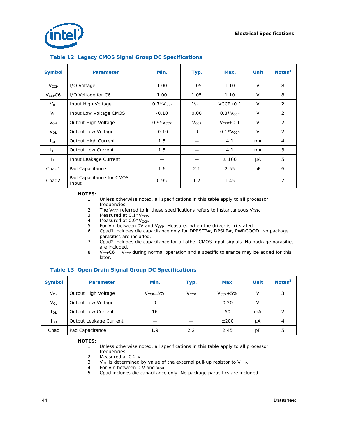

# **Table 12. Legacy CMOS Signal Group DC Specifications**

| <b>Symbol</b>     | <b>Parameter</b>                  | Min.          | Typ.      | Max.           | <b>Unit</b> | Notes <sup>1</sup> |
|-------------------|-----------------------------------|---------------|-----------|----------------|-------------|--------------------|
| $V_{CCP}$         | I/O Voltage                       | 1.00          | 1.05      | 1.10           | $\vee$      | 8                  |
| $V_{CCP}$ $C6$    | I/O Voltage for C6                | 1.00          | 1.05      | 1.10           | $\vee$      | 8                  |
| $V_{\text{IH}}$   | Input High Voltage                | $0.7*V_{CCP}$ | $V_{CCP}$ | $VCCP+0.1$     | $\vee$      | $\overline{2}$     |
| $V_{IL}$          | Input Low Voltage CMOS            | $-0.10$       | 0.00      | $0.3*V_{CCP}$  | $\vee$      | $\overline{2}$     |
| $V_{OH}$          | Output High Voltage               | $0.9*V_{CCP}$ | $V_{CCP}$ | $V_{CCP}$ +0.1 | $\vee$      | 2                  |
| $V_{\Omega L}$    | Output Low Voltage                | $-0.10$       | $\Omega$  | $0.1*V_{CCP}$  | $\vee$      | $\overline{2}$     |
| I <sub>OH</sub>   | Output High Current               | 1.5           |           | 4.1            | mA          | 4                  |
| $I_{OL}$          | <b>Output Low Current</b>         | 1.5           |           | 4.1            | mA          | 3                  |
| Ιu.               | Input Leakage Current             |               |           | ± 100          | μA          | 5                  |
| Cpad1             | Pad Capacitance                   | 1.6           | 2.1       | 2.55           | pF          | 6                  |
| Cpad <sub>2</sub> | Pad Capacitance for CMOS<br>Input | 0.95          | 1.2       | 1.45           |             | 7                  |

#### **NOTES:**

- 1. Unless otherwise noted, all specifications in this table apply to all processor frequencies.
- 2. The  $V_{CCP}$  referred to in these specifications refers to instantaneous  $V_{CCP}$ .<br>3. Measured at 0.1\*V<sub>CCP</sub>.
- 
- 3. Measured at  $0.1*V_{CCP}$ .<br>4. Measured at  $0.9*V_{CCP}$ . Measured at  $0.9*V_{CCP}$ .
- 5. For Vin between OV and  $V_{CCP}$ . Measured when the driver is tri-stated.
- 6. Cpad1 includes die capacitance only for DPRSTP#, DPSLP#, PWRGOOD. No package parasitics are included.
- 7. Cpad2 includes die capacitance for all other CMOS input signals. No package parasitics are included.
- 8. V<sub>CCP</sub>C6 = V<sub>CCP</sub> during normal operation and a specific tolerance may be added for this later.

## **Table 13. Open Drain Signal Group DC Specifications**

| <b>Symbol</b> | <b>Parameter</b>          | Min.          | Typ.      | Max.            | <b>Unit</b> | Note <sup>1</sup> |
|---------------|---------------------------|---------------|-----------|-----------------|-------------|-------------------|
| $V_{OH}$      | Output High Voltage       | $V_{CCP}$ -5% | $V_{CCP}$ | $V_{CCP} + 5\%$ |             |                   |
| $V_{OL}$      | Output Low Voltage        |               |           | 0.20            |             |                   |
| lol.          | <b>Output Low Current</b> | 16            |           | 50              | mA          |                   |
| $I_{LO}$      | Output Leakage Current    |               |           | ±200            | μA          |                   |
| Cpad          | Pad Capacitance           | 1.9           | 2.2       | 2.45            | рF          | 5                 |

- 1. Unless otherwise noted, all specifications in this table apply to all processor frequencies.
- 2. Measured at 0.2 V.
- 3.  $V_{OH}$  is determined by value of the external pull-up resistor to  $V_{CCP}$ .<br>4. For Vin between 0 V and V<sub>OH</sub>.
- 4. For Vin between 0 V and  $V_{OH}$ .<br>5. Cpad includes die capacitance
- 5. Cpad includes die capacitance only. No package parasitics are included.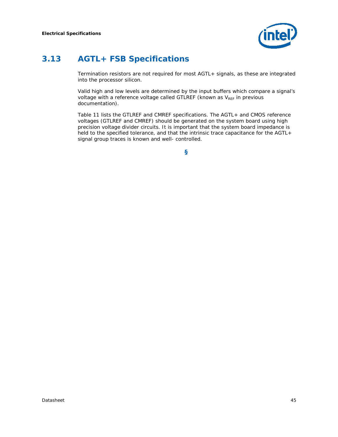

# **3.13 AGTL+ FSB Specifications**

Termination resistors are not required for most AGTL+ signals, as these are integrated into the processor silicon.

Valid high and low levels are determined by the input buffers which compare a signal's voltage with a reference voltage called GTLREF (known as  $V_{RFF}$  in previous documentation).

[Table 11](#page-42-0) lists the GTLREF and CMREF specifications. The AGTL+ and CMOS reference voltages (GTLREF and CMREF) should be generated on the system board using high precision voltage divider circuits. It is important that the system board impedance is held to the specified tolerance, and that the intrinsic trace capacitance for the AGTL+ signal group traces is known and well- controlled.

**§**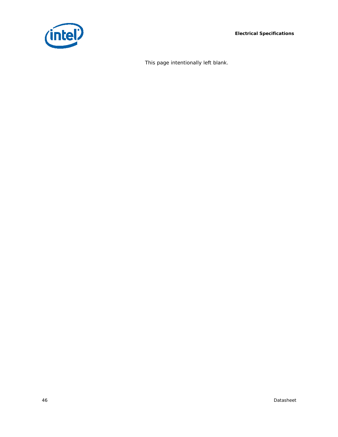*Electrical Specifications*



This page intentionally left blank.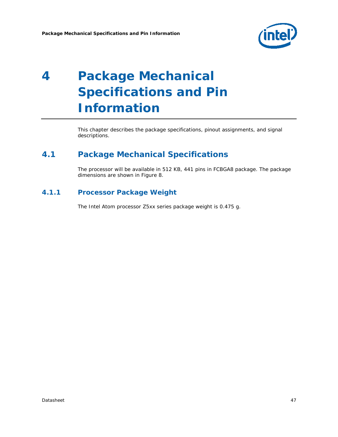

# *4 Package Mechanical Specifications and Pin Information*

This chapter describes the package specifications, pinout assignments, and signal descriptions.

# **4.1 Package Mechanical Specifications**

The processor will be available in 512 KB, 441 pins in FCBGA8 package. The package dimensions are shown in [Figure 8.](#page-47-0)

# **4.1.1 Processor Package Weight**

The Intel Atom processor Z5xx series package weight is 0.475 g.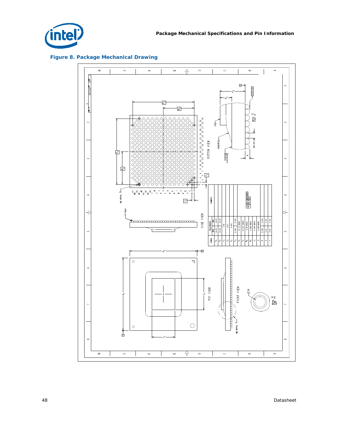

<span id="page-47-0"></span>**Figure 8. Package Mechanical Drawing**

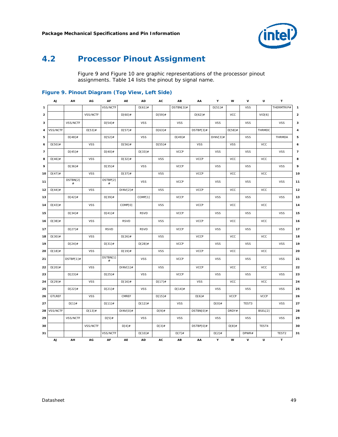

# **4.2 Processor Pinout Assignment**

[Figure 9](#page-48-0) and [Figure 10](#page-49-0) are graphic representations of the processor pinout assignments. [Table 14](#page-50-0) lists the pinout by signal name.

|                  | AJ            | AH               | AG         | AF               | AE          | <b>AD</b>   | AC         | AB          | AA          | Y           | w           | $\mathsf{v}$ | U           | $\mathsf{T}$      |
|------------------|---------------|------------------|------------|------------------|-------------|-------------|------------|-------------|-------------|-------------|-------------|--------------|-------------|-------------------|
| $\mathbf{1}$     |               |                  |            | VSS/NCTF         |             | $D[61]$ #   |            | DSTBN[3]#   |             | $D[51]$ #   |             | <b>VSS</b>   |             | THERMTRIP#        |
| $\overline{2}$   |               |                  | VSS/NCTF   |                  | $D[60]$ #   |             | $D[59]$ #  |             | $D[62]$ #   |             | <b>VCC</b>  |              | VID[6]      |                   |
| 3                |               | VSS/NCTF         |            | $D[54]$ #        |             | <b>VSS</b>  |            | <b>VSS</b>  |             | <b>VSS</b>  |             | <b>VSS</b>   |             | <b>VSS</b>        |
| 4                | VSS/NCTF      |                  | $D[53]$ #  |                  | $D[57]$ #   |             | $D[63]$ #  |             | DSTBP[3]#   |             | $D[58]$ #   |              | THRMDC      |                   |
| 5                |               | $D[48]$ #        |            | $D[52]$ #        |             | <b>VSS</b>  |            | $D[49]$ #   |             | $DINV[3]$ # |             | <b>VSS</b>   |             | THRMDA            |
| 6                | $D[50]$ #     |                  | <b>VSS</b> |                  | $D[56]$ #   |             | $D[55]$ #  |             | <b>VSS</b>  |             | <b>VSS</b>  |              | VCC         |                   |
| $\boldsymbol{7}$ |               | $D[45]$ #        |            | $D[40]$ #        |             | $D[33]$ #   |            | VCCP        |             | <b>VSS</b>  |             | <b>VSS</b>   |             | <b>VSS</b>        |
| 8                | $D[46]$ #     |                  | <b>VSS</b> |                  | $D[32]$ #   |             | <b>VSS</b> |             | <b>VCCP</b> |             | <b>VCC</b>  |              | <b>VCC</b>  |                   |
| 9                |               | $D[36]$ #        |            | $D[35]$ #        |             | <b>VSS</b>  |            | <b>VCCP</b> |             | <b>VSS</b>  |             | <b>VSS</b>   |             | <b>VSS</b>        |
| 10               | $D[47]$ #     |                  | <b>VSS</b> |                  | $D[37]$ #   |             | <b>VSS</b> |             | <b>VCCP</b> |             | VCC         |              | <b>VCC</b>  |                   |
| 11               |               | DSTBN[2]<br>$\#$ |            | DSTBP[2]<br>$\#$ |             | <b>VSS</b>  |            | <b>VCCP</b> |             | <b>VSS</b>  |             | <b>VSS</b>   |             | <b>VSS</b>        |
| 12               | $D[44]$ #     |                  | <b>VSS</b> |                  | $DINV[2]\#$ |             | <b>VSS</b> |             | <b>VCCP</b> |             | VCC         |              | VCC         |                   |
| 13               |               | $D[42]$ #        |            | $D[39]$ #        |             | COMP[1]     |            | <b>VCCP</b> |             | <b>VSS</b>  |             | <b>VSS</b>   |             | <b>VSS</b>        |
| 14               | $D[43]$ #     |                  | <b>VSS</b> |                  | COMP[0]     |             | <b>VSS</b> |             | VCCP        |             | VCC         |              | VCC         |                   |
| 15               |               | $D[34]$ #        |            | $D[41]$ #        |             | <b>RSVD</b> |            | <b>VCCP</b> |             | <b>VSS</b>  |             | <b>VSS</b>   |             | <b>VSS</b>        |
| 16               | $D[38]$ #     |                  | <b>VSS</b> |                  | <b>RSVD</b> |             | <b>VSS</b> |             | VCCP        |             | VCC         |              | VCC         |                   |
| 17               |               | $D[27]$ #        |            | <b>RSVD</b>      |             | <b>RSVD</b> |            | <b>VCCP</b> |             | <b>VSS</b>  |             | <b>VSS</b>   |             | <b>VSS</b>        |
| 18               | $D[30]$ #     |                  | <b>VSS</b> |                  | $D[26]$ #   |             | VSS        |             | <b>VCCP</b> |             | VCC         |              | VCC         |                   |
| 19               |               | $D[24]$ #        |            | $D[31]$ #        |             | $D[28]$ #   |            | <b>VCCP</b> |             | <b>VSS</b>  |             | <b>VSS</b>   |             | <b>VSS</b>        |
| 20               | $D[18]$ #     |                  | <b>VSS</b> |                  | $D[19]$ #   |             | <b>VSS</b> |             | <b>VCCP</b> |             | <b>VCC</b>  |              | VCC         |                   |
| 21               |               | DSTBP[1]#        |            | DSTBN[1]<br>$\#$ |             | <b>VSS</b>  |            | VCCP        |             | <b>VSS</b>  |             | <b>VSS</b>   |             | <b>VSS</b>        |
| 22               | $D[20]$ #     |                  | <b>VSS</b> |                  | $DINV[1]\#$ |             | <b>VSS</b> |             | <b>VCCP</b> |             | VCC         |              | VCC         |                   |
| 23               |               | $D[23]$ #        |            | $D[25]$ #        |             | <b>VSS</b>  |            | <b>VCCP</b> |             | <b>VSS</b>  |             | <b>VSS</b>   |             | <b>VSS</b>        |
| 24               | $D[29]$ #     |                  | <b>VSS</b> |                  | $D[16]$ #   |             | $D[17]$ #  |             | <b>VSS</b>  |             | <b>VCC</b>  |              | <b>VCC</b>  |                   |
| 25               |               | $D[22]$ #        |            | $D[21]$ #        |             | <b>VSS</b>  |            | $D[14]$ #   |             | <b>VSS</b>  |             | <b>VSS</b>   |             | <b>VSS</b>        |
| 26               | <b>GTLREF</b> |                  | <b>VSS</b> |                  | CMREF       |             | $D[15]$ #  |             | $D[6]$ #    |             | <b>VCCP</b> |              | <b>VCCP</b> |                   |
| 27               |               | $D[1]$ #         |            | $D[11]$ #        |             | $D[12]$ #   |            | <b>VSS</b>  |             | $D[0]$ #    |             | TEST3        |             | <b>VSS</b>        |
| 28               | VSS/NCTF      |                  | $D[13]$ #  |                  | $DINV[0]$ # |             | $D[9]$ #   |             | DSTBN[0]#   |             | DRDY#       |              | BSEL[2]     |                   |
| 29               |               | VSS/NCTF         |            | $D[5]$ #         |             | <b>VSS</b>  |            | <b>VSS</b>  |             | <b>VSS</b>  |             | <b>VSS</b>   |             | VSS               |
| 30               |               |                  | VSS/NCTF   |                  | $D[4]$ #    |             | $D[3]$ #   |             | DSTBP[0]#   |             | $D[8]$ #    |              | TEST4       |                   |
| 31               |               |                  |            | VSS/NCTF         |             | $D[10]$ #   |            | $D[7]$ #    |             | $D[2]$ #    |             | DPWR#        |             | TEST <sub>2</sub> |
|                  | <b>AJ</b>     | AH               | AG         | AF               | AE          | <b>AD</b>   | AC         | AB          | AA          | Y           | w           | $\mathsf{v}$ | U           | $\mathbf T$       |

# <span id="page-48-0"></span>**Figure 9. Pinout Diagram (Top View, Left Side)**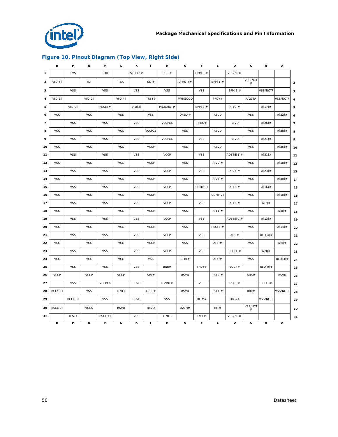

|      | R           | P          | Ν           | М            | L           | κ           | J           | н           | G              | F          | Е                   | D             | с            | в          | Α           |
|------|-------------|------------|-------------|--------------|-------------|-------------|-------------|-------------|----------------|------------|---------------------|---------------|--------------|------------|-------------|
|      |             | <b>TMS</b> |             | <b>TDO</b>   |             | STPCLK#     |             | IERR#       |                | BPM[0]#    |                     | VSS/NCTF      |              |            |             |
|      | VID[5]      |            | TDI         |              | <b>TCK</b>  |             | SLP#        |             | DPRSTP#        |            | $\mathsf{BPM}[1]\#$ |               | VSS/NCT<br>F |            |             |
|      |             | <b>VSS</b> |             | <b>VSS</b>   |             | VSS         |             | <b>VSS</b>  |                | <b>VSS</b> |                     | BPM[3]#       |              | VSS/NCTF   |             |
|      | VID[1]      |            | VID[2]      |              | VID[4]      |             | TRST#       |             | <b>PWRGOOD</b> |            | PRDY#               |               | $A[29]$ #    |            | VSS/NCTF    |
| 5    |             | VID[0]     |             | RESET#       |             | VID[3]      |             | PROCHOT#    |                | BPM[2]#    |                     | A[19]#        |              | $A[17]$ #  |             |
|      | VCC         |            | <b>VCC</b>  |              | <b>VSS</b>  |             | <b>VSS</b>  |             | DPSLP#         |            | <b>RSVD</b>         |               | <b>VSS</b>   |            | $A[22]$ #   |
|      |             | <b>VSS</b> |             | <b>VSS</b>   |             | <b>VSS</b>  |             | VCCPC6      |                | PREQ#      |                     | <b>RSVD</b>   |              | $A[26]$ #  |             |
|      | VCC         |            | <b>VCC</b>  |              | <b>VCC</b>  |             | VCCPC6      |             | <b>VSS</b>     |            | <b>RSVD</b>         |               | <b>VSS</b>   |            | $A[28]$ #   |
| 9    |             | <b>VSS</b> |             | <b>VSS</b>   |             | VSS         |             | VCCPC6      |                | <b>VSS</b> |                     | <b>RSVD</b>   |              | $A[21]$ #  |             |
| 10   | <b>VCC</b>  |            | <b>VCC</b>  |              | <b>VCC</b>  |             | <b>VCCP</b> |             | <b>VSS</b>     |            | <b>RSVD</b>         |               | <b>VSS</b>   |            | $A[25]$ #   |
| 11   |             | <b>VSS</b> |             | VSS          |             | <b>VSS</b>  |             | <b>VCCP</b> |                | <b>VSS</b> |                     | ADSTB[1]#     |              | $A[31]$ #  |             |
| $12$ | VCC         |            | VCC         |              | VCC         |             | VCCP        |             | <b>VSS</b>     |            | $A[20]$ #           |               | <b>VSS</b>   |            | $A[18]$ #   |
| 13   |             | <b>VSS</b> |             | <b>VSS</b>   |             | VSS         |             | <b>VCCP</b> |                | <b>VSS</b> |                     | $A[27]$ #     |              | $A[23]$ #  |             |
| 14   | <b>VCC</b>  |            | <b>VCC</b>  |              | <b>VCC</b>  |             | <b>VCCP</b> |             | <b>VSS</b>     |            | $A[24]$ #           |               | <b>VSS</b>   |            | $A[30]$ #   |
| 15   |             | <b>VSS</b> |             | <b>VSS</b>   |             | <b>VSS</b>  |             | <b>VCCP</b> |                | COMP[3]    |                     | $A[12]$ #     |              | $A[16]$ #  |             |
| 16   | VCC         |            | VCC         |              | VCC         |             | VCCP        |             | <b>VSS</b>     |            | COMP[2]             |               | VSS          |            | $A[10]$ #   |
| 17   |             | <b>VSS</b> |             | <b>VSS</b>   |             | <b>VSS</b>  |             | <b>VCCP</b> |                | <b>VSS</b> |                     | $A[15]$ #     |              | $A[7]$ #   |             |
| 18   | <b>VCC</b>  |            | <b>VCC</b>  |              | <b>VCC</b>  |             | <b>VCCP</b> |             | <b>VSS</b>     |            | $A[11]$ #           |               | <b>VSS</b>   |            | $A[8]$ #    |
| 19   |             | <b>VSS</b> |             | <b>VSS</b>   |             | <b>VSS</b>  |             | <b>VCCP</b> |                | <b>VSS</b> |                     | ADSTB[0]#     |              | $A[13]$ #  |             |
| 20   | VCC         |            | VCC         |              | <b>VCC</b>  |             | <b>VCCP</b> |             | <b>VSS</b>     |            | $REQ[2]\#$          |               | <b>VSS</b>   |            | $A[14]$ #   |
| 21   |             | <b>VSS</b> |             | <b>VSS</b>   |             | VSS         |             | <b>VCCP</b> |                | <b>VSS</b> |                     | $A[5]$ #      |              | $REQ[4]\#$ |             |
| 22   | <b>VCC</b>  |            | <b>VCC</b>  |              | <b>VCC</b>  |             | <b>VCCP</b> |             | <b>VSS</b>     |            | $A[3]$ #            |               | <b>VSS</b>   |            | $A[4]$ #    |
| 23   |             | <b>VSS</b> |             | <b>VSS</b>   |             | VSS         |             | <b>VCCP</b> |                | <b>VSS</b> |                     | REQ[1]#       |              | $A[9]$ #   |             |
| 24   | VCC         |            | VCC         |              | VCC         |             | <b>VSS</b>  |             | BPRI#          |            | $A[6]$ #            |               | VSS          |            | $REQ[3]$ #  |
| 25   |             | <b>VSS</b> |             | <b>VSS</b>   |             | <b>VSS</b>  |             | BNR#        |                | TRDY#      |                     | LOCK#         |              | $REQ[0]$ # |             |
| 26   | <b>VCCP</b> |            | <b>VCCP</b> |              | <b>VCCP</b> |             | SMI#        |             | <b>RSVD</b>    |            | $RS[2]$ #           |               | ADS#         |            | <b>RSVD</b> |
| 27   |             | <b>VSS</b> |             | VCCPC6       |             | <b>RSVD</b> |             | IGNNE#      |                | <b>VSS</b> |                     | $RS[0]\#$     |              | DEFER#     |             |
| 28   | BCLK[1]     |            | <b>VSS</b>  |              | LINT1       |             | FERR#       |             | <b>RSVD</b>    |            | $RS[1]\#$           |               | BRO#         |            | VSS/NCTF    |
| 29   |             | BCLK[0]    |             | <b>VSS</b>   |             | <b>RSVD</b> |             | <b>VSS</b>  |                | HITM#      |                     | DBSY#         |              | VSS/NCTF   |             |
| 30   | BSEL[0]     |            | <b>VCCA</b> |              | <b>RSVD</b> |             | <b>RSVD</b> |             | A20M#          |            | HIT#                |               | VSS/NCT<br>F |            |             |
| 31   |             | TEST1<br>P | N           | BSEL[1]<br>M | L           | VSS<br>К    | J           | LINTO       |                | INIT#      |                     | VSS/NCTF<br>D | c            | в          | А           |

# <span id="page-49-0"></span>**Figure 10. Pinout Diagram (Top View, Right Side)**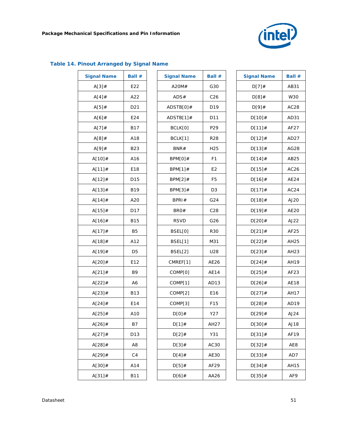

| .                  | ٠,<br>- 9 |
|--------------------|-----------|
| <b>Signal Name</b> | Ball #    |
| $A[3]$ #           | E22       |
| $A[4]\#$           | A22       |
| A[5]#              | D21       |
| $A[6]$ #           | E24       |
| A[7]#              | B17       |
| $A[8]$ #           | A18       |
| A[9]#              | B23       |
| A[10]#             | A16       |
| A[11]#             | E18       |
| A[12]#             | D15       |
| A[13]#             | B19       |
| $A[14]$ #          | A20       |
| A[15]#             | D17       |
| $A[16]$ #          | B15       |
| A[17]#             | B5        |
| $A[18]$ #          | A12       |
| A[19]#             | D5        |
| $A[20]$ #          | E12       |
| A[21]#             | B9        |
| $A[22]$ #          | Α6        |
| $A[23]$ #          | B13       |
| $A[24]$ #          | E14       |
| A[25]#             | A10       |
| $A[26]$ #          | Β7        |
| A[27]#             | D13       |
| $A[28]$ #          | A8        |
| $A[29]$ #          | C4        |
| $A[30]$ #          | A14       |
| $A[31]$ #          | B11       |

<span id="page-50-0"></span>

|  |  | <b>Table 14. Pinout Arranged by Signal Name</b> |  |  |  |
|--|--|-------------------------------------------------|--|--|--|
|--|--|-------------------------------------------------|--|--|--|

| <b>Signal Name</b> | Ball #          |
|--------------------|-----------------|
| A20M#              | G30             |
| ADS#               | C <sub>26</sub> |
| $ADSTB[0]\#$       | D19             |
| $ADSTB[1]\#$       | D11             |
| BCLK[0]            | P29             |
| BCLK[1]            | R28             |
| BNR#               | H25             |
| BPM[0]#            | F1              |
| BPM[1]#            | E2              |
| $BPM[2]\#$         | F5              |
| BPM $[3]$ #        | D <sub>3</sub>  |
| BPRI#              | G24             |
| BRO#               | C <sub>28</sub> |
| <b>RSVD</b>        | G26             |
| BSEL[0]            | R30             |
| BSEL[1]            | M31             |
| BSEL[2]            | U28             |
| CMREF[1]           | AE26            |
| COMP[0]            | AE14            |
| COMP[1]            | AD13            |
| COMP[2]            | E16             |
| COMP[3]            | F15             |
| D[0]#              | Y27             |
| $D[1]$ #           | AH27            |
| $D[2]$ #           | Y31             |
| D[3]#              | AC30            |
| $D[4]$ #           | AE30            |
| D[5]#              | AF29            |
| $D[6]$ #           | AA26            |
|                    |                 |

| <b>Signal Name</b> | Ball #      |
|--------------------|-------------|
| D[7]#              | AB31        |
| D[8]#              | W30         |
| D[9]#              | AC28        |
| D[10]#             | AD31        |
| D[11]#             | AF27        |
| $D[12]$ #          | AD27        |
| D[13]#             | AG28        |
| D[14]#             | AB25        |
| D[15]#             | AC26        |
| $D[16]$ #          | AE24        |
| D[17]#             | AC24        |
| $D[18]$ #          | AJ20        |
| D[19]#             | AE20        |
| $D[20]$ #          | AJ22        |
| $D[21]$ #          | AF25        |
| D[22]#             | AH25        |
| $D[23]$ #          | AH23        |
| D[24]#             | AH19        |
| $D[25]$ #          | AF23        |
| D[26]#             | <b>AE18</b> |
| D[27]#             | AH17        |
| $D[28]$ #          | AD19        |
| D[29]#             | AJ24        |
| $D[30]$ #          | AJ18        |
| $D[31]$ #          | AF19        |
| $D[32]$ #          | AE8         |
| $D[33]$ #          | AD7         |
| D[34]#             | AH15        |
| $D[35]$ #          | AF9         |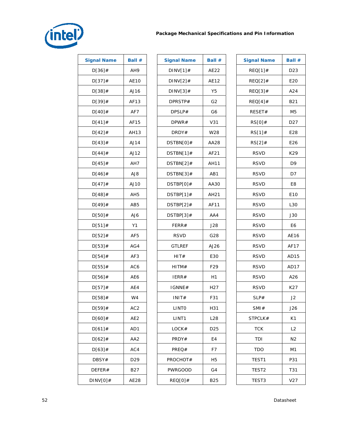

| <b>Signal Name</b> | Ball #          |
|--------------------|-----------------|
| $D[36]$ #          | AH9             |
| $D[37]$ #          | AE10            |
| $D[38]$ #          | AJ16            |
| $D[39]$ #          | AF13            |
| $D[40]$ #          | AF7             |
| D[41]#             | AF15            |
| $D[42]$ #          | AH13            |
| $D[43]$ #          | AJ14            |
| $D[44]$ #          | AJ12            |
| $D[45]$ #          | AH7             |
| $D[46]$ #          | AJ8             |
| $D[47]$ #          | AJ10            |
| D[48]#             | AH5             |
| $D[49]$ #          | AB5             |
| $D[50]$ #          | AJ6             |
| $D[51]$ #          | Υ1              |
| D[52]#             | AF5             |
| $D[53]$ #          | AG4             |
| $D[54]$ #          | AF3             |
| D[55]#             | AC6             |
| $D[56]$ #          | AE6             |
| D[57]#             | AE4             |
| $D[58]$ #          | W <sub>4</sub>  |
| D[59]#             | AC <sub>2</sub> |
| D[60]#             | AE <sub>2</sub> |
| $D[61]$ #          | AD1             |
| D[62]#             | AA2             |
| $D[63]$ #          | AC4             |
| DBSY#              | D29             |
| $\mathsf{DEFER}\#$ | B27             |
| DINV[0]#           | AE28            |

| <b>Signal Name</b>    | Ball # |
|-----------------------|--------|
| $DINV[1]\#$           | AE22   |
| $DINV[2]$ #           | AE12   |
| $DINV[3]$ #           | Y5     |
| DPRSTP#               | G2     |
| DPSLP#                | G6     |
| DPWR#                 | V31    |
| DRDY#                 | W28    |
| $DSTBN[0]\#$          | AA28   |
| DSTBN[1]#             | AF21   |
| $DSTBN[2]\#$          | AH11   |
| DSTBN[3]#             | AB1    |
| DSTBP[0]#             | AA30   |
| $DSTBP[1]\#$          | AH21   |
| DSTBP[2]#             | AF11   |
| $\mathsf{DSTBP}[3]\#$ | AA4    |
| FERR#                 | J28    |
| RSVD                  | G28    |
| GTLREF                | AJ26   |
| HIT#                  | E30    |
| HITM#                 | F29    |
| IERR#                 | Η1     |
| IGNNE#                | H27    |
| INIT#                 | F31    |
| LINTO                 | H31    |
| LINT1                 | L28    |
| LOCK#                 | D25    |
| PRDY#                 | E4     |
| PREQ#                 | F7     |
| PROCHOT#              | H5     |
| PWRGOOD               | G4     |
| REQ[0]#               | B25    |

| <b>Signal Name</b> | Ball #           |
|--------------------|------------------|
| $REQ[1]\#$         | D23              |
| REQ[2]#            | E20              |
| REQ[3]#            | A24              |
| $REQ[4]\#$         | B21              |
| RESET#             | M <sub>5</sub>   |
| RS[0]#             | D27              |
| RS[1]#             | E28              |
| RS[2]#             | E26              |
| RSVD               | K29              |
| <b>RSVD</b>        | D9               |
| <b>RSVD</b>        | D7               |
| <b>RSVD</b>        | E8               |
| RSVD               | E <sub>10</sub>  |
| <b>RSVD</b>        | L30              |
| RSVD               | J30              |
| <b>RSVD</b>        | E6               |
| RSVD               | AE16             |
| RSVD               | AF17             |
| <b>RSVD</b>        | AD <sub>15</sub> |
| RSVD               | AD17             |
| <b>RSVD</b>        | A26              |
| RSVD               | K27              |
| SLP#               | J <sub>2</sub>   |
| SMI#               | J26              |
| STPCLK#            | К1               |
| <b>TCK</b>         | L <sub>2</sub>   |
| TDI                | N2               |
| TDO                | M1               |
| TEST1              | P31              |
| TEST <sub>2</sub>  | T31              |
| TEST3              | V27              |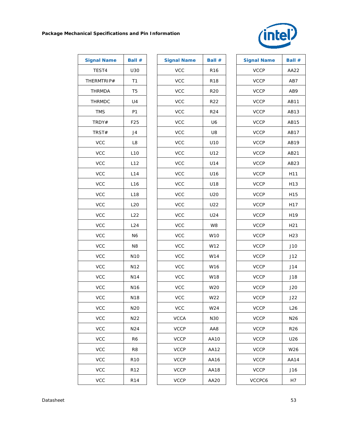

| <b>Signal Name</b> | Ball #          |
|--------------------|-----------------|
| TEST4              | U30             |
| THERMTRIP#         | T1              |
| THRMDA             | T <sub>5</sub>  |
| THRMDC             | U4              |
| <b>TMS</b>         | P1              |
| TRDY#              | F25             |
| TRST#              | J4              |
| VCC                | L8              |
| VCC                | L <sub>10</sub> |
| VCC                | L12             |
| VCC                | L14             |
| VCC                | L16             |
| VCC                | L18             |
| VCC                | L20             |
| VCC                | L22             |
| VCC                | L24             |
| <b>VCC</b>         | Ν6              |
| VCC                | N8              |
| VCC                | N10             |
| VCC                | N12             |
| VCC                | N14             |
| VCC                | N16             |
| VCC                | N18             |
| <b>VCC</b>         | N20             |
| VCC                | N22             |
| VCC                | N24             |
| VCC                | R6              |
| VCC                | R8              |
| VCC                | R10             |
| VCC                | R12             |
| VCC                | R14             |

| <b>Signal Name</b> | Ball #     |
|--------------------|------------|
| <b>VCC</b>         | R16        |
| <b>VCC</b>         | R18        |
| <b>VCC</b>         | R20        |
| <b>VCC</b>         | R22        |
| VCC                | <b>R24</b> |
| <b>VCC</b>         | U6         |
| <b>VCC</b>         | U8         |
| <b>VCC</b>         | U10        |
| <b>VCC</b>         | U12        |
| <b>VCC</b>         | U14        |
| <b>VCC</b>         | U16        |
| VCC                | U18        |
| VCC                | U20        |
| <b>VCC</b>         | U22        |
| VCC                | U24        |
| VCC                | W8         |
| <b>VCC</b>         | W10        |
| <b>VCC</b>         | W12        |
| <b>VCC</b>         | W14        |
| <b>VCC</b>         | W16        |
| VCC                | W18        |
| VCC                | W20        |
| VCC                | W22        |
| VCC                | W24        |
| <b>VCCA</b>        | N30        |
| <b>VCCP</b>        | AA8        |
| VCCP               | AA10       |
| <b>VCCP</b>        | AA12       |
| <b>VCCP</b>        | AA16       |
| <b>VCCP</b>        | AA18       |
| VCCP               | AA20       |
|                    |            |

| <b>Signal Name</b> | Ball #     |
|--------------------|------------|
| <b>VCCP</b>        | AA22       |
| <b>VCCP</b>        | AB7        |
| VCCP               | AB9        |
| <b>VCCP</b>        | AB11       |
| VCCP               | AB13       |
| <b>VCCP</b>        | AB15       |
| <b>VCCP</b>        | AB17       |
| <b>VCCP</b>        | AB19       |
| <b>VCCP</b>        | AB21       |
| <b>VCCP</b>        | AB23       |
| <b>VCCP</b>        | H11        |
| <b>VCCP</b>        | H13        |
| <b>VCCP</b>        | H15        |
| <b>VCCP</b>        | H17        |
| <b>VCCP</b>        | H19        |
| <b>VCCP</b>        | H21        |
| <b>VCCP</b>        | H23        |
| <b>VCCP</b>        | J10        |
| VCCP               | J12        |
| VCCP               | J14        |
| VCCP               | J18        |
| <b>VCCP</b>        | J20        |
| VCCP               | J22        |
| VCCP               | L26        |
| VCCP               | N26        |
| <b>VCCP</b>        | <b>R26</b> |
| <b>VCCP</b>        | U26        |
| VCCP               | W26        |
| VCCP               | AA14       |
| VCCP               | J16        |
| VCCPC6             | Η7         |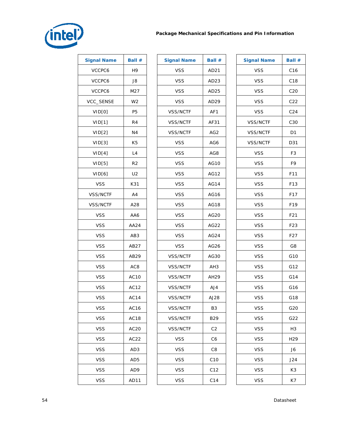

| <b>Signal Name</b> | Ball #         |
|--------------------|----------------|
| VCCPC6             | Η9             |
| VCCPC6             | J8             |
| VCCPC6             | M27            |
| VCC_SENSE          | W <sub>2</sub> |
| VID[0]             | P <sub>5</sub> |
| VID[1]             | R4             |
| VID[2]             | N4             |
| VID[3]             | K5             |
| VID[4]             | L4             |
| VID[5]             | R2             |
| VID[6]             | U <sub>2</sub> |
| VSS                | K31            |
| VSS/NCTF           | A4             |
| VSS/NCTF           | A28            |
| <b>VSS</b>         | AA6            |
| VSS                | AA24           |
| VSS                | AB3            |
| VSS                | AB27           |
| vss                | AB29           |
| vss                | AC8            |
| <b>VSS</b>         | AC10           |
| vss                | AC12           |
| <b>VSS</b>         | AC14           |
| <b>VSS</b>         | AC16           |
| vss                | AC18           |
| vss                | AC20           |
| VSS                | AC22           |
| vss                | AD3            |
| vss                | AD5            |
| VSS                | AD9            |
| vss                | AD11           |

| <b>Signal Name</b> | Ball #           |
|--------------------|------------------|
| VSS                | AD21             |
| VSS                | AD23             |
| <b>VSS</b>         | AD25             |
| <b>VSS</b>         | AD <sub>29</sub> |
| VSS/NCTF           | AF1              |
| VSS/NCTF           | AF31             |
| <b>VSS/NCTF</b>    | AG2              |
| <b>VSS</b>         | AG6              |
| <b>VSS</b>         | AG8              |
| <b>VSS</b>         | AG10             |
| VSS                | AG12             |
| VSS                | AG14             |
| VSS                | AG16             |
| VSS                | AG18             |
| <b>VSS</b>         | AG20             |
| <b>VSS</b>         | AG22             |
| <b>VSS</b>         | AG24             |
| <b>VSS</b>         | AG26             |
| <b>VSS/NCTF</b>    | AG30             |
| VSS/NCTF           | AH3              |
| VSS/NCTF           | AH29             |
| VSS/NCTF           | AJ4              |
| VSS/NCTF           | AJ28             |
| <b>VSS/NCTF</b>    | B3               |
| <b>VSS/NCTF</b>    | B29              |
| <b>VSS/NCTF</b>    | C <sub>2</sub>   |
| VSS                | C6               |
| VSS                | C8               |
| vss                | C10              |
| VSS                | C12              |
| VSS                | C14              |

| <b>Signal Name</b> | Ball #          |
|--------------------|-----------------|
| <b>VSS</b>         | C16             |
| <b>VSS</b>         | C18             |
| <b>VSS</b>         | C <sub>20</sub> |
| <b>VSS</b>         | C <sub>22</sub> |
| <b>VSS</b>         | C <sub>24</sub> |
| <b>VSS/NCTF</b>    | C <sub>30</sub> |
| <b>VSS/NCTF</b>    | D1              |
| VSS/NCTF           | D31             |
| <b>VSS</b>         | F3              |
| <b>VSS</b>         | F9              |
| <b>VSS</b>         | F11             |
| VSS                | F13             |
| VSS                | F17             |
| <b>VSS</b>         | F19             |
| <b>VSS</b>         | F21             |
| <b>VSS</b>         | F23             |
| <b>VSS</b>         | F27             |
| <b>VSS</b>         | G8              |
| VSS                | G10             |
| <b>VSS</b>         | G12             |
| VSS                | G14             |
| VSS                | G16             |
| <b>VSS</b>         | G18             |
| <b>VSS</b>         | G20             |
| VSS                | G22             |
| <b>VSS</b>         | H <sub>3</sub>  |
| <b>VSS</b>         | H29             |
| <b>VSS</b>         | J6              |
| VSS                | J24             |
| <b>VSS</b>         | K3              |
| <b>VSS</b>         | K7              |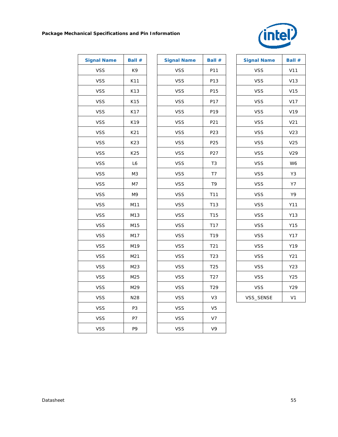

| <b>Signal Name</b> | Ball # |
|--------------------|--------|
| <b>VSS</b>         | K9     |
| <b>VSS</b>         | K11    |
| VSS                | K13    |
| vss                | K15    |
| <b>VSS</b>         | K17    |
| <b>VSS</b>         | K19    |
| VSS                | K21    |
| <b>VSS</b>         | K23    |
| <b>VSS</b>         | K25    |
| <b>VSS</b>         | L6     |
| VSS                | MЗ     |
| <b>VSS</b>         | M7     |
| <b>VSS</b>         | M9     |
| <b>VSS</b>         | M11    |
| VSS                | M13    |
| <b>VSS</b>         | M15    |
| <b>VSS</b>         | M17    |
| <b>VSS</b>         | M19    |
| <b>VSS</b>         | M21    |
| VSS                | M23    |
| <b>VSS</b>         | M25    |
| <b>VSS</b>         | M29    |
| VSS                | N28    |
| VSS                | P3     |
| VSS                | P7     |
| VSS                | P9     |

| <b>Signal Name</b> | Ball #           |
|--------------------|------------------|
| VSS                | P11              |
| <b>VSS</b>         | P13              |
| <b>VSS</b>         | P15              |
| VSS                | P17              |
| VSS                | P19              |
| <b>VSS</b>         | P21              |
| <b>VSS</b>         | P23              |
| VSS                | P <sub>25</sub>  |
| VSS                | P27              |
| VSS                | T3               |
| <b>VSS</b>         | T7               |
| <b>VSS</b>         | T9               |
| <b>VSS</b>         | T11              |
| vss                | T13              |
| <b>VSS</b>         | T15              |
| <b>VSS</b>         | T17              |
| VSS                | T19              |
| VSS                | T21              |
| VSS                | T <sub>23</sub>  |
| <b>VSS</b>         | T25              |
| <b>VSS</b>         | T <sub>2</sub> 7 |
| VSS                | T29              |
| <b>VSS</b>         | V3               |
| <b>VSS</b>         | V <sub>5</sub>   |
| <b>VSS</b>         | V7               |
| <b>VSS</b>         | V9               |

| <b>Signal Name</b> | Ball #          |
|--------------------|-----------------|
| <b>VSS</b>         | V11             |
| <b>VSS</b>         | V13             |
| <b>VSS</b>         | V15             |
| <b>VSS</b>         | V17             |
| <b>VSS</b>         | V19             |
| <b>VSS</b>         | V <sub>21</sub> |
| <b>VSS</b>         | V23             |
| <b>VSS</b>         | V25             |
| <b>VSS</b>         | V29             |
| <b>VSS</b>         | W6              |
| <b>VSS</b>         | Y3              |
| <b>VSS</b>         | Υ7              |
| <b>VSS</b>         | Υ9              |
| <b>VSS</b>         | Y11             |
| <b>VSS</b>         | Y13             |
| <b>VSS</b>         | Y15             |
| <b>VSS</b>         | Y17             |
| <b>VSS</b>         | Y19             |
| <b>VSS</b>         | Y21             |
| <b>VSS</b>         | Y23             |
| <b>VSS</b>         | Y25             |
| <b>VSS</b>         | Y29             |
| VSS_SENSE          | V <sub>1</sub>  |
|                    |                 |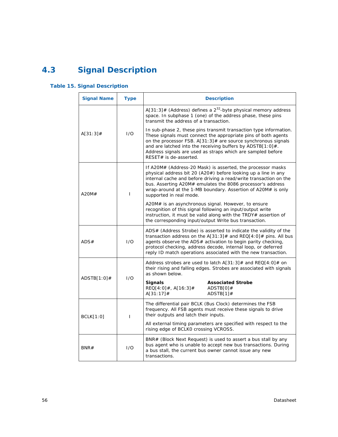# **4.3 Signal Description**

# **Table 15. Signal Description**

| <b>Signal Name</b> | <b>Type</b> | <b>Description</b>                                                                                                                                                                                                                                                                                                                                             |  |  |  |
|--------------------|-------------|----------------------------------------------------------------------------------------------------------------------------------------------------------------------------------------------------------------------------------------------------------------------------------------------------------------------------------------------------------------|--|--|--|
|                    | 1/O         | A[31:3]# (Address) defines a $2^{32}$ -byte physical memory address<br>space. In subphase 1 (one) of the address phase, these pins<br>transmit the address of a transaction.                                                                                                                                                                                   |  |  |  |
| $A[31:3]$ #        |             | In sub-phase 2, these pins transmit transaction type information.<br>These signals must connect the appropriate pins of both agents<br>on the processor FSB. $A[31:3]$ # are source synchronous signals<br>and are latched into the receiving buffers by ADSTB[1:0]#.<br>Address signals are used as straps which are sampled before<br>RESET# is de-asserted. |  |  |  |
| A20M#<br>T         |             | If A20M# (Address-20 Mask) is asserted, the processor masks<br>physical address bit 20 (A20#) before looking up a line in any<br>internal cache and before driving a read/write transaction on the<br>bus. Asserting A20M# emulates the 8086 processor's address<br>wrap-around at the 1-MB boundary. Assertion of A20M# is only<br>supported in real mode.    |  |  |  |
|                    |             | A20M# is an asynchronous signal. However, to ensure<br>recognition of this signal following an input/output write<br>instruction, it must be valid along with the TRDY# assertion of<br>the corresponding input/output Write bus transaction.                                                                                                                  |  |  |  |
| ADS#               | 1/O         | ADS# (Address Strobe) is asserted to indicate the validity of the<br>transaction address on the A[31:3]# and REQ[4:0]# pins. All bus<br>agents observe the ADS# activation to begin parity checking,<br>protocol checking, address decode, internal loop, or deferred<br>reply ID match operations associated with the new transaction.                        |  |  |  |
|                    |             | Address strobes are used to latch $A[31:3]$ # and REQ[4:0]# on<br>their rising and falling edges. Strobes are associated with signals<br>as shown below.                                                                                                                                                                                                       |  |  |  |
| $ADSTB[1:0]$ #     | 1/O         | <b>Signals</b><br><b>Associated Strobe</b><br>$REQ[4:0]$ #, A[16:3]#<br>$ADSTB[0]$ #<br>$A[31:17]$ #<br>$ADSTB[1]$ #                                                                                                                                                                                                                                           |  |  |  |
| BCLK[1:0]          | T           | The differential pair BCLK (Bus Clock) determines the FSB<br>frequency. All FSB agents must receive these signals to drive<br>their outputs and latch their inputs.                                                                                                                                                                                            |  |  |  |
|                    |             | All external timing parameters are specified with respect to the<br>rising edge of BCLK0 crossing VCROSS.                                                                                                                                                                                                                                                      |  |  |  |
| BNR#               | 1/O         | BNR# (Block Next Request) is used to assert a bus stall by any<br>bus agent who is unable to accept new bus transactions. During<br>a bus stall, the current bus owner cannot issue any new<br>transactions.                                                                                                                                                   |  |  |  |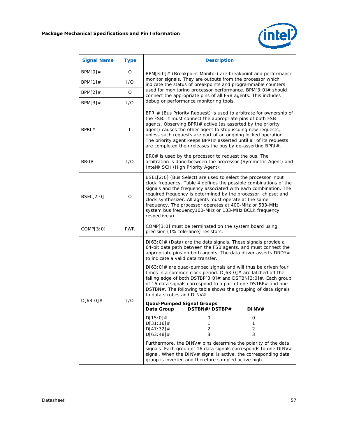

| <b>Signal Name</b> | <b>Type</b> | <b>Description</b>                                                                                                                                                                                                                                                                                                                                                                                                                                                                                                                                                                                                                                                                                                                                                                                                                                                                                                                  |  |  |  |  |
|--------------------|-------------|-------------------------------------------------------------------------------------------------------------------------------------------------------------------------------------------------------------------------------------------------------------------------------------------------------------------------------------------------------------------------------------------------------------------------------------------------------------------------------------------------------------------------------------------------------------------------------------------------------------------------------------------------------------------------------------------------------------------------------------------------------------------------------------------------------------------------------------------------------------------------------------------------------------------------------------|--|--|--|--|
| $BPM[0]$ #         | O           | BPM[3:0]# (Breakpoint Monitor) are breakpoint and performance                                                                                                                                                                                                                                                                                                                                                                                                                                                                                                                                                                                                                                                                                                                                                                                                                                                                       |  |  |  |  |
| BPM $[1]$ #        | 1/O         | monitor signals. They are outputs from the processor which<br>indicate the status of breakpoints and programmable counters<br>used for monitoring processor performance. BPM[3:0]# should<br>connect the appropriate pins of all FSB agents. This includes                                                                                                                                                                                                                                                                                                                                                                                                                                                                                                                                                                                                                                                                          |  |  |  |  |
| BPM $[2]$ #        | O           |                                                                                                                                                                                                                                                                                                                                                                                                                                                                                                                                                                                                                                                                                                                                                                                                                                                                                                                                     |  |  |  |  |
| BPM $[3]$ #        | 1/O         | debug or performance monitoring tools.                                                                                                                                                                                                                                                                                                                                                                                                                                                                                                                                                                                                                                                                                                                                                                                                                                                                                              |  |  |  |  |
| BPRI#              | ı           | BPRI# (Bus Priority Request) is used to arbitrate for ownership of<br>the FSB. It must connect the appropriate pins of both FSB<br>agents. Observing BPRI# active (as asserted by the priority<br>agent) causes the other agent to stop issuing new requests,<br>unless such requests are part of an ongoing locked operation.<br>The priority agent keeps BPRI# asserted until all of its requests<br>are completed then releases the bus by de-asserting BPRI#.                                                                                                                                                                                                                                                                                                                                                                                                                                                                   |  |  |  |  |
| BRO#               | 1/O         | BR0# is used by the processor to request the bus. The<br>arbitration is done between the processor (Symmetric Agent) and<br>Intel® SCH (High Priority Agent).                                                                                                                                                                                                                                                                                                                                                                                                                                                                                                                                                                                                                                                                                                                                                                       |  |  |  |  |
| BSEL[2:0]          | O           | BSEL[2:0] (Bus Select) are used to select the processor input<br>clock frequency. Table 4 defines the possible combinations of the<br>signals and the frequency associated with each combination. The<br>required frequency is determined by the processor, chipset and<br>clock synthesizer. All agents must operate at the same<br>frequency. The processor operates at 400-MHz or 533-MHz<br>system bus frequency100-MHz or 133-MHz BCLK frequency,<br>respectively).                                                                                                                                                                                                                                                                                                                                                                                                                                                            |  |  |  |  |
| COMP[3:0]          | <b>PWR</b>  | COMP[3:0] must be terminated on the system board using<br>precision (1% tolerance) resistors.                                                                                                                                                                                                                                                                                                                                                                                                                                                                                                                                                                                                                                                                                                                                                                                                                                       |  |  |  |  |
| $D[63:0]$ #        | 1/O         | $D[63:0]$ # (Data) are the data signals. These signals provide a<br>64-bit data path between the FSB agents, and must connect the<br>appropriate pins on both agents. The data driver asserts DRDY#<br>to indicate a valid data transfer.<br>$D[63:0]$ # are quad-pumped signals and will thus be driven four<br>times in a common clock period. $D[63:0]$ # are latched off the<br>falling edge of both DSTBP[3:0]# and DSTBN[3:0]#. Each group<br>of 16 data signals correspond to a pair of one DSTBP# and one<br>DSTBN#. The following table shows the grouping of data signals<br>to data strobes and DINV#.<br>Quad-Pumped Signal Groups<br>Data Group<br>DSTBN#/DSTBP#<br>DI NV#<br>$D[15:0]$ #<br>0<br>0<br>$D[31:16]$ #<br>1<br>1<br>2<br>$D[47:32]$ #<br>2<br>3<br>3<br>$D[63:48]$ #<br>Furthermore, the DINV# pins determine the polarity of the data<br>signals. Each group of 16 data signals corresponds to one DINV# |  |  |  |  |
|                    |             | signal. When the DINV# signal is active, the corresponding data<br>group is inverted and therefore sampled active high.                                                                                                                                                                                                                                                                                                                                                                                                                                                                                                                                                                                                                                                                                                                                                                                                             |  |  |  |  |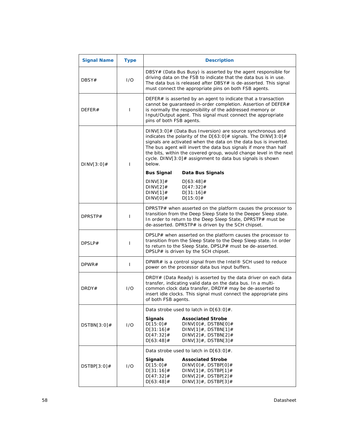| <b>Signal Name</b> | <b>Type</b> | <b>Description</b>                                                                                                                                                                                                                                                                                                                                                                                                      |  |  |  |  |
|--------------------|-------------|-------------------------------------------------------------------------------------------------------------------------------------------------------------------------------------------------------------------------------------------------------------------------------------------------------------------------------------------------------------------------------------------------------------------------|--|--|--|--|
| DBSY#              | 1/O         | DBSY# (Data Bus Busy) is asserted by the agent responsible for<br>driving data on the FSB to indicate that the data bus is in use.<br>The data bus is released after DBSY# is de-asserted. This signal<br>must connect the appropriate pins on both FSB agents.                                                                                                                                                         |  |  |  |  |
| DEFER#             | т           | DEFER# is asserted by an agent to indicate that a transaction<br>cannot be guaranteed in-order completion. Assertion of DEFER#<br>is normally the responsibility of the addressed memory or<br>Input/Output agent. This signal must connect the appropriate<br>pins of both FSB agents.                                                                                                                                 |  |  |  |  |
| $DINV[3:0]$ #      | т           | DINV[3:0]# (Data Bus Inversion) are source synchronous and<br>indicates the polarity of the $D[63:0]$ # signals. The $DINV[3:0]$ #<br>signals are activated when the data on the data bus is inverted.<br>The bus agent will invert the data bus signals if more than half<br>the bits, within the covered group, would change level in the next<br>cycle. DINV[3:0]# assignment to data bus signals is shown<br>below. |  |  |  |  |
|                    |             | <b>Bus Signal</b><br>Data Bus Signals                                                                                                                                                                                                                                                                                                                                                                                   |  |  |  |  |
|                    |             | $DINV[3]$ #<br>$D[63:48]$ #<br>$DINV[2]$ #<br>$D[47:32]$ #<br>$DINV[1]\#$<br>$D[31:16]$ #<br>$DINV[0]$ #<br>$D[15:0]$ #                                                                                                                                                                                                                                                                                                 |  |  |  |  |
| DPRSTP#            | т           | DPRSTP# when asserted on the platform causes the processor to<br>transition from the Deep Sleep State to the Deeper Sleep state.<br>In order to return to the Deep Sleep State, DPRSTP# must be<br>de-asserted. DPRSTP# is driven by the SCH chipset.                                                                                                                                                                   |  |  |  |  |
| DPSLP#             | т           | DPSLP# when asserted on the platform causes the processor to<br>transition from the Sleep State to the Deep Sleep state. In order<br>to return to the Sleep State, DPSLP# must be de-asserted.<br>DPSLP# is driven by the SCH chipset.                                                                                                                                                                                  |  |  |  |  |
| DPWR#              | L           | DPWR# is a control signal from the Intel® SCH used to reduce<br>power on the processor data bus input buffers.                                                                                                                                                                                                                                                                                                          |  |  |  |  |
| DRDY#              | 1/O         | DRDY# (Data Ready) is asserted by the data driver on each data<br>transfer, indicating valid data on the data bus. In a multi-<br>common clock data transfer, DRDY# may be de-asserted to<br>insert idle clocks. This signal must connect the appropriate pins<br>of both FSB agents.                                                                                                                                   |  |  |  |  |
|                    |             | Data strobe used to latch in $D[63:0]$ #.                                                                                                                                                                                                                                                                                                                                                                               |  |  |  |  |
| $DSTBN[3:0]$ #     | 1/O         | <b>Signals</b><br><b>Associated Strobe</b><br>$D[15:0]$ #<br>$DINV[0]$ #, DSTBN $[0]$ #<br>$D[31:16]$ #<br>DINV[1]#, DSTBN[1]#<br>$D[47:32]$ #<br>$DINV[2]\#$ , DSTBN[2]#<br>$D[63:48]$ #<br>DINV[3]#, DSTBN[3]#                                                                                                                                                                                                        |  |  |  |  |
|                    |             | Data strobe used to latch in $D[63:0]$ #.                                                                                                                                                                                                                                                                                                                                                                               |  |  |  |  |
| $DSTBP[3:0]$ #     | 1/O         | <b>Signals</b><br><b>Associated Strobe</b><br>$DINV[0]\#$ , DSTBP[0]#<br>$D[15:0]$ #<br>$D[31:16]$ #<br>$DINV[1]\#$ , $DSTBP[1]\#$<br>$D[47:32]$ #<br>DINV[2]#, DSTBP[2]#<br>$D[63:48]$ #<br>$DINV[3]$ #, DSTBP[3]#                                                                                                                                                                                                     |  |  |  |  |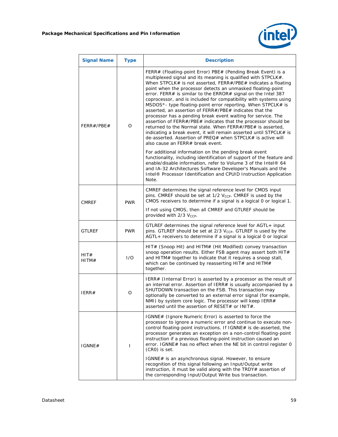

| <b>Signal Name</b> | <b>Type</b> | <b>Description</b>                                                                                                                                                                                                                                                                                                                                                                                                                                                                                                                                                                                                                                                                                                                                                                                                                                                                                      |
|--------------------|-------------|---------------------------------------------------------------------------------------------------------------------------------------------------------------------------------------------------------------------------------------------------------------------------------------------------------------------------------------------------------------------------------------------------------------------------------------------------------------------------------------------------------------------------------------------------------------------------------------------------------------------------------------------------------------------------------------------------------------------------------------------------------------------------------------------------------------------------------------------------------------------------------------------------------|
| FERR#/PBE#         | Ο           | FERR# (Floating-point Error) PBE# (Pending Break Event) is a<br>multiplexed signal and its meaning is qualified with STPCLK#.<br>When STPCLK# is not asserted, FERR#/PBE# indicates a floating<br>point when the processor detects an unmasked floating-point<br>error. FERR# is similar to the ERROR# signal on the Intel 387<br>coprocessor, and is included for compatibility with systems using<br>MSDOS*- type floating-point error reporting. When STPCLK# is<br>asserted, an assertion of FERR#/PBE# indicates that the<br>processor has a pending break event waiting for service. The<br>assertion of FERR#/PBE# indicates that the processor should be<br>returned to the Normal state. When FERR#/PBE# is asserted,<br>indicating a break event, it will remain asserted until STPCLK# is<br>de-asserted. Assertion of PREQ# when STPCLK# is active will<br>also cause an FERR# break event. |
|                    |             | For additional information on the pending break event<br>functionality, including identification of support of the feature and<br>enable/disable information, refer to Volume 3 of the Intel® 64<br>and IA-32 Architectures Software Developer's Manuals and the<br>Intel® Processor Identification and CPUID Instruction Application<br>Note.                                                                                                                                                                                                                                                                                                                                                                                                                                                                                                                                                          |
| <b>CMRFF</b>       | <b>PWR</b>  | CMREF determines the signal reference level for CMOS input<br>pins. CMREF should be set at 1/2 V <sub>CCP</sub> . CMREF is used by the<br>CMOS receivers to determine if a signal is a logical 0 or logical 1.                                                                                                                                                                                                                                                                                                                                                                                                                                                                                                                                                                                                                                                                                          |
|                    |             | If not using CMOS, then all CMREF and GTLREF should be<br>provided with 2/3 V <sub>CCP</sub> .                                                                                                                                                                                                                                                                                                                                                                                                                                                                                                                                                                                                                                                                                                                                                                                                          |
| <b>GTLREF</b>      | <b>PWR</b>  | GTLREF determines the signal reference level for AGTL+ input<br>pins. GTLREF should be set at 2/3 V <sub>CCP</sub> . GTLREF is used by the<br>AGTL+ receivers to determine if a signal is a logical 0 or logical                                                                                                                                                                                                                                                                                                                                                                                                                                                                                                                                                                                                                                                                                        |
| HIT#<br>HITM#      | 1/O         | HIT# (Snoop Hit) and HITM# (Hit Modified) convey transaction<br>snoop operation results. Either FSB agent may assert both HIT#<br>and HITM# together to indicate that it requires a snoop stall,<br>which can be continued by reasserting HIT# and HITM#<br>together.                                                                                                                                                                                                                                                                                                                                                                                                                                                                                                                                                                                                                                   |
| IERR#              | O           | IERR# (Internal Error) is asserted by a processor as the result of<br>an internal error. Assertion of IERR# is usually accompanied by a<br>SHUTDOWN transaction on the FSB. This transaction may<br>optionally be converted to an external error signal (for example,<br>NMI) by system core logic. The processor will keep IERR#<br>asserted until the assertion of RESET# or INIT#.                                                                                                                                                                                                                                                                                                                                                                                                                                                                                                                   |
| IGNNE#             | T           | IGNNE# (Ignore Numeric Error) is asserted to force the<br>processor to ignore a numeric error and continue to execute non-<br>control floating-point instructions. If IGNNE# is de-asserted, the<br>processor generates an exception on a non-control floating-point<br>instruction if a previous floating-point instruction caused an<br>error. IGNNE# has no effect when the NE bit in control register 0<br>(CRO) is set.                                                                                                                                                                                                                                                                                                                                                                                                                                                                            |
|                    |             | IGNNE# is an asynchronous signal. However, to ensure<br>recognition of this signal following an Input/Output write<br>instruction, it must be valid along with the TRDY# assertion of<br>the corresponding Input/Output Write bus transaction.                                                                                                                                                                                                                                                                                                                                                                                                                                                                                                                                                                                                                                                          |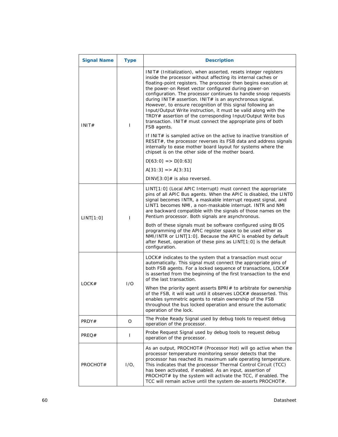| <b>Signal Name</b>  | <b>Type</b>  | <b>Description</b>                                                                                                                                                                                                                                                                                                                                                                                                                                                                                                                                                                                                                                                         |  |  |
|---------------------|--------------|----------------------------------------------------------------------------------------------------------------------------------------------------------------------------------------------------------------------------------------------------------------------------------------------------------------------------------------------------------------------------------------------------------------------------------------------------------------------------------------------------------------------------------------------------------------------------------------------------------------------------------------------------------------------------|--|--|
| INT#                | т            | INIT# (Initialization), when asserted, resets integer registers<br>inside the processor without affecting its internal caches or<br>floating-point registers. The processor then begins execution at<br>the power-on Reset vector configured during power-on<br>configuration. The processor continues to handle snoop requests<br>during INIT# assertion. INIT# is an asynchronous signal.<br>However, to ensure recognition of this signal following an<br>Input/Output Write instruction, it must be valid along with the<br>TRDY# assertion of the corresponding Input/Output Write bus<br>transaction. INIT# must connect the appropriate pins of both<br>FSB agents. |  |  |
|                     |              | If INIT# is sampled active on the active to inactive transition of<br>RESET#, the processor reverses its FSB data and address signals<br>internally to ease mother board layout for systems where the<br>chipset is on the other side of the mother board.                                                                                                                                                                                                                                                                                                                                                                                                                 |  |  |
|                     |              | $D[63:0]$ = > $D[0:63]$                                                                                                                                                                                                                                                                                                                                                                                                                                                                                                                                                                                                                                                    |  |  |
|                     |              | $A[31:3] = > A[3:31]$                                                                                                                                                                                                                                                                                                                                                                                                                                                                                                                                                                                                                                                      |  |  |
|                     |              | $DINV[3:0]$ # is also reversed.                                                                                                                                                                                                                                                                                                                                                                                                                                                                                                                                                                                                                                            |  |  |
| LINT[1:0]           | т            | LINT[1:0] (Local APIC Interrupt) must connect the appropriate<br>pins of all APIC Bus agents. When the APIC is disabled, the LINTO<br>signal becomes INTR, a maskable interrupt request signal, and<br>LINT1 becomes NMI, a non-maskable interrupt. INTR and NMI<br>are backward compatible with the signals of those names on the<br>Pentium processor. Both signals are asynchronous.                                                                                                                                                                                                                                                                                    |  |  |
|                     |              | Both of these signals must be software configured using BIOS<br>programming of the APIC register space to be used either as<br>NMI/INTR or LINT[1:0]. Because the APIC is enabled by default<br>after Reset, operation of these pins as LINT[1:0] is the default<br>configuration.                                                                                                                                                                                                                                                                                                                                                                                         |  |  |
| LOCK#               | 1/O          | LOCK# indicates to the system that a transaction must occur<br>automatically. This signal must connect the appropriate pins of<br>both FSB agents. For a locked sequence of transactions, LOCK#<br>is asserted from the beginning of the first transaction to the end<br>of the last transaction.                                                                                                                                                                                                                                                                                                                                                                          |  |  |
|                     |              | When the priority agent asserts BPRI# to arbitrate for ownership<br>of the FSB, it will wait until it observes LOCK# deasserted. This<br>enables symmetric agents to retain ownership of the FSB<br>throughout the bus locked operation and ensure the automatic<br>operation of the lock.                                                                                                                                                                                                                                                                                                                                                                                 |  |  |
| PRDY#               | O            | The Probe Ready Signal used by debug tools to request debug<br>operation of the processor.                                                                                                                                                                                                                                                                                                                                                                                                                                                                                                                                                                                 |  |  |
| PREQ#               | $\mathbf{I}$ | Probe Request Signal used by debug tools to request debug<br>operation of the processor.                                                                                                                                                                                                                                                                                                                                                                                                                                                                                                                                                                                   |  |  |
| PROCHOT#<br>$I/O$ , |              | As an output, PROCHOT# (Processor Hot) will go active when the<br>processor temperature monitoring sensor detects that the<br>processor has reached its maximum safe operating temperature.<br>This indicates that the processor Thermal Control Circuit (TCC)<br>has been activated, if enabled. As an input, assertion of<br>PROCHOT# by the system will activate the TCC, if enabled. The<br>TCC will remain active until the system de-asserts PROCHOT#.                                                                                                                                                                                                               |  |  |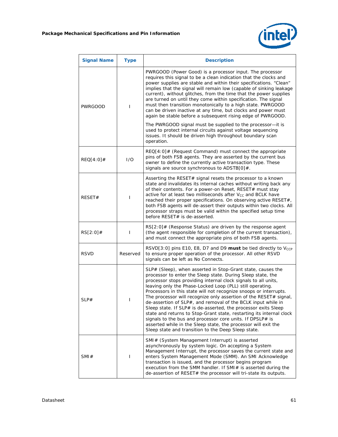

| <b>Signal Name</b> | <b>Type</b> | <b>Description</b>                                                                                                                                                                                                                                                                                                                                                                                                                                                                                                                                                                                                                                                                                                                                                                                  |
|--------------------|-------------|-----------------------------------------------------------------------------------------------------------------------------------------------------------------------------------------------------------------------------------------------------------------------------------------------------------------------------------------------------------------------------------------------------------------------------------------------------------------------------------------------------------------------------------------------------------------------------------------------------------------------------------------------------------------------------------------------------------------------------------------------------------------------------------------------------|
| <b>PWRGOOD</b>     | ı           | PWRGOOD (Power Good) is a processor input. The processor<br>requires this signal to be a clean indication that the clocks and<br>power supplies are stable and within their specifications. "Clean"<br>implies that the signal will remain low (capable of sinking leakage<br>current), without glitches, from the time that the power supplies<br>are turned on until they come within specification. The signal<br>must then transition monotonically to a high state. PWRGOOD<br>can be driven inactive at any time, but clocks and power must<br>again be stable before a subsequent rising edge of PWRGOOD.                                                                                                                                                                                    |
|                    |             | The PWRGOOD signal must be supplied to the processor-it is<br>used to protect internal circuits against voltage sequencing<br>issues. It should be driven high throughout boundary scan<br>operation.                                                                                                                                                                                                                                                                                                                                                                                                                                                                                                                                                                                               |
| $REQ[4:0]$ #       | 1/O         | REQ[4:0]# (Request Command) must connect the appropriate<br>pins of both FSB agents. They are asserted by the current bus<br>owner to define the currently active transaction type. These<br>signals are source synchronous to ADSTB[0]#.                                                                                                                                                                                                                                                                                                                                                                                                                                                                                                                                                           |
| RESET#             | T           | Asserting the RESET# signal resets the processor to a known<br>state and invalidates its internal caches without writing back any<br>of their contents. For a power-on Reset, RESET# must stay<br>active for at least two milliseconds after V <sub>CC</sub> and BCLK have<br>reached their proper specifications. On observing active RESET#,<br>both FSB agents will de-assert their outputs within two clocks. All<br>processor straps must be valid within the specified setup time<br>before RESET# is de-asserted.                                                                                                                                                                                                                                                                            |
| $RS[2:0]$ #        | ı           | $RS[2:0]$ # (Response Status) are driven by the response agent<br>(the agent responsible for completion of the current transaction),<br>and must connect the appropriate pins of both FSB agents.                                                                                                                                                                                                                                                                                                                                                                                                                                                                                                                                                                                                   |
| <b>RSVD</b>        | Reserved    | RSVD[3:0] pins E10, E8, D7 and D9 must be tied directly to $V_{CCP}$<br>to ensure proper operation of the processor. All other RSVD<br>signals can be left as No Connects.                                                                                                                                                                                                                                                                                                                                                                                                                                                                                                                                                                                                                          |
| SLP#               |             | SLP# (Sleep), when asserted in Stop-Grant state, causes the<br>processor to enter the Sleep state. During Sleep state, the<br>processor stops providing internal clock signals to all units,<br>leaving only the Phase-Locked Loop (PLL) still operating.<br>Processors in this state will not recognize snoops or interrupts.<br>The processor will recognize only assertion of the RESET# signal,<br>de-assertion of SLP#, and removal of the BCLK input while in<br>Sleep state. If SLP# is de-asserted, the processor exits Sleep<br>state and returns to Stop-Grant state, restarting its internal clock<br>signals to the bus and processor core units. If DPSLP# is<br>asserted while in the Sleep state, the processor will exit the<br>Sleep state and transition to the Deep Sleep state. |
| SMI#               | ı           | SMI# (System Management Interrupt) is asserted<br>asynchronously by system logic. On accepting a System<br>Management Interrupt, the processor saves the current state and<br>enters System Management Mode (SMM). An SMI Acknowledge<br>transaction is issued, and the processor begins program<br>execution from the SMM handler. If SMI $#$ is asserted during the<br>de-assertion of RESET# the processor will tri-state its outputs.                                                                                                                                                                                                                                                                                                                                                           |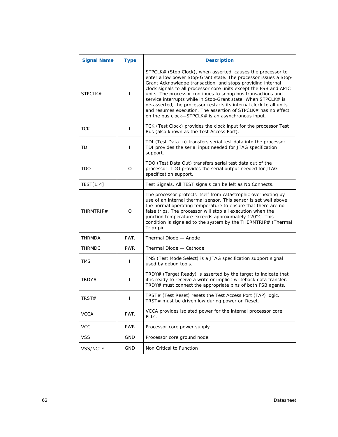| <b>Signal Name</b> | <b>Type</b> | <b>Description</b>                                                                                                                                                                                                                                                                                                                                                                                                                                                                                                                                                                                  |  |  |
|--------------------|-------------|-----------------------------------------------------------------------------------------------------------------------------------------------------------------------------------------------------------------------------------------------------------------------------------------------------------------------------------------------------------------------------------------------------------------------------------------------------------------------------------------------------------------------------------------------------------------------------------------------------|--|--|
| STPCLK#            | ı           | STPCLK# (Stop Clock), when asserted, causes the processor to<br>enter a low power Stop-Grant state. The processor issues a Stop-<br>Grant Acknowledge transaction, and stops providing internal<br>clock signals to all processor core units except the FSB and APIC<br>units. The processor continues to snoop bus transactions and<br>service interrupts while in Stop-Grant state. When STPCLK# is<br>de-asserted, the processor restarts its internal clock to all units<br>and resumes execution. The assertion of STPCLK# has no effect<br>on the bus clock-STPCLK# is an asynchronous input. |  |  |
| <b>TCK</b>         | т           | TCK (Test Clock) provides the clock input for the processor Test<br>Bus (also known as the Test Access Port).                                                                                                                                                                                                                                                                                                                                                                                                                                                                                       |  |  |
| tdi                | ı           | TDI (Test Data In) transfers serial test data into the processor.<br>TDI provides the serial input needed for JTAG specification<br>support.                                                                                                                                                                                                                                                                                                                                                                                                                                                        |  |  |
| TDO                | O           | TDO (Test Data Out) transfers serial test data out of the<br>processor. TDO provides the serial output needed for JTAG<br>specification support.                                                                                                                                                                                                                                                                                                                                                                                                                                                    |  |  |
| TEST[1:4]          |             | Test Signals. All TEST signals can be left as No Connects.                                                                                                                                                                                                                                                                                                                                                                                                                                                                                                                                          |  |  |
| THRMTRIP#          | O           | The processor protects itself from catastrophic overheating by<br>use of an internal thermal sensor. This sensor is set well above<br>the normal operating temperature to ensure that there are no<br>false trips. The processor will stop all execution when the<br>junction temperature exceeds approximately 120°C. This<br>condition is signaled to the system by the THERMTRIP# (Thermal<br>Trip) pin.                                                                                                                                                                                         |  |  |
| THRMDA             | <b>PWR</b>  | Thermal Diode - Anode                                                                                                                                                                                                                                                                                                                                                                                                                                                                                                                                                                               |  |  |
| THRMDC             | <b>PWR</b>  | Thermal Diode - Cathode                                                                                                                                                                                                                                                                                                                                                                                                                                                                                                                                                                             |  |  |
| TMS                | ı           | TMS (Test Mode Select) is a JTAG specification support signal<br>used by debug tools.                                                                                                                                                                                                                                                                                                                                                                                                                                                                                                               |  |  |
| TRDY#              | ı           | TRDY# (Target Ready) is asserted by the target to indicate that<br>it is ready to receive a write or implicit writeback data transfer.<br>TRDY# must connect the appropriate pins of both FSB agents.                                                                                                                                                                                                                                                                                                                                                                                               |  |  |
| TRST#              | ı           | TRST# (Test Reset) resets the Test Access Port (TAP) logic.<br>TRST# must be driven low during power on Reset.                                                                                                                                                                                                                                                                                                                                                                                                                                                                                      |  |  |
| <b>VCCA</b>        | <b>PWR</b>  | VCCA provides isolated power for the internal processor core<br>PLLs.                                                                                                                                                                                                                                                                                                                                                                                                                                                                                                                               |  |  |
| <b>VCC</b>         | <b>PWR</b>  | Processor core power supply                                                                                                                                                                                                                                                                                                                                                                                                                                                                                                                                                                         |  |  |
| VSS                | <b>GND</b>  | Processor core ground node.                                                                                                                                                                                                                                                                                                                                                                                                                                                                                                                                                                         |  |  |
| <b>VSS/NCTF</b>    | GND         | Non Critical to Function                                                                                                                                                                                                                                                                                                                                                                                                                                                                                                                                                                            |  |  |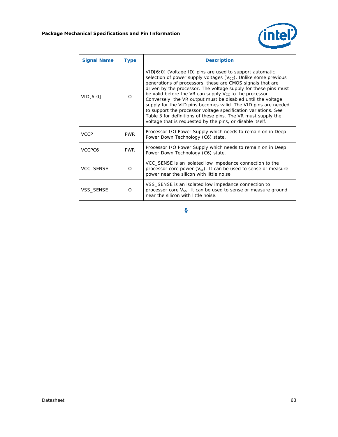

| <b>Signal Name</b> | <b>Type</b> | <b>Description</b>                                                                                                                                                                                                                                                                                                                                                                                                                                                                                                                                                                                                                                                  |
|--------------------|-------------|---------------------------------------------------------------------------------------------------------------------------------------------------------------------------------------------------------------------------------------------------------------------------------------------------------------------------------------------------------------------------------------------------------------------------------------------------------------------------------------------------------------------------------------------------------------------------------------------------------------------------------------------------------------------|
| VID[6:0]           | O           | VID[6:0] (Voltage ID) pins are used to support automatic<br>selection of power supply voltages $(V_{cc})$ . Unlike some previous<br>generations of processors, these are CMOS signals that are<br>driven by the processor. The voltage supply for these pins must<br>be valid before the VR can supply $V_{CC}$ to the processor.<br>Conversely, the VR output must be disabled until the voltage<br>supply for the VID pins becomes valid. The VID pins are needed<br>to support the processor voltage specification variations. See<br>Table 3 for definitions of these pins. The VR must supply the<br>voltage that is requested by the pins, or disable itself. |
| <b>VCCP</b>        | <b>PWR</b>  | Processor I/O Power Supply which needs to remain on in Deep<br>Power Down Technology (C6) state.                                                                                                                                                                                                                                                                                                                                                                                                                                                                                                                                                                    |
| <b>VCCPC6</b>      | <b>PWR</b>  | Processor I/O Power Supply which needs to remain on in Deep<br>Power Down Technology (C6) state.                                                                                                                                                                                                                                                                                                                                                                                                                                                                                                                                                                    |
| <b>VCC SENSE</b>   | $\Omega$    | VCC_SENSE is an isolated low impedance connection to the<br>processor core power $(V_{cc})$ . It can be used to sense or measure<br>power near the silicon with little noise.                                                                                                                                                                                                                                                                                                                                                                                                                                                                                       |
| VSS_SENSE          | $\Omega$    | VSS_SENSE is an isolated low impedance connection to<br>processor core V <sub>ss</sub> . It can be used to sense or measure ground<br>near the silicon with little noise.                                                                                                                                                                                                                                                                                                                                                                                                                                                                                           |

**§**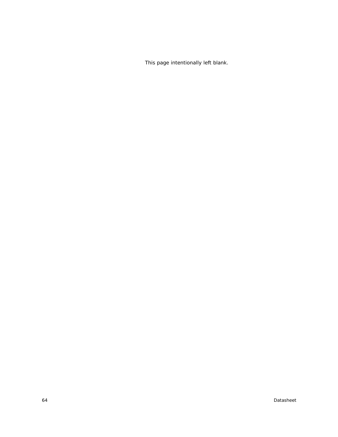This page intentionally left blank.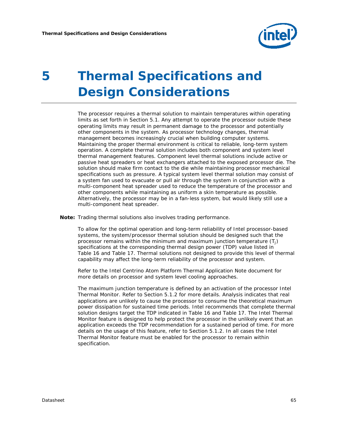

# *5 Thermal Specifications and Design Considerations*

The processor requires a thermal solution to maintain temperatures within operating limits as set forth in Section [5.1.](#page-67-0) Any attempt to operate the processor outside these operating limits may result in permanent damage to the processor and potentially other components in the system. As processor technology changes, thermal management becomes increasingly crucial when building computer systems. Maintaining the proper thermal environment is critical to reliable, long-term system operation. A complete thermal solution includes both component and system level thermal management features. Component level thermal solutions include active or passive heat spreaders or heat exchangers attached to the exposed processor die. The solution should make firm contact to the die while maintaining processor mechanical specifications such as pressure. A typical system level thermal solution may consist of a system fan used to evacuate or pull air through the system in conjunction with a multi-component heat spreader used to reduce the temperature of the processor and other components while maintaining as uniform a skin temperature as possible. Alternatively, the processor may be in a fan-less system, but would likely still use a multi-component heat spreader.

*Note:* Trading thermal solutions also involves trading performance.

To allow for the optimal operation and long-term reliability of Intel processor-based systems, the system/processor thermal solution should be designed such that the processor remains within the minimum and maximum junction temperature  $(T<sub>1</sub>)$ specifications at the corresponding thermal design power (TDP) value listed in [Table 16](#page-65-0) and [Table 17.](#page-66-0) Thermal solutions not designed to provide this level of thermal capability may affect the long-term reliability of the processor and system.

Refer to the *Intel Centrino Atom Platform Thermal Application Note* document for more details on processor and system level cooling approaches.

The maximum junction temperature is defined by an activation of the processor Intel Thermal Monitor. Refer to Section [5.1.2](#page-69-0) for more details. Analysis indicates that real applications are unlikely to cause the processor to consume the theoretical maximum power dissipation for sustained time periods. Intel recommends that complete thermal solution designs target the TDP indicated in [Table 16](#page-65-0) and [Table 17.](#page-66-0) The Intel Thermal Monitor feature is designed to help protect the processor in the unlikely event that an application exceeds the TDP recommendation for a sustained period of time. For more details on the usage of this feature, refer to Section [5.1.2.](#page-69-0) In all cases the Intel Thermal Monitor feature must be enabled for the processor to remain within specification.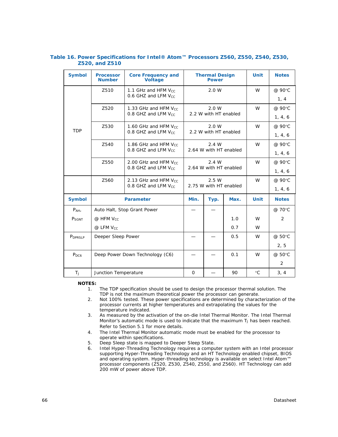| <b>Symbol</b>    | <b>Processor</b><br><b>Number</b> | <b>Core Frequency and</b><br><b>Voltage</b> | <b>Thermal Design</b><br><b>Power</b> |                        |             | <b>Unit</b>  | <b>Notes</b> |
|------------------|-----------------------------------|---------------------------------------------|---------------------------------------|------------------------|-------------|--------------|--------------|
|                  | Z510                              | 1.1 GHz and HFM $V_{CC}$                    |                                       | 2.0 W                  |             | W            | @ 90°C       |
|                  |                                   | 0.6 GHZ and LFM V <sub>CC</sub>             |                                       |                        |             |              | 1, 4         |
|                  | Z520                              | 1.33 GHz and HFM Vcc.                       |                                       | 2.0 W                  |             | W            | @ 90°C       |
|                  |                                   | 0.8 GHZ and LFM V <sub>CC</sub>             |                                       | 2.2 W with HT enabled  |             |              | 1, 4, 6      |
|                  | Z530                              | 1.60 GHz and HFM $V_{CC}$                   |                                       | 2.0 W                  |             | W            | @ 90°C       |
| <b>TDP</b>       |                                   | 0.8 GHZ and LFM $V_{CC}$                    |                                       | 2.2 W with HT enabled  |             |              | 1, 4, 6      |
|                  | Z540                              | 1.86 GHz and HFM Vcc.                       |                                       | 2.4 W                  |             | W            | @ 90°C       |
|                  |                                   | 0.8 GHZ and LFM V <sub>CC</sub>             |                                       | 2.64 W with HT enabled |             |              | 1, 4, 6      |
|                  | Z550                              | 2.00 GHz and HFM Vcc.                       | 2.4 W                                 |                        | W           | @ 90°C       |              |
|                  |                                   | 0.8 GHZ and LFM $V_{CC}$                    | 2.64 W with HT enabled                |                        |             | 1, 4, 6      |              |
|                  | Z560                              | 2.13 GHz and HFM V <sub>CC</sub>            | 2.5W                                  |                        | W           | @ 90°C       |              |
|                  |                                   | 0.8 GHZ and LFM $V_{CC}$                    |                                       | 2.75 W with HT enabled |             |              | 1, 4, 6      |
| <b>Symbol</b>    |                                   | Min.                                        | Typ.                                  | Max.                   | <b>Unit</b> | <b>Notes</b> |              |
| $P_{AH}$         |                                   | Auto Halt, Stop Grant Power                 |                                       |                        |             |              | @ 70°C       |
| PSGNT            | @ HFM V <sub>CC</sub>             |                                             |                                       |                        | 1.0         | W            | 2            |
|                  | @ LFM V <sub>CC</sub>             |                                             |                                       | 0.7                    | W           |              |              |
| <b>PDPRSLP</b>   | Deeper Sleep Power                |                                             |                                       |                        | 0.5         | W            | @ 50°C       |
|                  |                                   |                                             |                                       |                        |             |              | 2, 5         |
| P <sub>DC6</sub> | Deep Power Down Technology (C6)   |                                             |                                       |                        | 0.1         | W            | @ 50°C       |
|                  |                                   |                                             |                                       |                        |             |              | 2            |
| $T_{\rm J}$      |                                   | Junction Temperature                        |                                       |                        | 90          | $\circ$ C    | 3, 4         |

## <span id="page-65-0"></span>**Table 16. Power Specifications for Intel® Atom™ Processors Z560, Z550, Z540, Z530, Z520, and Z510**

- 1. The TDP specification should be used to design the processor thermal solution. The TDP is not the maximum theoretical power the processor can generate.
- 2. Not 100% tested. These power specifications are determined by characterization of the processor currents at higher temperatures and extrapolating the values for the temperature indicated.
- 3. As measured by the activation of the on-die Intel Thermal Monitor. The Intel Thermal Monitor's automatic mode is used to indicate that the maximum  $T_J$  has been reached. Refer to Section [5.1](#page-67-0) for more details.
- 4. The Intel Thermal Monitor automatic mode must be enabled for the processor to operate within specifications.
- 5. Deep Sleep state is mapped to Deeper Sleep State.
- 6. Intel Hyper-Threading Technology requires a computer system with an Intel processor supporting Hyper-Threading Technology and an HT Technology enabled chipset, BIOS and operating system. Hyper-threading technology is available on select Intel Atom™ processor components (Z520, Z530, Z540, Z550, and Z560). HT Technology can add 200 mW of power above TDP.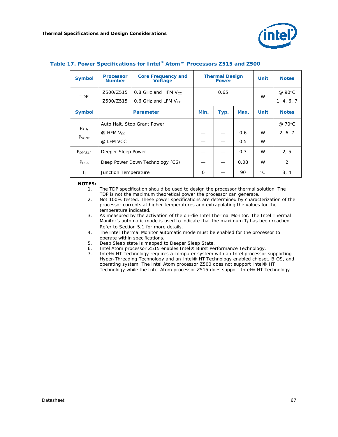

| <b>Symbol</b>                 | <b>Processor</b><br><b>Number</b>                                                            | <b>Core Frequency and</b><br><b>Voltage</b> |      | <b>Thermal Design</b><br><b>Power</b> |            | <b>Unit</b>          | <b>Notes</b>      |
|-------------------------------|----------------------------------------------------------------------------------------------|---------------------------------------------|------|---------------------------------------|------------|----------------------|-------------------|
| <b>TDP</b>                    | Z500/Z515<br>0.8 GHz and HFM $V_{\text{CC}}$<br>Z500/Z515<br>0.6 GHz and LFM $V_{\text{CC}}$ |                                             | 0.65 |                                       | W          | @ 90°C<br>1, 4, 6, 7 |                   |
| <b>Symbol</b>                 | <b>Parameter</b>                                                                             |                                             | Min. | Typ.                                  | Max.       | <b>Unit</b>          | <b>Notes</b>      |
| $P_{AH}$<br>P <sub>SGNT</sub> | Auto Halt, Stop Grant Power<br>@ HFM V <sub>CC</sub><br>@ LFM VCC                            |                                             |      |                                       | 0.6<br>0.5 | W<br>W               | @ 70°C<br>2, 6, 7 |
| P <sub>DPRSLP</sub>           | Deeper Sleep Power                                                                           |                                             |      |                                       | 0.3        | W                    | 2, 5              |
| $P_{DC6}$                     | Deep Power Down Technology (C6)                                                              |                                             |      |                                       | 0.08       | W                    | 2                 |
| T,                            | Junction Temperature                                                                         |                                             | 0    |                                       | 90         | °€                   | 3, 4              |

# <span id="page-66-0"></span>**Table 17. Power Specifications for Intel® Atom™ Processors Z515 and Z500**

- 1. The TDP specification should be used to design the processor thermal solution. The TDP is not the maximum theoretical power the processor can generate.
- 2. Not 100% tested. These power specifications are determined by characterization of the processor currents at higher temperatures and extrapolating the values for the temperature indicated.
- 3. As measured by the activation of the on-die Intel Thermal Monitor. The Intel Thermal Monitor's automatic mode is used to indicate that the maximum T<sub>J</sub> has been reached. Refer to Section [5.1](#page-67-0) for more details.
- 4. The Intel Thermal Monitor automatic mode must be enabled for the processor to operate within specifications.
- 5. Deep Sleep state is mapped to Deeper Sleep State.
- 6. Intel Atom processor Z515 enables Intel® Burst Performance Technology.
- 7. Intel® HT Technology requires a computer system with an Intel processor supporting Hyper-Threading Technology and an Intel® HT Technology enabled chipset, BIOS, and operating system. The Intel Atom processor Z500 does not support Intel® HT Technology while the Intel Atom processor Z515 does support Intel® HT Technology.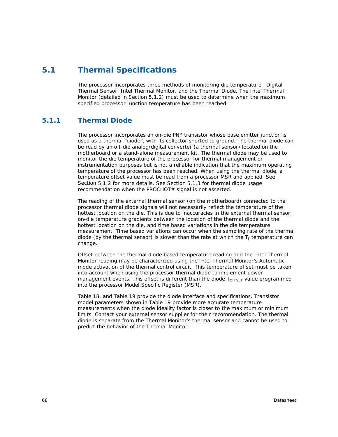# **5.1 Thermal Specifications**

<span id="page-67-0"></span>The processor incorporates three methods of monitoring die temperature—Digital Thermal Sensor, Intel Thermal Monitor, and the Thermal Diode. The Intel Thermal Monitor (detailed in Section [5.1.2\)](#page-69-0) must be used to determine when the maximum specified processor junction temperature has been reached.

# **5.1.1 Thermal Diode**

The processor incorporates an on-die PNP transistor whose base emitter junction is used as a thermal "diode", with its collector shorted to ground. The thermal diode can be read by an off-die analog/digital converter (a thermal sensor) located on the motherboard or a stand-alone measurement kit. The thermal diode may be used to monitor the die temperature of the processor for thermal management or instrumentation purposes but is not a reliable indication that the maximum operating temperature of the processor has been reached. When using the thermal diode, a temperature offset value must be read from a processor MSR and applied. See Section [5.1.2](#page-69-0) for more details. See Section [5.1.3](#page-71-0) for thermal diode usage recommendation when the PROCHOT# signal is not asserted.

The reading of the external thermal sensor (on the motherboard) connected to the processor thermal diode signals will not necessarily reflect the temperature of the hottest location on the die. This is due to inaccuracies in the external thermal sensor, on-die temperature gradients between the location of the thermal diode and the hottest location on the die, and time based variations in the die temperature measurement. Time based variations can occur when the sampling rate of the thermal diode (by the thermal sensor) is slower than the rate at which the  $T_J$  temperature can change.

Offset between the thermal diode based temperature reading and the Intel Thermal Monitor reading may be characterized using the Intel Thermal Monitor's Automatic mode activation of the thermal control circuit. This temperature offset must be taken into account when using the processor thermal diode to implement power management events. This offset is different than the diode  $T_{OFFSFT}$  value programmed into the processor Model Specific Register (MSR).

[Table 18.](#page-68-0) and [Table 19](#page-68-1) provide the diode interface and specifications. Transistor model parameters shown in [Table 19](#page-68-1) provide more accurate temperature measurements when the diode ideality factor is closer to the maximum or minimum limits. Contact your external sensor supplier for their recommendation. The thermal diode is separate from the Thermal Monitor's thermal sensor and cannot be used to predict the behavior of the Thermal Monitor.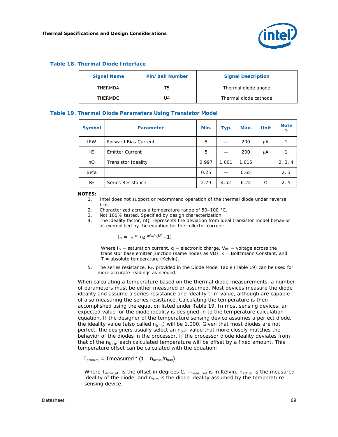

#### <span id="page-68-0"></span>**Table 18. Thermal Diode Interface**

| <b>Signal Name</b> | Pin/Ball Number | <b>Signal Description</b> |
|--------------------|-----------------|---------------------------|
| THERMDA            | Τ5              | Thermal diode anode       |
| <b>THERMDC</b>     | U4              | Thermal diode cathode     |

## <span id="page-68-1"></span>**Table 19. Thermal Diode Parameters Using Transistor Model**

| <b>Symbol</b> | <b>Parameter</b>            | Min.  | Typ.  | Max.  | <b>Unit</b> | <b>Note</b><br>s |
|---------------|-----------------------------|-------|-------|-------|-------------|------------------|
| <b>IFW</b>    | <b>Forward Bias Current</b> | 5     |       | 200   | μA          |                  |
| IE            | <b>Emitter Current</b>      | 5     |       | 200   | μA          |                  |
| nQ            | Transistor Ideality         | 0.997 | 1.001 | 1.015 |             | 2, 3, 4          |
| Beta          |                             | 0.25  |       | 0.65  |             | 2, 3             |
| $R_T$         | Series Resistance           | 2.79  | 4.52  | 6.24  | Ω           | 2, 5             |

#### **NOTES:**

- 1. Intel does not support or recommend operation of the thermal diode under reverse bias.
- 2. Characterized across a temperature range of 50–100 °C.<br>3. Not 100% tested. Specified by design characterization.
- 
- 3. Not 100% tested. Specified by design characterization.<br>4. The ideality factor, nQ, represents the deviation from io The ideality factor, nQ, represents the deviation from ideal transistor model behavior as exemplified by the equation for the collector current:

$$
I_c = I_s * (e^{qV_{BE}/n_0kT} - 1)
$$

Where  $I_S$  = saturation current,  $q$  = electronic charge,  $V_{BE}$  = voltage across the transistor base emitter junction (same nodes as VD),  $k =$  Boltzmann Constant, and  $T =$  absolute temperature (Kelvin).

5. The series resistance,  $R_T$ , provided in the Diode Model Table [\(Table 19\)](#page-68-1) can be used for more accurate readings as needed.

When calculating a temperature based on the thermal diode measurements, a number of parameters must be either measured or assumed. Most devices measure the diode ideality and assume a series resistance and ideality trim value, although are capable of also measuring the series resistance. Calculating the temperature is then accomplished using the equation listed under [Table 19.](#page-68-1) In most sensing devices, an expected value for the diode ideality is designed-in to the temperature calculation equation. If the designer of the temperature sensing device assumes a perfect diode, the ideality value (also called  $n_{\text{trim}}$ ) will be 1.000. Given that most diodes are not perfect, the designers usually select an  $n_{\text{trim}}$  value that more closely matches the behavior of the diodes in the processor. If the processor diode ideality deviates from that of the  $n_{\text{trim}}$ , each calculated temperature will be offset by a fixed amount. This temperature offset can be calculated with the equation:

 $T_{error(nf)} = Tmeasured * (1 - n_{actual}/n_{trim})$ 

Where  $T_{error(nf)}$  is the offset in degrees C,  $T_{measured}$  is in Kelvin,  $n_{actual}$  is the measured ideality of the diode, and  $n_{\text{trim}}$  is the diode ideality assumed by the temperature sensing device.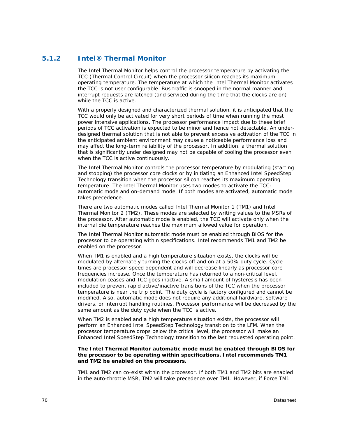# **5.1.2 Intel® Thermal Monitor**

<span id="page-69-0"></span>The Intel Thermal Monitor helps control the processor temperature by activating the TCC (Thermal Control Circuit) when the processor silicon reaches its maximum operating temperature. The temperature at which the Intel Thermal Monitor activates the TCC is not user configurable. Bus traffic is snooped in the normal manner and interrupt requests are latched (and serviced during the time that the clocks are on) while the TCC is active.

With a properly designed and characterized thermal solution, it is anticipated that the TCC would only be activated for very short periods of time when running the most power intensive applications. The processor performance impact due to these brief periods of TCC activation is expected to be minor and hence not detectable. An underdesigned thermal solution that is not able to prevent excessive activation of the TCC in the anticipated ambient environment may cause a noticeable performance loss and may affect the long-term reliability of the processor. In addition, a thermal solution that is significantly under designed may not be capable of cooling the processor even when the TCC is active continuously.

The Intel Thermal Monitor controls the processor temperature by modulating (starting and stopping) the processor core clocks or by initiating an Enhanced Intel SpeedStep Technology transition when the processor silicon reaches its maximum operating temperature. The Intel Thermal Monitor uses two modes to activate the TCC: automatic mode and on-demand mode. If both modes are activated, automatic mode takes precedence.

There are two automatic modes called Intel Thermal Monitor 1 (TM1) and Intel Thermal Monitor 2 (TM2). These modes are selected by writing values to the MSRs of the processor. After automatic mode is enabled, the TCC will activate only when the internal die temperature reaches the maximum allowed value for operation.

The Intel Thermal Monitor automatic mode must be enabled through BIOS for the processor to be operating within specifications. Intel recommends TM1 and TM2 be enabled on the processor.

When TM1 is enabled and a high temperature situation exists, the clocks will be modulated by alternately turning the clocks off and on at a 50% duty cycle. Cycle times are processor speed dependent and will decrease linearly as processor core frequencies increase. Once the temperature has returned to a non-critical level, modulation ceases and TCC goes inactive. A small amount of hysteresis has been included to prevent rapid active/inactive transitions of the TCC when the processor temperature is near the trip point. The duty cycle is factory configured and cannot be modified. Also, automatic mode does not require any additional hardware, software drivers, or interrupt handling routines. Processor performance will be decreased by the same amount as the duty cycle when the TCC is active.

When TM2 is enabled and a high temperature situation exists, the processor will perform an Enhanced Intel SpeedStep Technology transition to the LFM. When the processor temperature drops below the critical level, the processor will make an Enhanced Intel SpeedStep Technology transition to the last requested operating point.

### **The Intel Thermal Monitor automatic mode must be enabled through BIOS for the processor to be operating within specifications. Intel recommends TM1 and TM2 be enabled on the processors.**

TM1 and TM2 can co-exist within the processor. If both TM1 and TM2 bits are enabled in the auto-throttle MSR, TM2 will take precedence over TM1. However, if Force TM1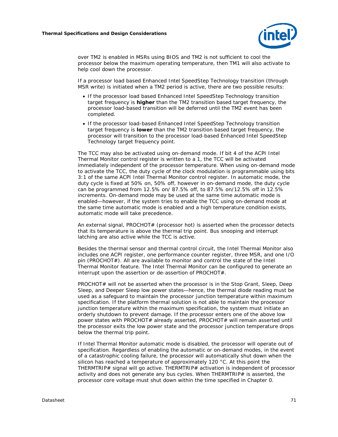

over TM2 is enabled in MSRs using BIOS and TM2 is not sufficient to cool the processor below the maximum operating temperature, then TM1 will also activate to help cool down the processor.

If a processor load based Enhanced Intel SpeedStep Technology transition (through MSR write) is initiated when a TM2 period is active, there are two possible results:

- If the processor load based Enhanced Intel SpeedStep Technology transition target frequency is **higher** than the TM2 transition based target frequency, the processor load-based transition will be deferred until the TM2 event has been completed.
- If the processor load-based Enhanced Intel SpeedStep Technology transition target frequency is **lower** than the TM2 transition based target frequency, the processor will transition to the processor load-based Enhanced Intel SpeedStep Technology target frequency point.

The TCC may also be activated using on-demand mode. If bit 4 of the ACPI Intel Thermal Monitor control register is written to a 1, the TCC will be activated immediately independent of the processor temperature. When using on-demand mode to activate the TCC, the duty cycle of the clock modulation is programmable using bits 3:1 of the same ACPI Intel Thermal Monitor control register. In automatic mode, the duty cycle is fixed at 50% on, 50% off, however in on-demand mode, the duty cycle can be programmed from 12.5% on/ 87.5% off, to 87.5% on/12.5% off in 12.5% increments. On-demand mode may be used at the same time automatic mode is enabled—however, if the system tries to enable the TCC using on-demand mode at the same time automatic mode is enabled and a high temperature condition exists, automatic mode will take precedence.

An external signal, PROCHOT# (processor hot) is asserted when the processor detects that its temperature is above the thermal trip point. Bus snooping and interrupt latching are also active while the TCC is active.

Besides the thermal sensor and thermal control circuit, the Intel Thermal Monitor also includes one ACPI register, one performance counter register, three MSR, and one I/O pin (PROCHOT#). All are available to monitor and control the state of the Intel Thermal Monitor feature. The Intel Thermal Monitor can be configured to generate an interrupt upon the assertion or de-assertion of PROCHOT#.

PROCHOT# will not be asserted when the processor is in the Stop Grant, Sleep, Deep Sleep, and Deeper Sleep low power states—hence, the thermal diode reading must be used as a safeguard to maintain the processor junction temperature within maximum specification. If the platform thermal solution is not able to maintain the processor junction temperature within the maximum specification, the system must initiate an orderly shutdown to prevent damage. If the processor enters one of the above low power states with PROCHOT# already asserted, PROCHOT# will remain asserted until the processor exits the low power state and the processor junction temperature drops below the thermal trip point.

If Intel Thermal Monitor automatic mode is disabled, the processor will operate out of specification. Regardless of enabling the automatic or on-demand modes, in the event of a catastrophic cooling failure, the processor will automatically shut down when the silicon has reached a temperature of approximately 120 °C. At this point the THERMTRIP# signal will go active. THERMTRIP# activation is independent of processor activity and does not generate any bus cycles. When THERMTRIP $#$  is asserted, the processor core voltage must shut down within the time specified in Chapter [0.](#page-25-0)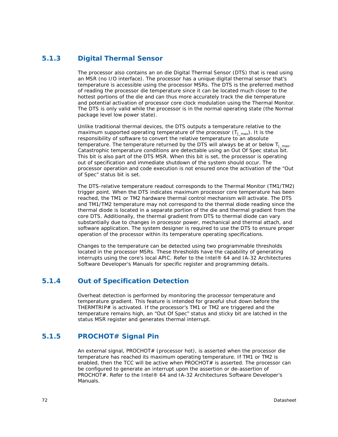# **5.1.3 Digital Thermal Sensor**

<span id="page-71-0"></span>The processor also contains an on die Digital Thermal Sensor (DTS) that is read using an MSR (no I/O interface). The processor has a unique digital thermal sensor that's temperature is accessible using the processor MSRs. The DTS is the preferred method of reading the processor die temperature since it can be located much closer to the hottest portions of the die and can thus more accurately track the die temperature and potential activation of processor core clock modulation using the Thermal Monitor. The DTS is only valid while the processor is in the normal operating state (the Normal package level low power state).

Unlike traditional thermal devices, the DTS outputs a temperature relative to the maximum supported operating temperature of the processor  $(T_{J,max})$ . It is the responsibility of software to convert the relative temperature to an absolute temperature. The temperature returned by the DTS will always be at or below  $T_{J,max}$ . Catastrophic temperature conditions are detectable using an Out Of Spec status bit. This bit is also part of the DTS MSR. When this bit is set, the processor is operating out of specification and immediate shutdown of the system should occur. The processor operation and code execution is not ensured once the activation of the "Out of Spec" status bit is set.

The DTS-relative temperature readout corresponds to the Thermal Monitor (TM1/TM2) trigger point. When the DTS indicates maximum processor core temperature has been reached, the TM1 or TM2 hardware thermal control mechanism will activate. The DTS and TM1/TM2 temperature may not correspond to the thermal diode reading since the thermal diode is located in a separate portion of the die and thermal gradient from the core DTS. Additionally, the thermal gradient from DTS to thermal diode can vary substantially due to changes in processor power, mechanical and thermal attach, and software application. The system designer is required to use the DTS to ensure proper operation of the processor within its temperature operating specifications.

Changes to the temperature can be detected using two programmable thresholds located in the processor MSRs. These thresholds have the capability of generating interrupts using the core's local APIC. Refer to the *Intel® 64 and IA-32 Architectures Software Developer's Manuals* for specific register and programming details.

# **5.1.4 Out of Specification Detection**

Overheat detection is performed by monitoring the processor temperature and temperature gradient. This feature is intended for graceful shut down before the THERMTRIP# is activated. If the processor's TM1 or TM2 are triggered and the temperature remains high, an "Out Of Spec" status and sticky bit are latched in the status MSR register and generates thermal interrupt*.*

# **5.1.5 PROCHOT# Signal Pin**

An external signal, PROCHOT# (processor hot), is asserted when the processor die temperature has reached its maximum operating temperature. If TM1 or TM2 is enabled, then the TCC will be active when PROCHOT $#$  is asserted. The processor can be configured to generate an interrupt upon the assertion or de-assertion of PROCHOT#. Refer to the *Intel® 64 and IA-32 Architectures Software Developer's Manuals*.